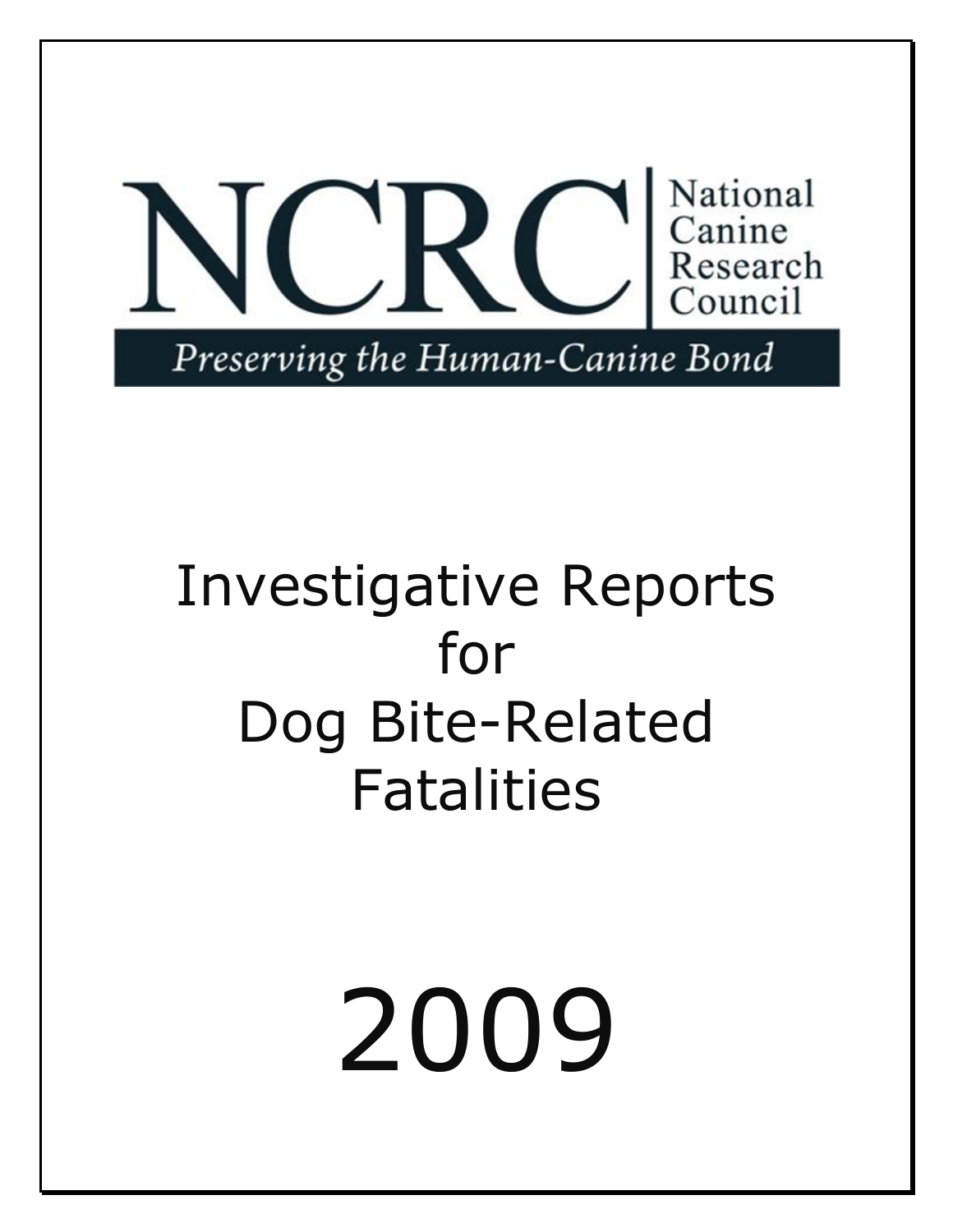

# Investigative Reports for Dog Bite-Related Fatalities

2009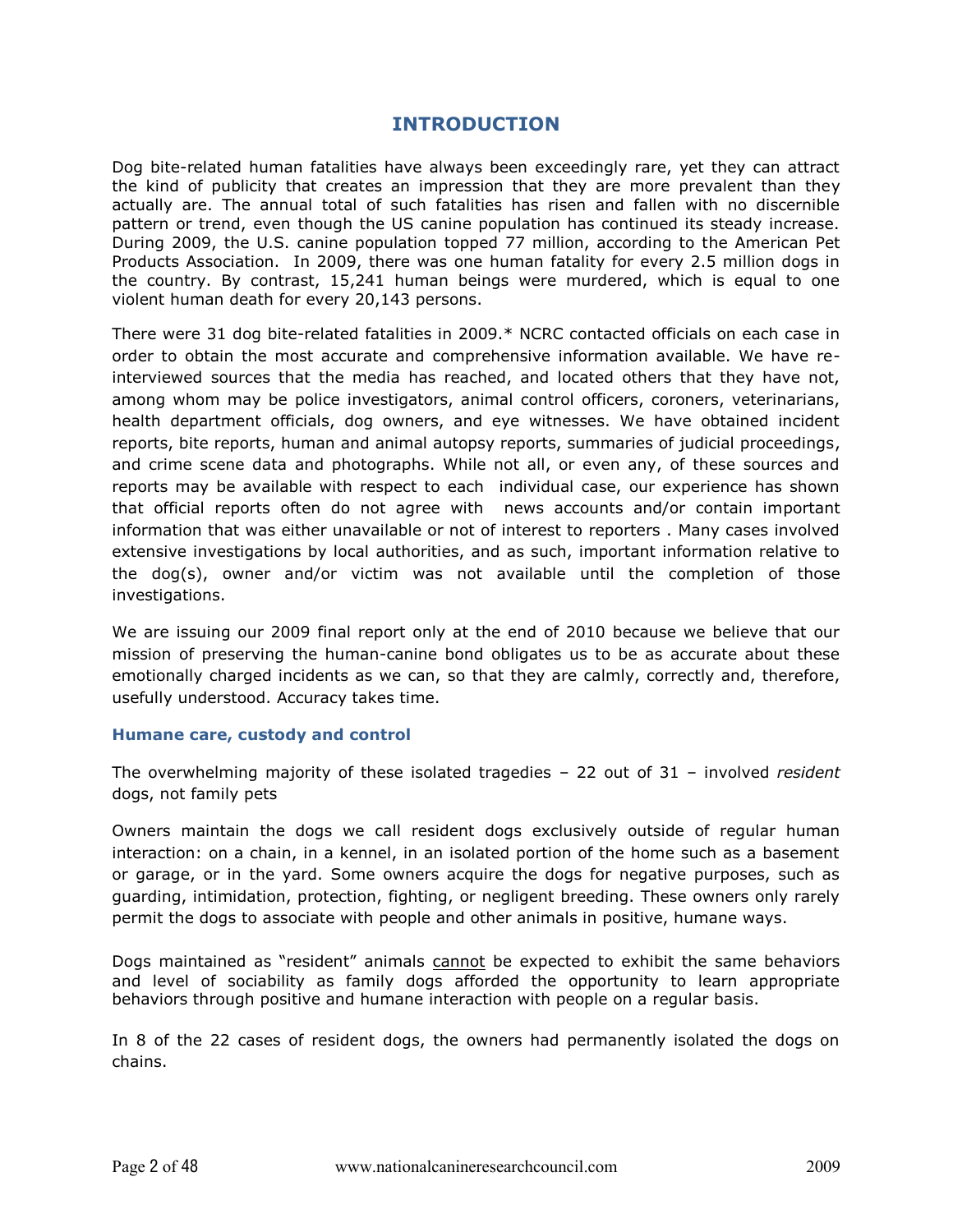#### **INTRODUCTION**

Dog bite-related human fatalities have always been exceedingly rare, yet they can attract the kind of publicity that creates an impression that they are more prevalent than they actually are. The annual total of such fatalities has risen and fallen with no discernible pattern or trend, even though the US canine population has continued its steady increase. During 2009, the U.S. canine population topped 77 million, according to the American Pet Products Association. In 2009, there was one human fatality for every 2.5 million dogs in the country. By contrast, 15,241 human beings were murdered, which is equal to one violent human death for every 20,143 persons.

There were 31 dog bite-related fatalities in 2009. $*$  NCRC contacted officials on each case in order to obtain the most accurate and comprehensive information available. We have reinterviewed sources that the media has reached, and located others that they have not, among whom may be police investigators, animal control officers, coroners, veterinarians, health department officials, dog owners, and eye witnesses. We have obtained incident reports, bite reports, human and animal autopsy reports, summaries of judicial proceedings, and crime scene data and photographs. While not all, or even any, of these sources and reports may be available with respect to each individual case, our experience has shown that official reports often do not agree with \* news accounts and/or contain important information that was either unavailable or not of interest to reporters . Many cases involved extensive investigations by local authorities, and as such, important information relative to the  $dog(s)$ , owner and/or victim was not available until the completion of those investigations.

We are issuing our 2009 final report only at the end of 2010 because we believe that our mission of preserving the human-canine bond obligates us to be as accurate about these emotionally charged incidents as we can, so that they are calmly, correctly and, therefore, usefully understood. Accuracy takes time.

#### **Humane care, custody and control**

The overwhelming majority of these isolated tragedies  $-$  22 out of 31  $-$  involved *resident* dogs, not family pets

Owners maintain the dogs we call resident dogs exclusively outside of regular human interaction: on a chain, in a kennel, in an isolated portion of the home such as a basement or garage, or in the yard. Some owners acquire the dogs for negative purposes, such as guarding, intimidation, protection, fighting, or negligent breeding. These owners only rarely permit the dogs to associate with people and other animals in positive, humane ways.

Dogs maintained as "resident" animals cannot be expected to exhibit the same behaviors and level of sociability as family dogs afforded the opportunity to learn appropriate behaviors through positive and humane interaction with people on a regular basis.

In 8 of the 22 cases of resident dogs, the owners had permanently isolated the dogs on chains.\*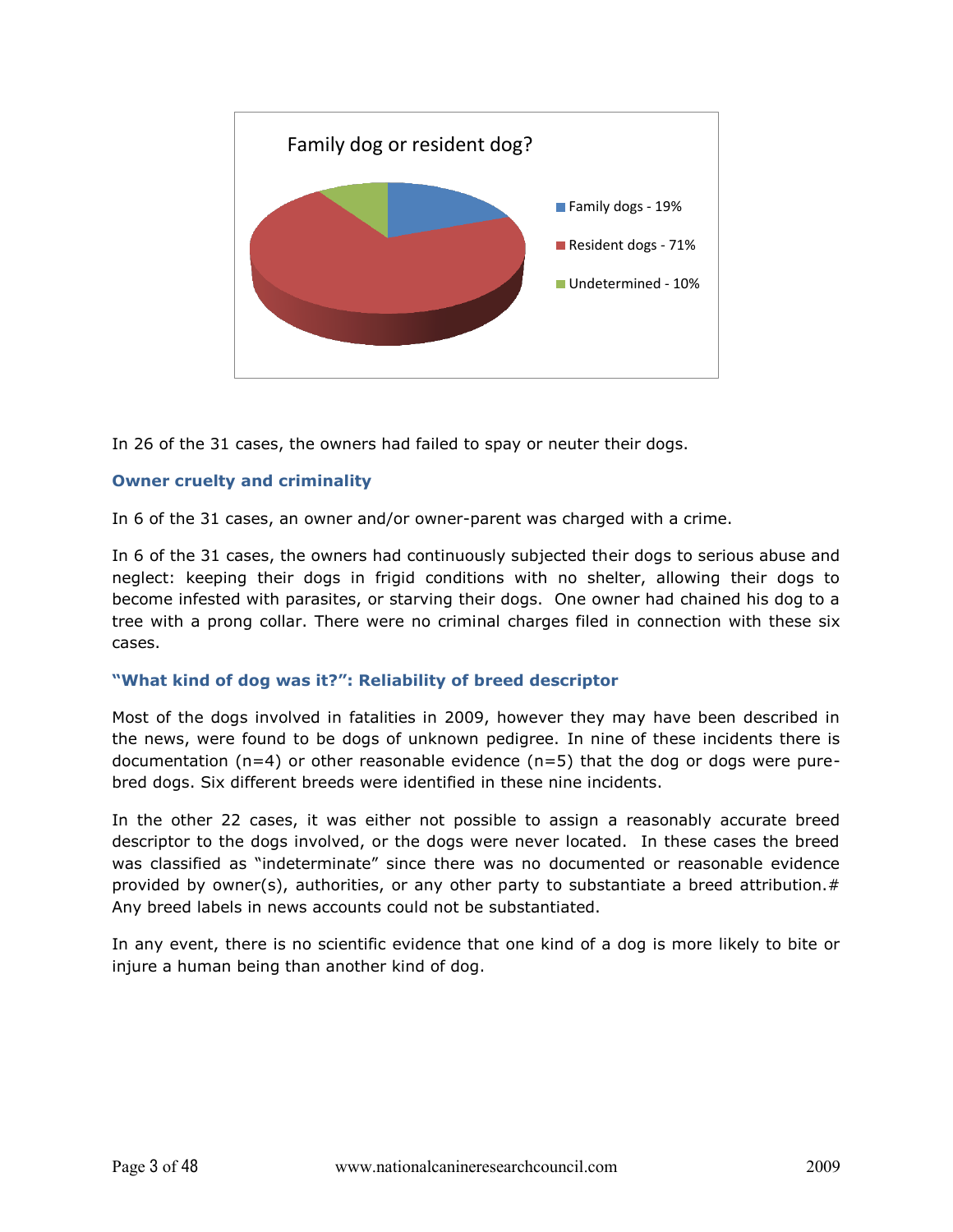

In 26 of the 31 cases, the owners had failed to spay or neuter their dogs.

#### **Owner cruelty and criminality**

In 6 of the 31 cases, an owner and/or owner-parent was charged with a crime.

In 6 of the 31 cases, the owners had continuously subjected their dogs to serious abuse and neglect: keeping their dogs in frigid conditions with no shelter, allowing their dogs to become infested with parasites, or starving their dogs. One owner had chained his dog to a tree with a prong collar. There were no criminal charges filed in connection with these six cases.\*

#### "What kind of dog was it?": Reliability of breed descriptor

Most of the dogs involved in fatalities in 2009, however they may have been described in the news, were found to be dogs of unknown pedigree. In nine of these incidents there is documentation (n=4) or other reasonable evidence (n=5) that the dog or dogs were purebred dogs. Six different breeds were identified in these nine incidents.

In the other 22 cases, it was either not possible to assign a reasonably accurate breed descriptor to the dogs involved, or the dogs were never located. In these cases the breed was classified as "indeterminate" since there was no documented or reasonable evidence provided by owner(s), authorities, or any other party to substantiate a breed attribution.# Any breed labels in news accounts could not be substantiated.

In any event, there is no scientific evidence that one kind of a dog is more likely to bite or injure a human being than another kind of dog.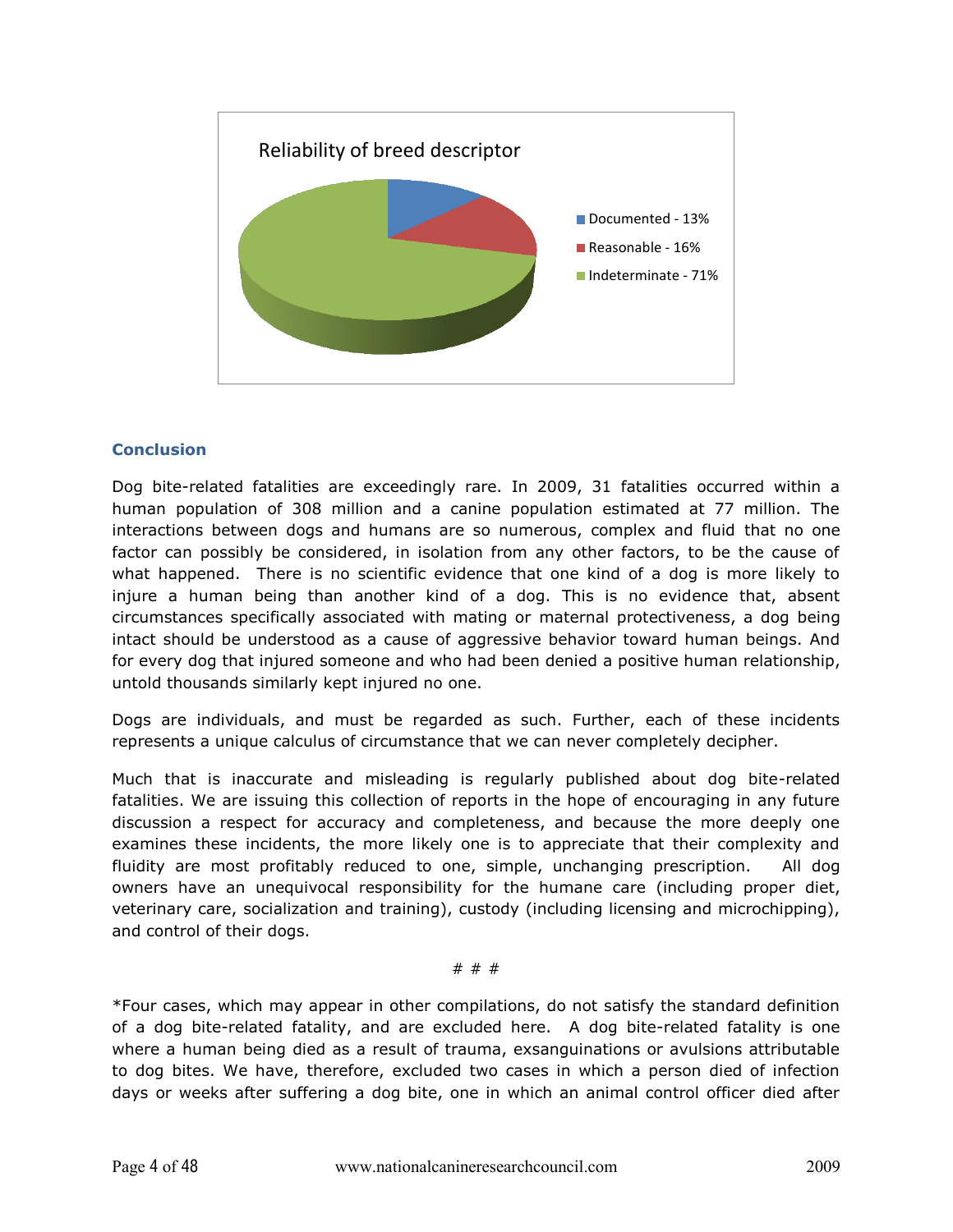

#### **Conclusion**

Dog bite-related fatalities are exceedingly rare. In 2009, 31 fatalities occurred within a human population of 308 million and a canine population estimated at 77 million. The interactions between dogs and humans are so numerous, complex and fluid that no one factor can possibly be considered, in isolation from any other factors, to be the cause of what happened. There is no scientific evidence that one kind of a dog is more likely to injure a human being than another kind of a dog. This is no evidence that, absent circumstances specifically associated with mating or maternal protectiveness, a dog being intact should be understood as a cause of aggressive behavior toward human beings. And for every dog that injured someone and who had been denied a positive human relationship, untold thousands similarly kept injured no one.

Dogs are individuals, and must be regarded as such. Further, each of these incidents represents a unique calculus of circumstance that we can never completely decipher.

Much that is inaccurate and misleading is regularly published about dog bite-related fatalities. We are issuing this collection of reports in the hope of encouraging in any future discussion a respect for accuracy and completeness, and because the more deeply one examines these incidents, the more likely one is to appreciate that their complexity and fluidity are most profitably reduced to one, simple, unchanging prescription. All dog owners have an unequivocal responsibility for the humane care (including proper diet, veterinary care, socialization and training), custody (including licensing and microchipping), and control of their dogs.

#### #\*#\*#

\*Four cases, which may appear in other compilations, do not satisfy the standard definition of a dog bite-related fatality, and are excluded here. A dog bite-related fatality is one where a human being died as a result of trauma, exsanguinations or avulsions attributable to dog bites. We have, therefore, excluded two cases in which a person died of infection days or weeks after suffering a dog bite, one in which an animal control officer died after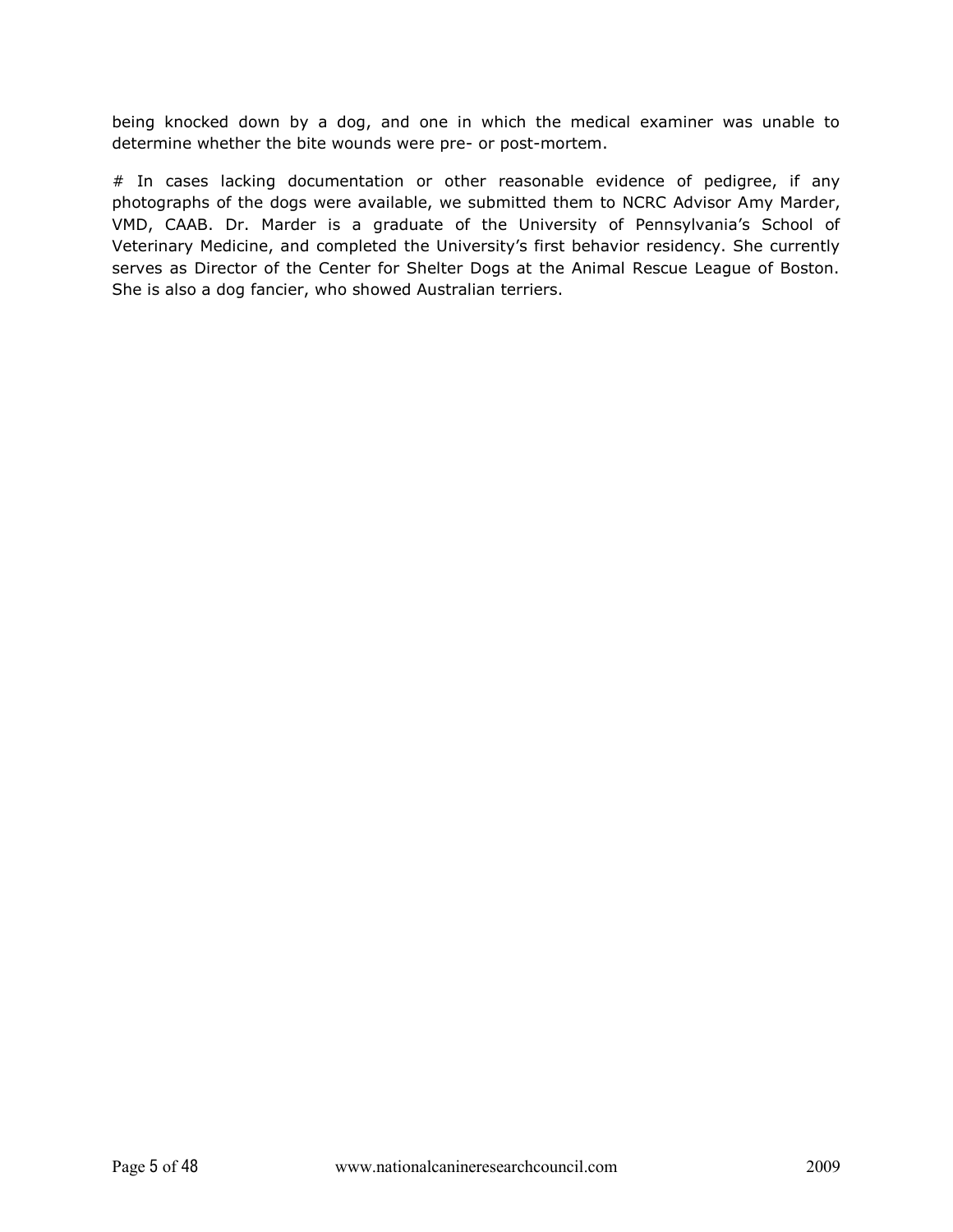being knocked down by a dog, and one in which the medical examiner was unable to determine whether the bite wounds were pre- or post-mortem.

# In cases lacking documentation or other reasonable evidence of pedigree, if any photographs of the dogs were available, we submitted them to NCRC Advisor Amy Marder, VMD, CAAB. Dr. Marder is a graduate of the University of Pennsylvania's School of Veterinary Medicine, and completed the University's first behavior residency. She currently serves as Director of the Center for Shelter Dogs at the Animal Rescue League of Boston. She is also a dog fancier, who showed Australian terriers.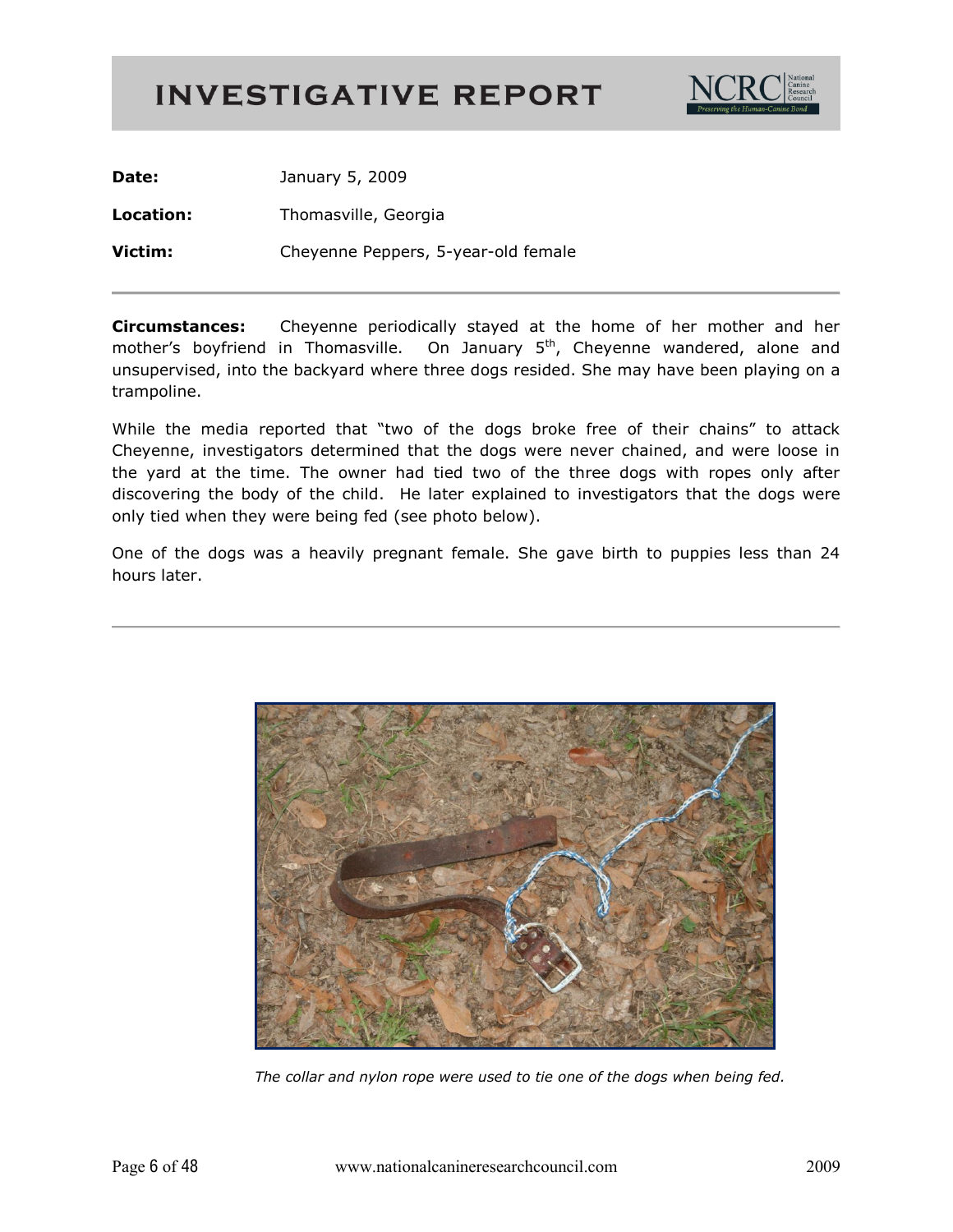

Date: January 5, 2009 Location: Thomasville, Georgia Victim: Cheyenne Peppers, 5-year-old female

**Circumstances:** Cheyenne periodically stayed at the home of her mother and her mother's boyfriend in Thomasville. On January 5<sup>th</sup>, Cheyenne wandered, alone and unsupervised, into the backyard where three dogs resided. She may have been playing on a trampoline.

While the media reported that "two of the dogs broke free of their chains" to attack Cheyenne, investigators determined that the dogs were never chained, and were loose in the yard at the time. The owner had tied two of the three dogs with ropes only after discovering the body of the child. He later explained to investigators that the dogs were only tied when they were being fed (see photo below).

One of the dogs was a heavily pregnant female. She gave birth to puppies less than 24 hours later.



The collar and nylon rope were used to tie one of the dogs when being fed.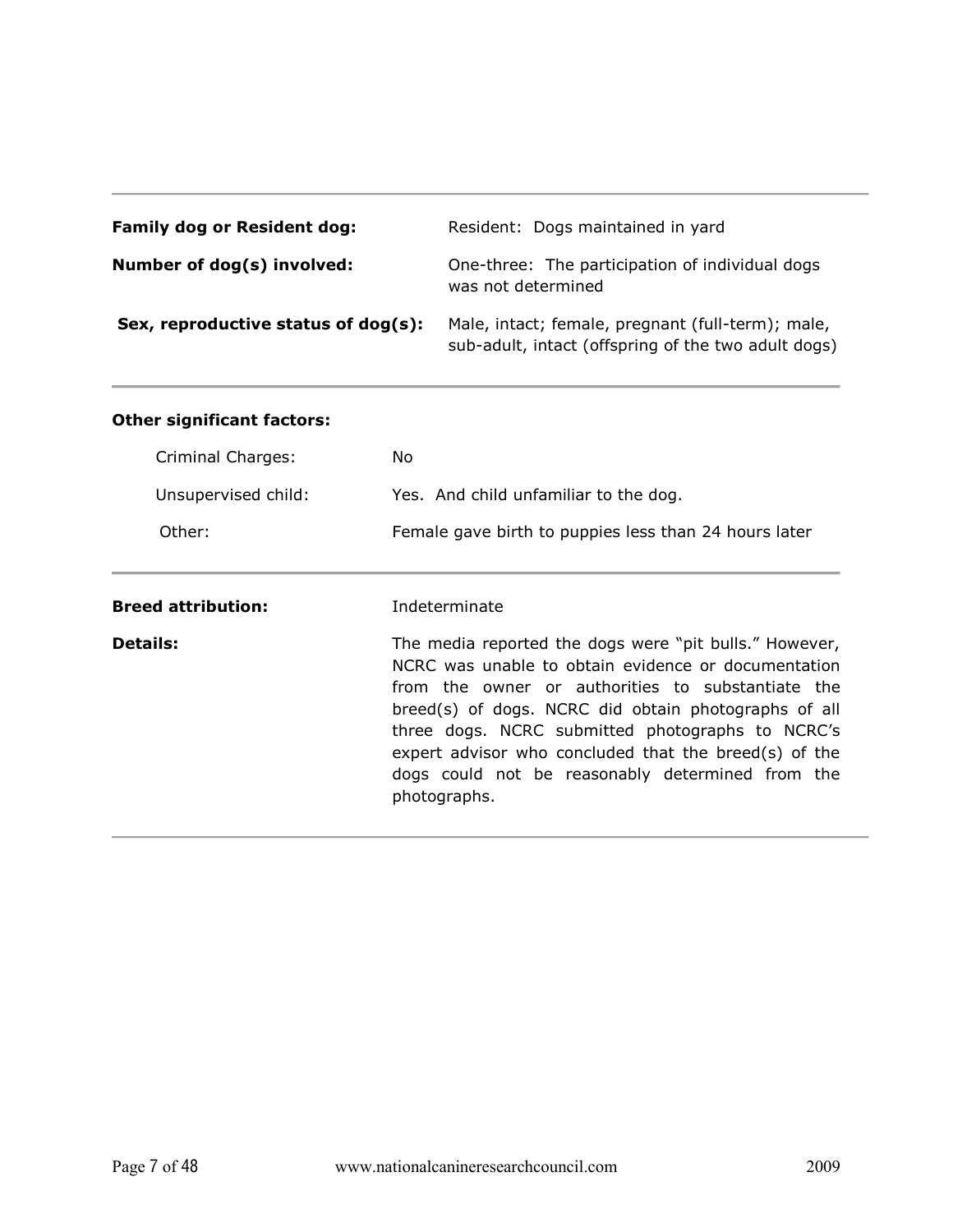| <b>Family dog or Resident dog:</b>  | Resident: Dogs maintained in yard                                                                        |
|-------------------------------------|----------------------------------------------------------------------------------------------------------|
| Number of dog(s) involved:          | One-three: The participation of individual dogs<br>was not determined                                    |
| Sex, reproductive status of dog(s): | Male, intact; female, pregnant (full-term); male,<br>sub-adult, intact (offspring of the two adult dogs) |

| Criminal Charges:         | No.                                                                                                                                                                                                                                                                                                                                                                                                         |
|---------------------------|-------------------------------------------------------------------------------------------------------------------------------------------------------------------------------------------------------------------------------------------------------------------------------------------------------------------------------------------------------------------------------------------------------------|
| Unsupervised child:       | Yes. And child unfamiliar to the dog.                                                                                                                                                                                                                                                                                                                                                                       |
| Other:                    | Female gave birth to puppies less than 24 hours later                                                                                                                                                                                                                                                                                                                                                       |
| <b>Breed attribution:</b> | Indeterminate                                                                                                                                                                                                                                                                                                                                                                                               |
| <b>Details:</b>           | The media reported the dogs were "pit bulls." However,<br>NCRC was unable to obtain evidence or documentation<br>from the owner or authorities to substantiate the<br>breed(s) of dogs. NCRC did obtain photographs of all<br>three dogs. NCRC submitted photographs to NCRC's<br>expert advisor who concluded that the breed(s) of the<br>dogs could not be reasonably determined from the<br>photographs. |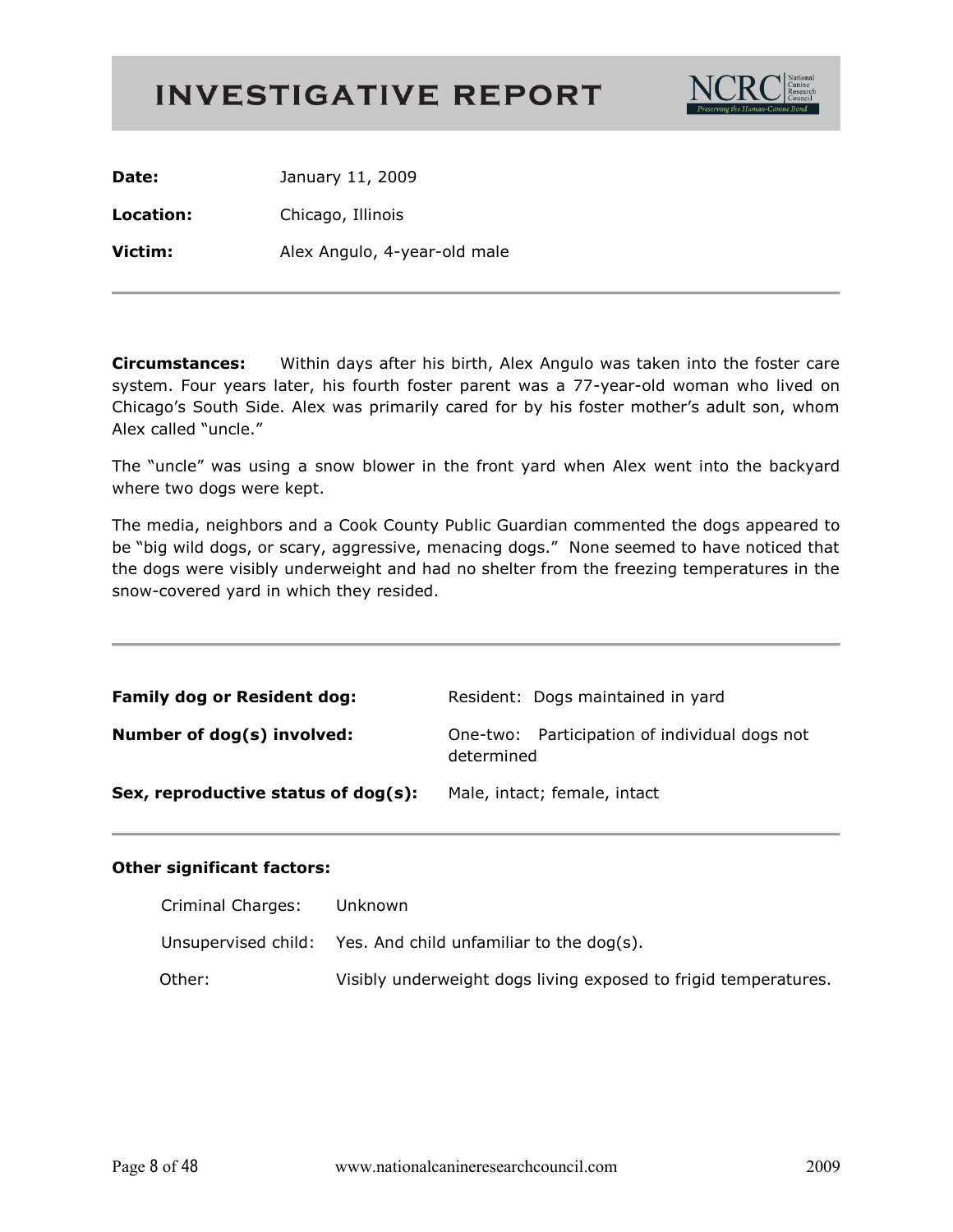

Date: January 11, 2009

Location: Chicago, Illinois

Victim: Alex Angulo, 4-year-old male

Within days after his birth, Alex Angulo was taken into the foster care Circumstances: system. Four years later, his fourth foster parent was a 77-year-old woman who lived on Chicago's South Side. Alex was primarily cared for by his foster mother's adult son, whom Alex called "uncle."

The "uncle" was using a snow blower in the front yard when Alex went into the backyard where two dogs were kept.

The media, neighbors and a Cook County Public Guardian commented the dogs appeared to be "big wild dogs, or scary, aggressive, menacing dogs." None seemed to have noticed that the dogs were visibly underweight and had no shelter from the freezing temperatures in the snow-covered yard in which they resided.

| <b>Family dog or Resident dog:</b>  | Resident: Dogs maintained in yard                           |
|-------------------------------------|-------------------------------------------------------------|
| Number of dog(s) involved:          | One-two: Participation of individual dogs not<br>determined |
| Sex, reproductive status of dog(s): | Male, intact; female, intact                                |

| Criminal Charges: | Unknown                                                         |
|-------------------|-----------------------------------------------------------------|
|                   | Unsupervised child: Yes. And child unfamiliar to the dog(s).    |
| Other:            | Visibly underweight dogs living exposed to frigid temperatures. |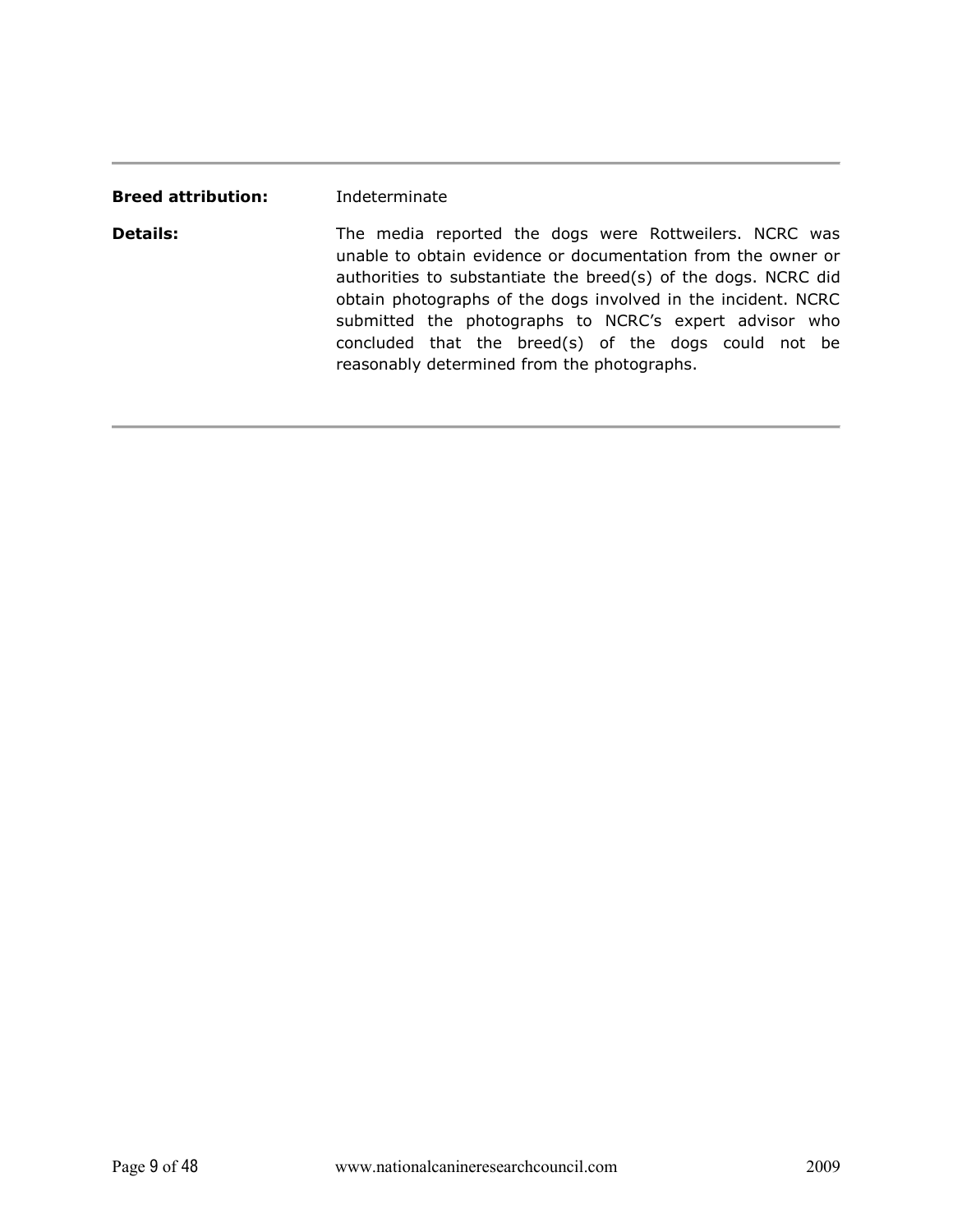| <b>Breed attribution:</b> | Indeterminate                                                                                                                                                                                                                                                                                                                                                                                                              |
|---------------------------|----------------------------------------------------------------------------------------------------------------------------------------------------------------------------------------------------------------------------------------------------------------------------------------------------------------------------------------------------------------------------------------------------------------------------|
| <b>Details:</b>           | The media reported the dogs were Rottweilers. NCRC was<br>unable to obtain evidence or documentation from the owner or<br>authorities to substantiate the breed(s) of the dogs. NCRC did<br>obtain photographs of the dogs involved in the incident. NCRC<br>submitted the photographs to NCRC's expert advisor who<br>concluded that the breed(s) of the dogs could not be<br>reasonably determined from the photographs. |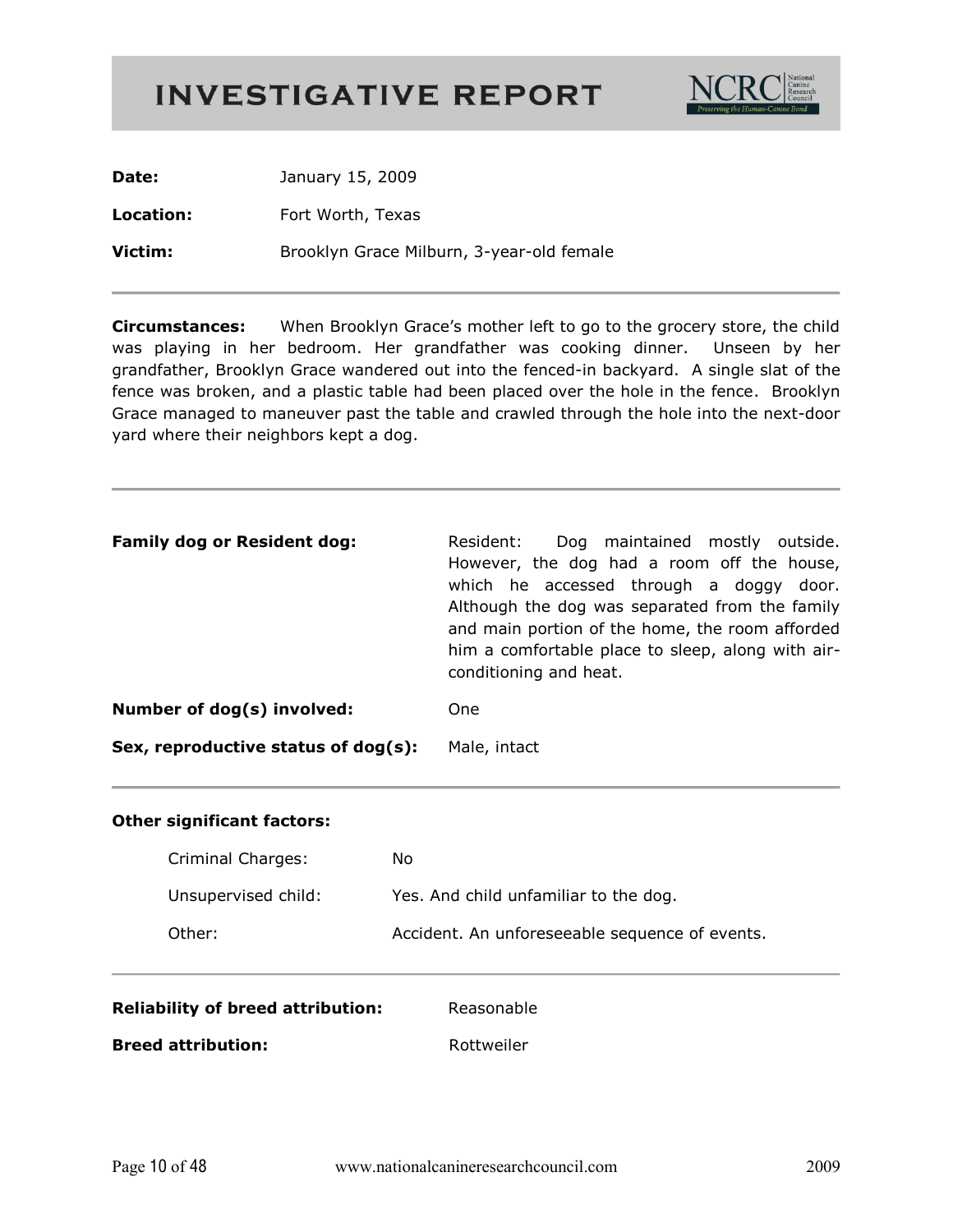

| Date:     | January 15, 2009                          |
|-----------|-------------------------------------------|
| Location: | Fort Worth, Texas                         |
| Victim:   | Brooklyn Grace Milburn, 3-year-old female |

**Circumstances:** When Brooklyn Grace's mother left to go to the grocery store, the child was playing in her bedroom. Her grandfather was cooking dinner. Unseen by her grandfather, Brooklyn Grace wandered out into the fenced-in backyard. A single slat of the fence was broken, and a plastic table had been placed over the hole in the fence. Brooklyn Grace managed to maneuver past the table and crawled through the hole into the next-door yard where their neighbors kept a dog.

| <b>Family dog or Resident dog:</b>  | Resident:<br>Dog maintained mostly outside.<br>However, the dog had a room off the house,<br>which he accessed through a doggy door.<br>Although the dog was separated from the family<br>and main portion of the home, the room afforded<br>him a comfortable place to sleep, along with air-<br>conditioning and heat. |
|-------------------------------------|--------------------------------------------------------------------------------------------------------------------------------------------------------------------------------------------------------------------------------------------------------------------------------------------------------------------------|
| Number of dog(s) involved:          | One                                                                                                                                                                                                                                                                                                                      |
| Sex, reproductive status of dog(s): | Male, intact                                                                                                                                                                                                                                                                                                             |

| Criminal Charges:   | No.                                            |
|---------------------|------------------------------------------------|
| Unsupervised child: | Yes. And child unfamiliar to the dog.          |
| Other:              | Accident. An unforeseeable sequence of events. |

| <b>Reliability of breed attribution:</b> | Reasonable |
|------------------------------------------|------------|
| <b>Breed attribution:</b>                | Rottweiler |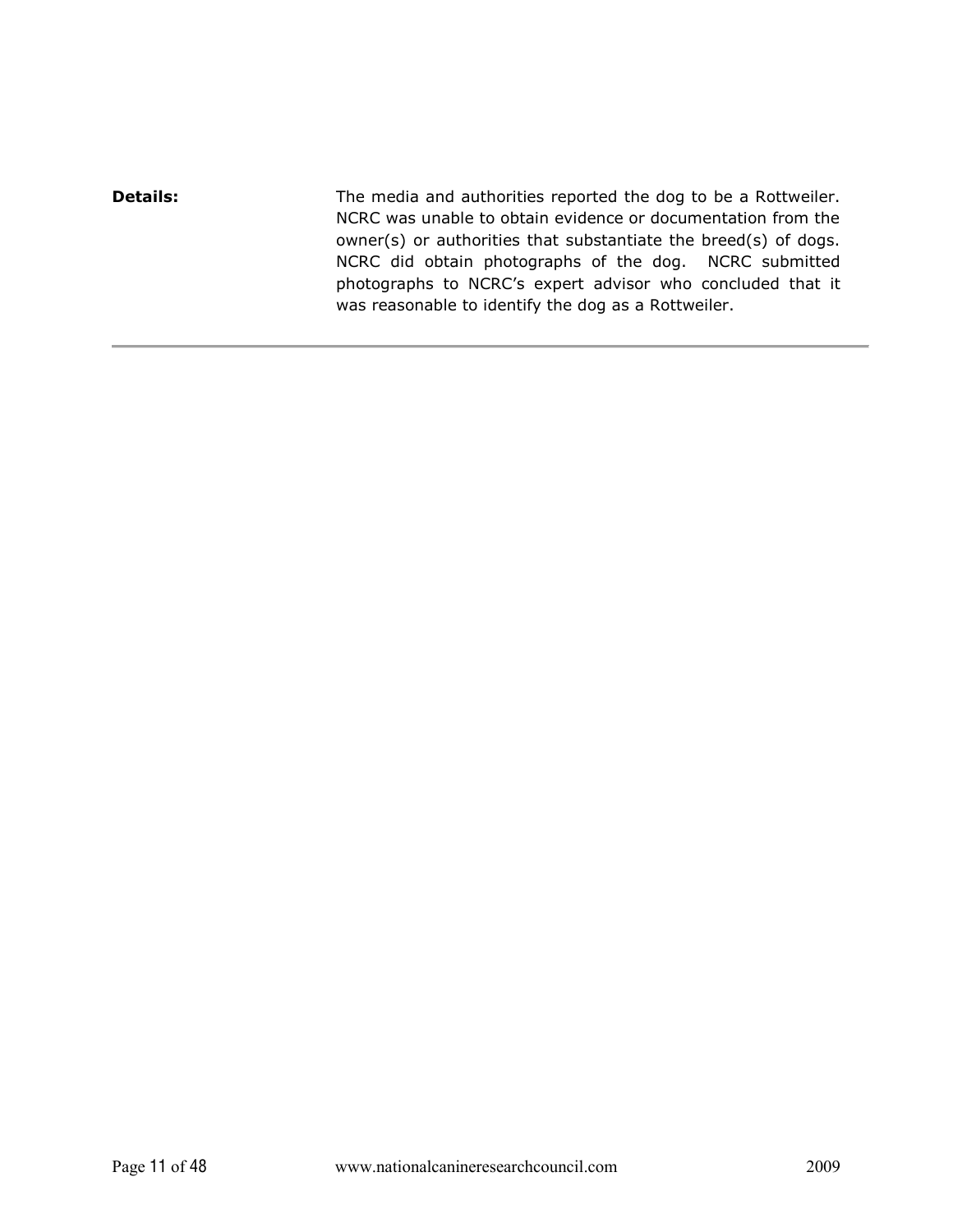**Details:** The media and authorities reported the dog to be a Rottweiler. NCRC was unable to obtain evidence or documentation from the owner(s) or authorities that substantiate the breed(s) of dogs. NCRC did obtain photographs of the dog. NCRC submitted photographs to NCRC's expert advisor who concluded that it was reasonable to identify the dog as a Rottweiler.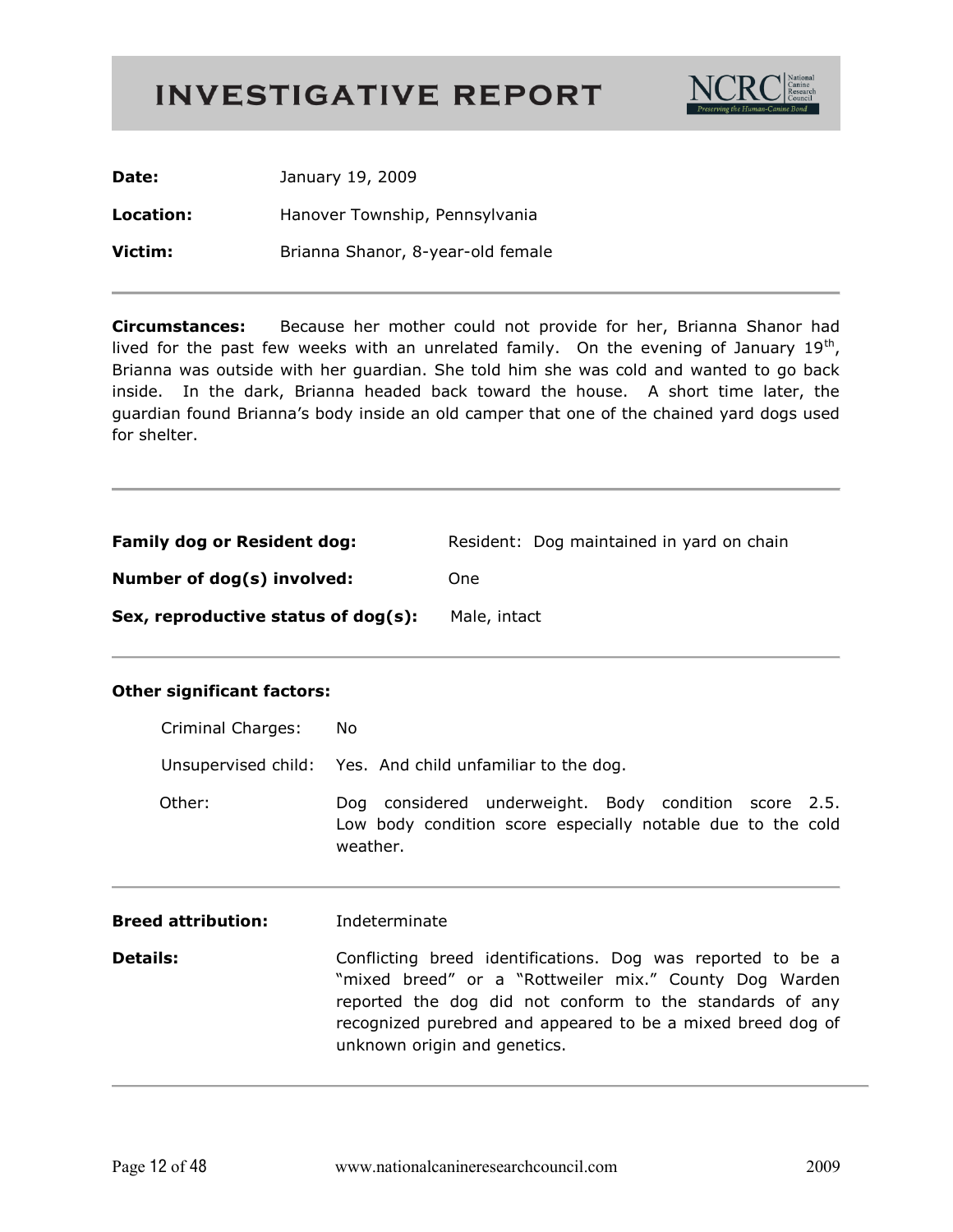

| Date:     | January 19, 2009                  |
|-----------|-----------------------------------|
| Location: | Hanover Township, Pennsylvania    |
| Victim:   | Brianna Shanor, 8-year-old female |

Because her mother could not provide for her, Brianna Shanor had **Circumstances:** lived for the past few weeks with an unrelated family. On the evening of January 19<sup>th</sup>, Brianna was outside with her guardian. She told him she was cold and wanted to go back inside. In the dark, Brianna headed back toward the house. A short time later, the guardian found Brianna's body inside an old camper that one of the chained yard dogs used for shelter.

| <b>Family dog or Resident dog:</b>  | Resident: Dog maintained in yard on chain |
|-------------------------------------|-------------------------------------------|
| Number of dog(s) involved:          | One                                       |
| Sex, reproductive status of dog(s): | Male, intact                              |

| Criminal Charges:         | No.                                                                                                                                                                                                                                                                              |
|---------------------------|----------------------------------------------------------------------------------------------------------------------------------------------------------------------------------------------------------------------------------------------------------------------------------|
|                           | Unsupervised child: Yes. And child unfamiliar to the dog.                                                                                                                                                                                                                        |
| Other:                    | Dog considered underweight. Body condition score 2.5.<br>Low body condition score especially notable due to the cold<br>weather.                                                                                                                                                 |
| <b>Breed attribution:</b> | Indeterminate                                                                                                                                                                                                                                                                    |
| <b>Details:</b>           | Conflicting breed identifications. Dog was reported to be a<br>"mixed breed" or a "Rottweiler mix." County Dog Warden<br>reported the dog did not conform to the standards of any<br>recognized purebred and appeared to be a mixed breed dog of<br>unknown origin and genetics. |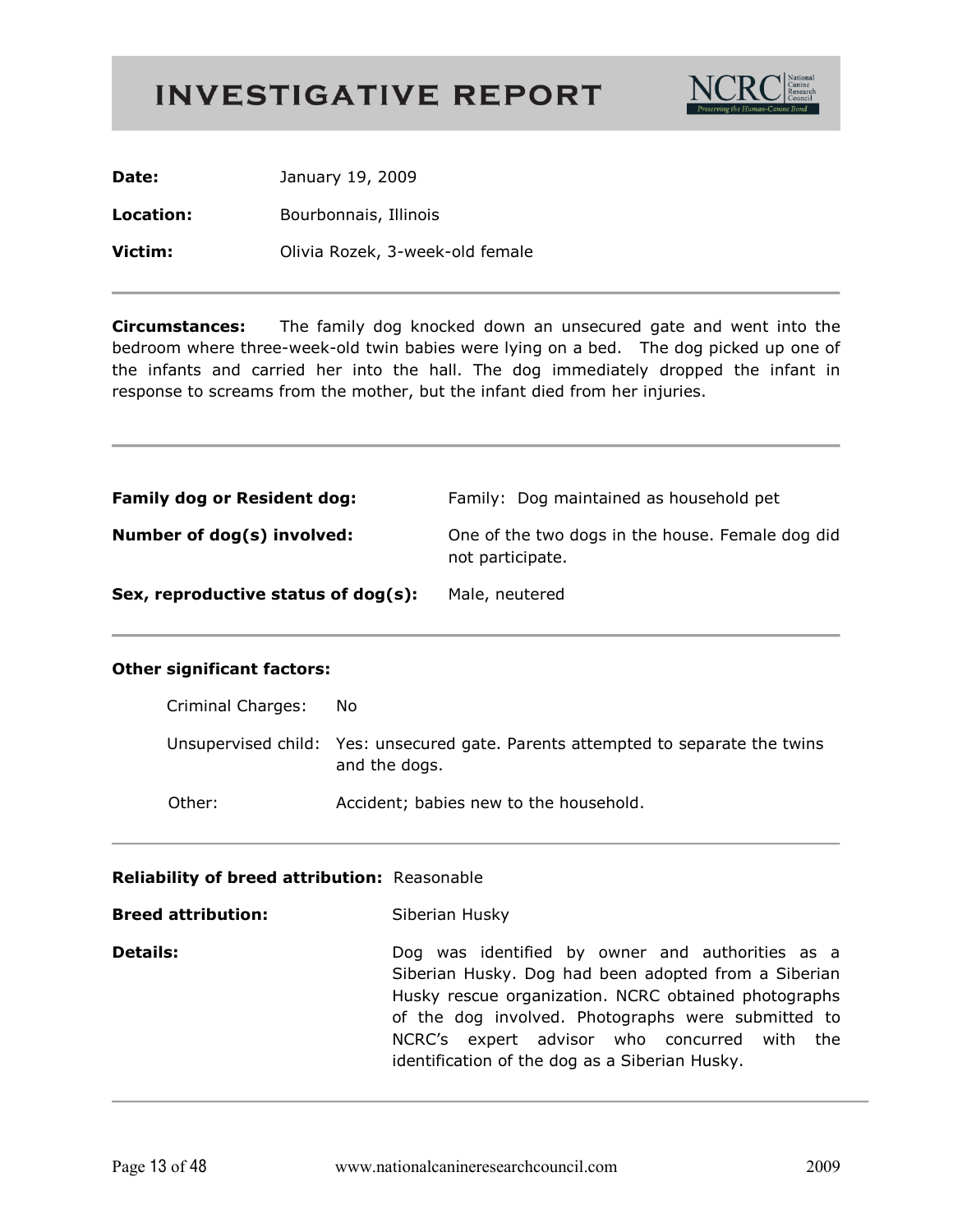

Date: January 19, 2009 Location: Bourbonnais, Illinois Victim: Olivia Rozek, 3-week-old female

**Circumstances:** The family dog knocked down an unsecured gate and went into the bedroom where three-week-old twin babies were lying on a bed. The dog picked up one of the infants and carried her into the hall. The dog immediately dropped the infant in response to screams from the mother, but the infant died from her injuries.

| <b>Family dog or Resident dog:</b>  | Family: Dog maintained as household pet                              |
|-------------------------------------|----------------------------------------------------------------------|
| Number of dog(s) involved:          | One of the two dogs in the house. Female dog did<br>not participate. |
| Sex, reproductive status of dog(s): | Male, neutered                                                       |

#### **Other significant factors:**

| Criminal Charges: | No.                                                                                               |
|-------------------|---------------------------------------------------------------------------------------------------|
|                   | Unsupervised child: Yes: unsecured gate. Parents attempted to separate the twins<br>and the dogs. |
| Other:            | Accident; babies new to the household.                                                            |

#### Reliability of breed attribution: Reasonable

**Breed attribution:** Siberian Husky **Details:** Dog was identified by owner and authorities as a Siberian Husky. Dog had been adopted from a Siberian Husky rescue organization. NCRC obtained photographs of the dog involved. Photographs were submitted to NCRC's expert advisor who concurred with the identification of the dog as a Siberian Husky.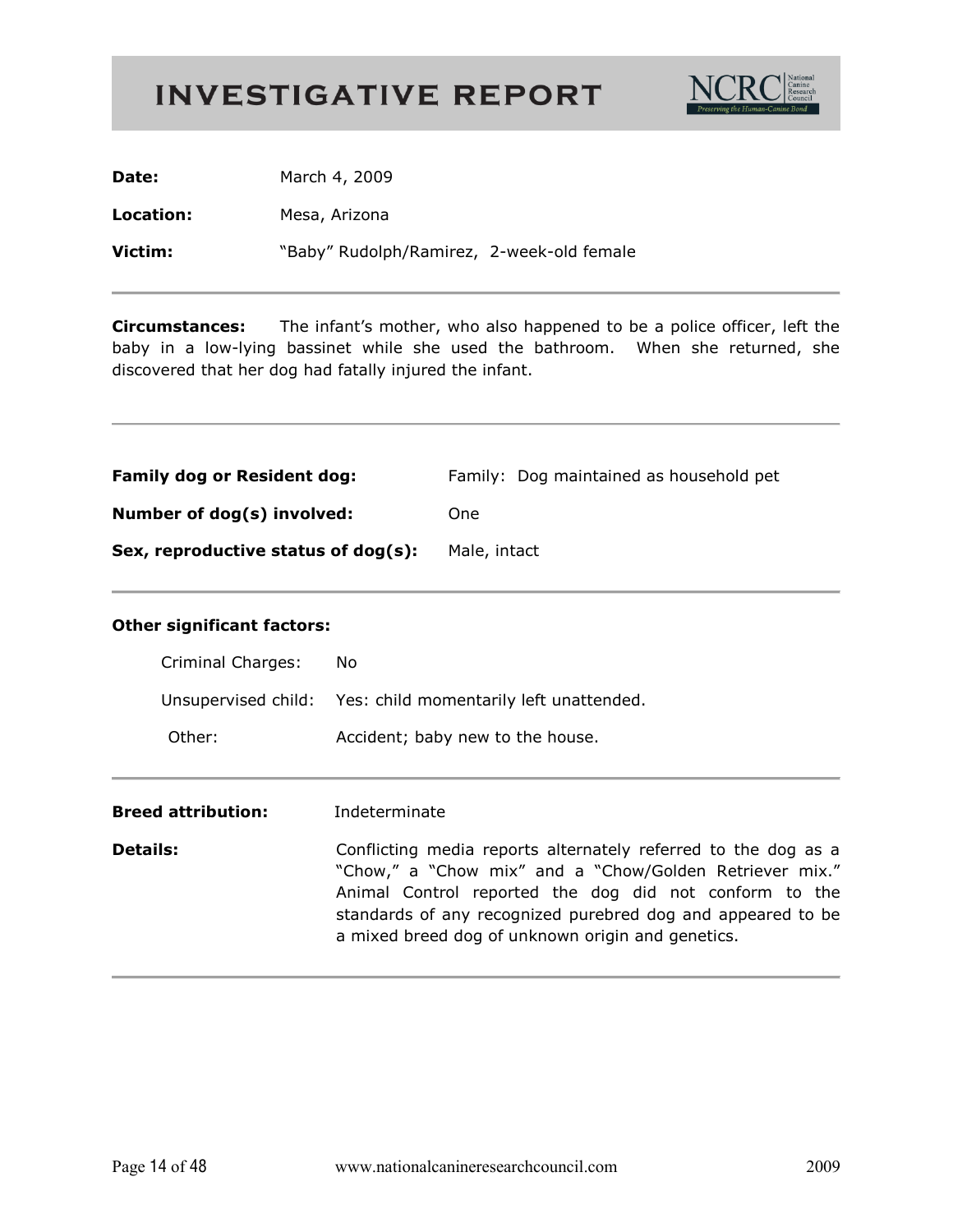

| Date:     | March 4, 2009                             |
|-----------|-------------------------------------------|
| Location: | Mesa, Arizona                             |
| Victim:   | "Baby" Rudolph/Ramirez, 2-week-old female |

**Circumstances:** The infant's mother, who also happened to be a police officer, left the baby in a low-lying bassinet while she used the bathroom. When she returned, she discovered that her dog had fatally injured the infant.

| <b>Family dog or Resident dog:</b>  | Family: Dog maintained as household pet |
|-------------------------------------|-----------------------------------------|
| Number of dog(s) involved:          | One                                     |
| Sex, reproductive status of dog(s): | Male, intact                            |

| Criminal Charges: | No.                                                         |
|-------------------|-------------------------------------------------------------|
|                   | Unsupervised child: Yes: child momentarily left unattended. |
| Other:            | Accident; baby new to the house.                            |
|                   |                                                             |

| <b>Breed attribution:</b> | Indeterminate                                                                                                                                                                                                                                                                                           |
|---------------------------|---------------------------------------------------------------------------------------------------------------------------------------------------------------------------------------------------------------------------------------------------------------------------------------------------------|
| <b>Details:</b>           | Conflicting media reports alternately referred to the dog as a<br>"Chow," a "Chow mix" and a "Chow/Golden Retriever mix."<br>Animal Control reported the dog did not conform to the<br>standards of any recognized purebred dog and appeared to be<br>a mixed breed dog of unknown origin and genetics. |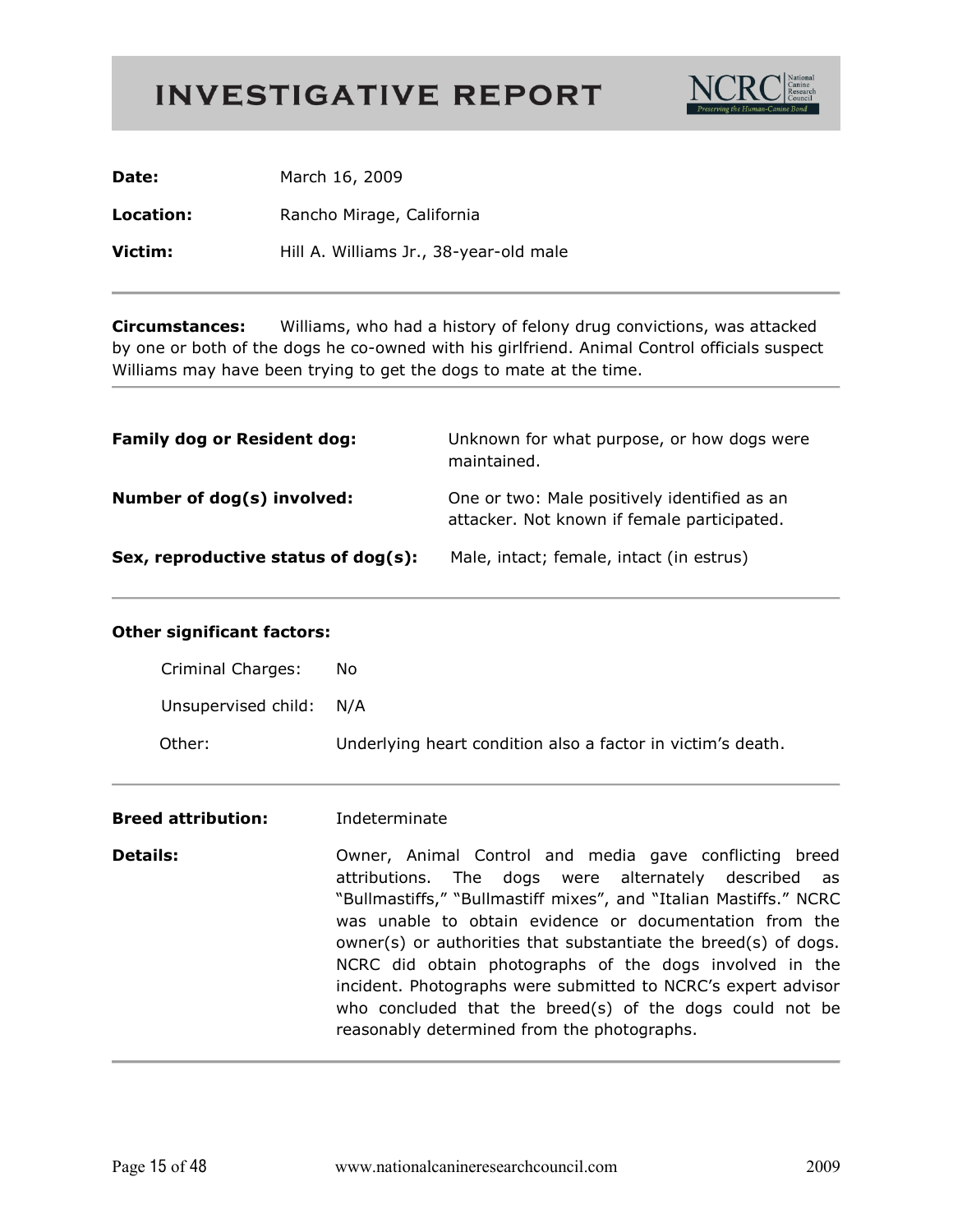

| Date:     | March 16, 2009                         |
|-----------|----------------------------------------|
| Location: | Rancho Mirage, California              |
| Victim:   | Hill A. Williams Jr., 38-year-old male |

**Circumstances:** Williams, who had a history of felony drug convictions, was attacked by one or both of the dogs he co-owned with his girlfriend. Animal Control officials suspect Williams may have been trying to get the dogs to mate at the time.

| <b>Family dog or Resident dog:</b>  | Unknown for what purpose, or how dogs were<br>maintained.                                   |
|-------------------------------------|---------------------------------------------------------------------------------------------|
| Number of dog(s) involved:          | One or two: Male positively identified as an<br>attacker. Not known if female participated. |
| Sex, reproductive status of dog(s): | Male, intact; female, intact (in estrus)                                                    |

#### **Other significant factors:**

| Criminal Charges:       | No.                                                         |
|-------------------------|-------------------------------------------------------------|
| Unsupervised child: N/A |                                                             |
| Other:                  | Underlying heart condition also a factor in victim's death. |

#### **Breed attribution:** Indeterminate

**Details:** Owner, Animal Control and media gave conflicting breed attributions. The dogs were alternately described as "Bullmastiffs," "Bullmastiff mixes", and "Italian Mastiffs." NCRC was unable to obtain evidence or documentation from the owner(s) or authorities that substantiate the breed(s) of dogs. NCRC did obtain photographs of the dogs involved in the incident. Photographs were submitted to NCRC's expert advisor who concluded that the breed(s) of the dogs could not be reasonably determined from the photographs.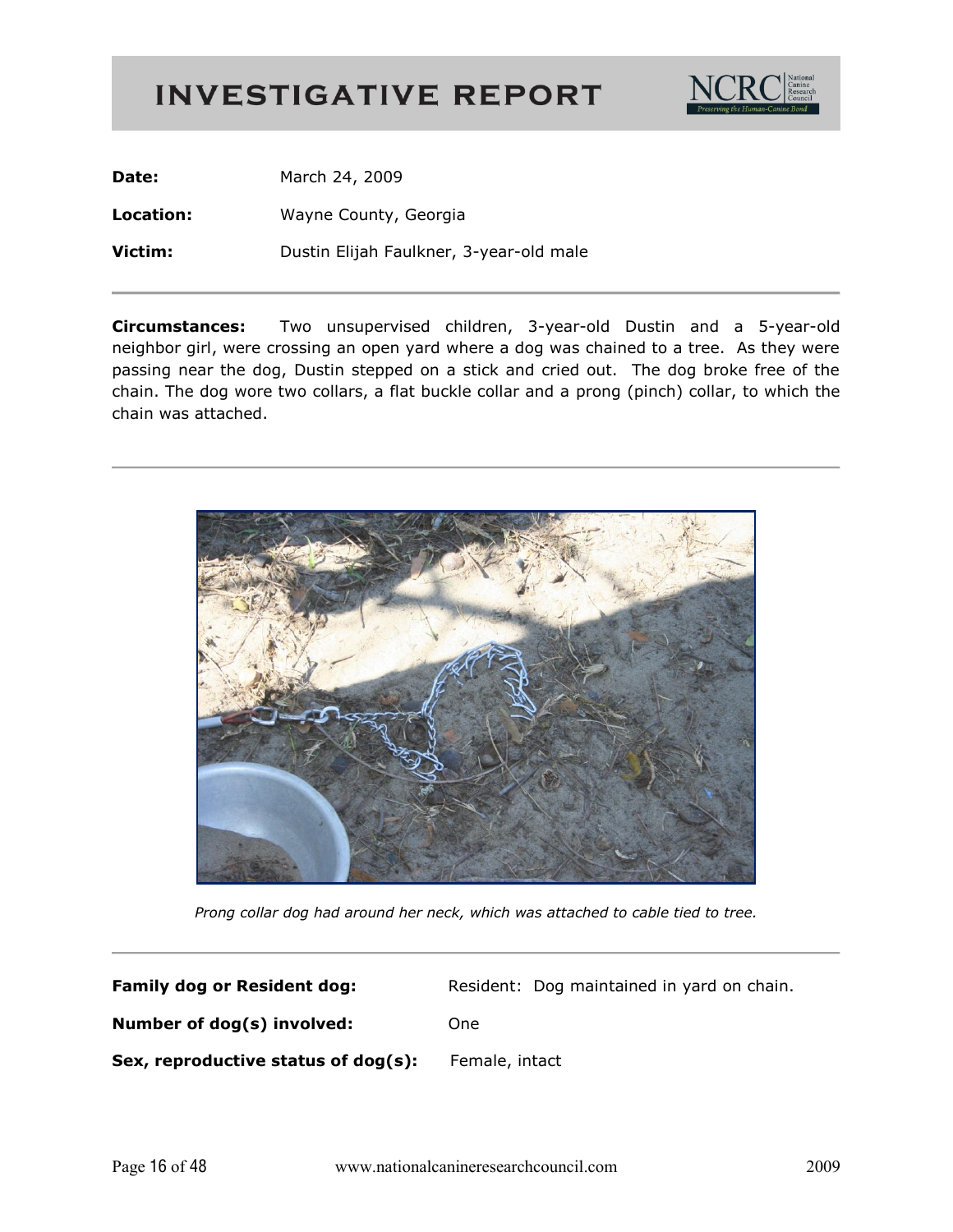

Date: March 24, 2009 Location: Wayne County, Georgia Victim: Dustin Elijah Faulkner, 3-year-old male

Two unsupervised children, 3-year-old Dustin and a 5-year-old **Circumstances:** neighbor girl, were crossing an open yard where a dog was chained to a tree. As they were passing near the dog, Dustin stepped on a stick and cried out. The dog broke free of the chain. The dog wore two collars, a flat buckle collar and a prong (pinch) collar, to which the chain was attached.



Prong collar dog had around her neck, which was attached to cable tied to tree.

| <b>Family dog or Resident dog:</b>  | Resident: Dog maintained in yard on chain. |
|-------------------------------------|--------------------------------------------|
| Number of dog(s) involved:          | <b>One</b>                                 |
| Sex, reproductive status of dog(s): | Female, intact                             |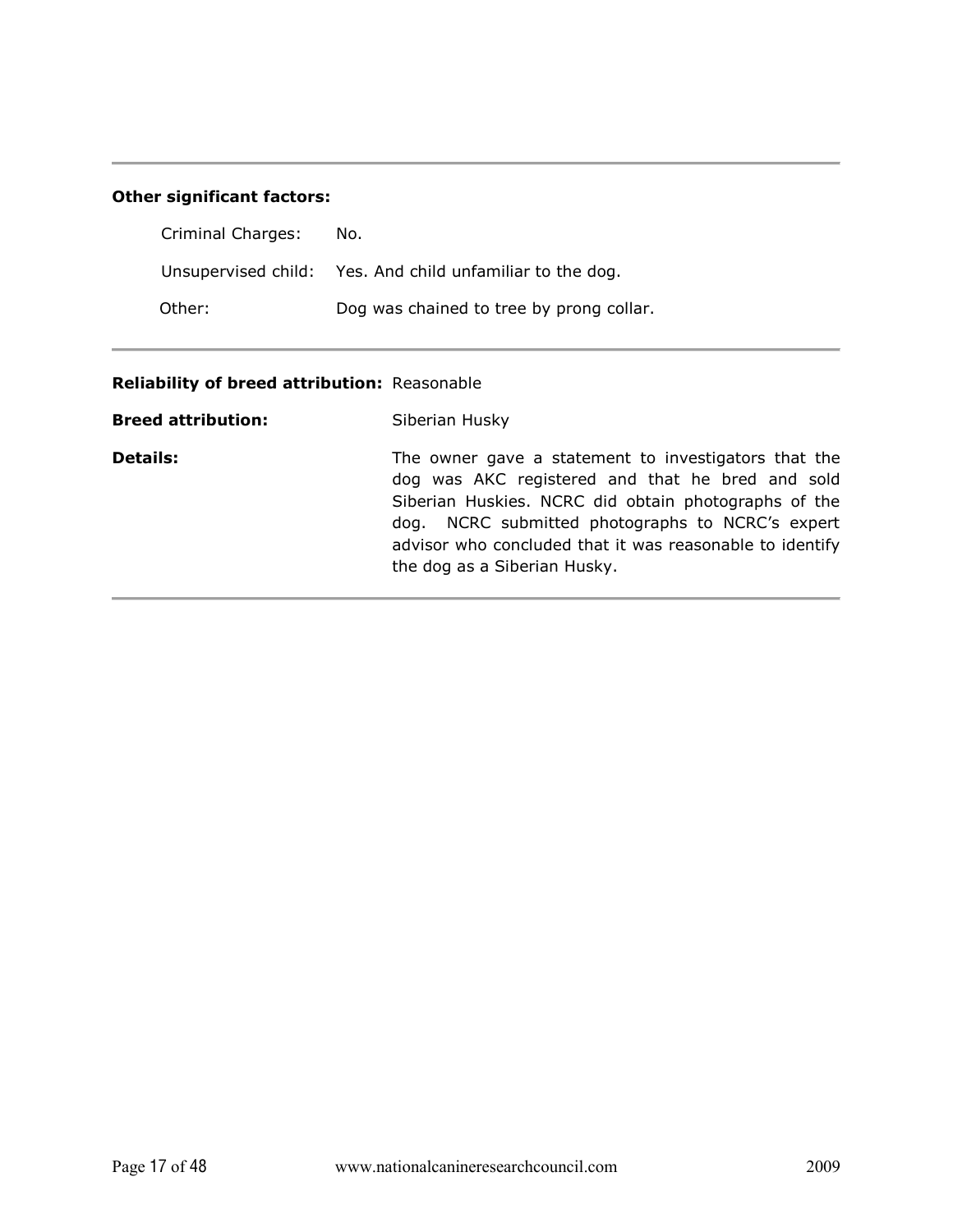#### **Other significant factors:**

| Criminal Charges: | No.                                                       |
|-------------------|-----------------------------------------------------------|
|                   | Unsupervised child: Yes. And child unfamiliar to the dog. |
| Other:            | Dog was chained to tree by prong collar.                  |

#### Reliability of breed attribution: Reasonable

| <b>Breed attribution:</b> | Siberian Husky                                                                                                                                                                                                                                                                                                   |
|---------------------------|------------------------------------------------------------------------------------------------------------------------------------------------------------------------------------------------------------------------------------------------------------------------------------------------------------------|
| <b>Details:</b>           | The owner gave a statement to investigators that the<br>dog was AKC registered and that he bred and sold<br>Siberian Huskies. NCRC did obtain photographs of the<br>dog. NCRC submitted photographs to NCRC's expert<br>advisor who concluded that it was reasonable to identify<br>the dog as a Siberian Husky. |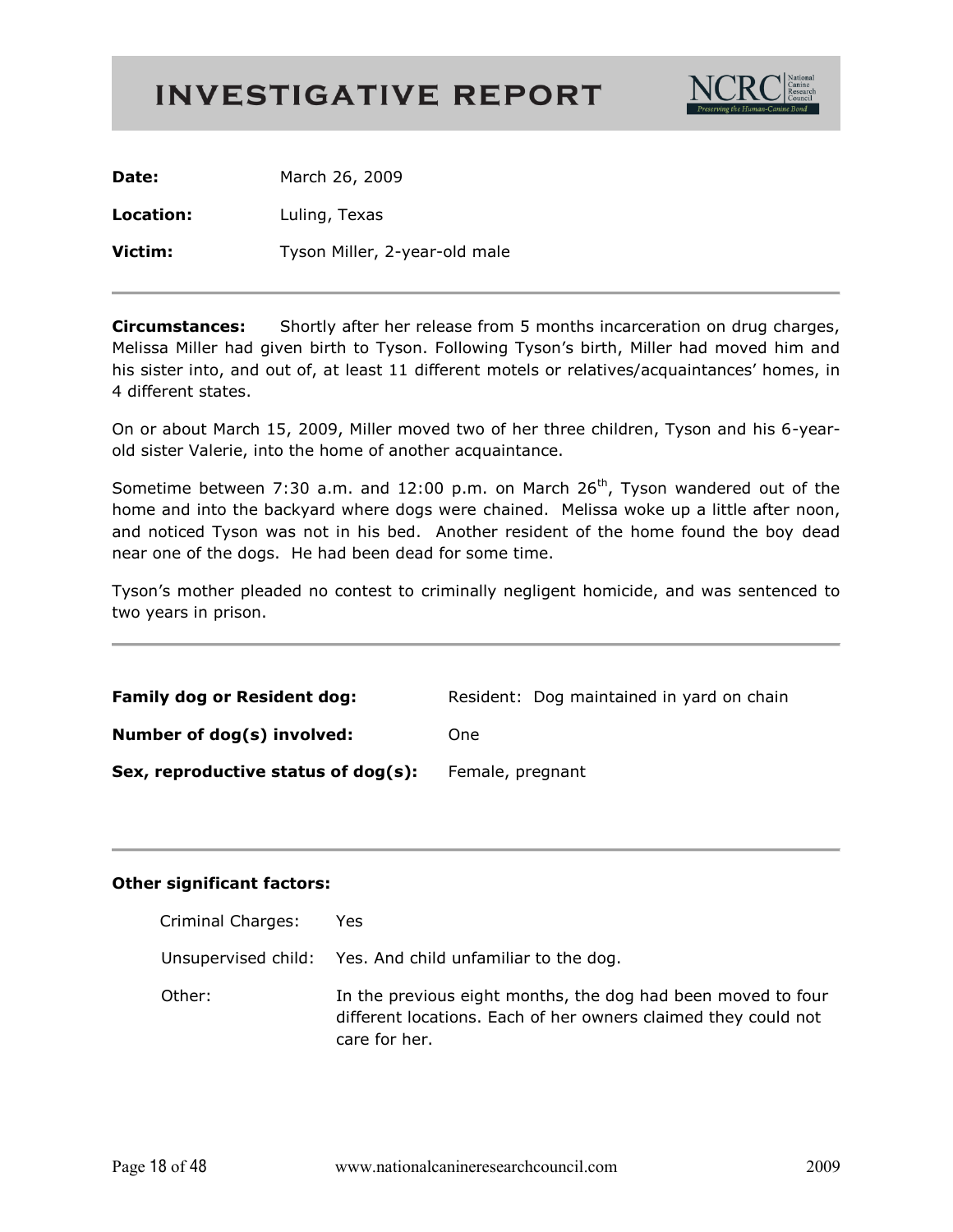

Date: March 26, 2009 Location: Luling, Texas Victim: Tyson Miller, 2-year-old male

**Circumstances:** Shortly after her release from 5 months incarceration on drug charges, Melissa Miller had given birth to Tyson. Following Tyson's birth, Miller had moved him and his sister into, and out of, at least 11 different motels or relatives/acquaintances' homes, in 4 different states.

On or about March 15, 2009, Miller moved two of her three children, Tyson and his 6-yearold sister Valerie, into the home of another acquaintance.

Sometime between 7:30 a.m. and 12:00 p.m. on March 26<sup>th</sup>, Tyson wandered out of the home and into the backyard where dogs were chained. Melissa woke up a little after noon, and noticed Tyson was not in his bed. Another resident of the home found the boy dead near one of the dogs. He had been dead for some time.

Tyson's mother pleaded no contest to criminally negligent homicide, and was sentenced to two years in prison.

| <b>Family dog or Resident dog:</b>  | Resident: Dog maintained in yard on chain |
|-------------------------------------|-------------------------------------------|
| Number of dog(s) involved:          | One                                       |
| Sex, reproductive status of dog(s): | Female, pregnant                          |

| Criminal Charges: | Yes                                                                                                                                             |
|-------------------|-------------------------------------------------------------------------------------------------------------------------------------------------|
|                   | Unsupervised child: Yes. And child unfamiliar to the dog.                                                                                       |
| Other:            | In the previous eight months, the dog had been moved to four<br>different locations. Each of her owners claimed they could not<br>care for her. |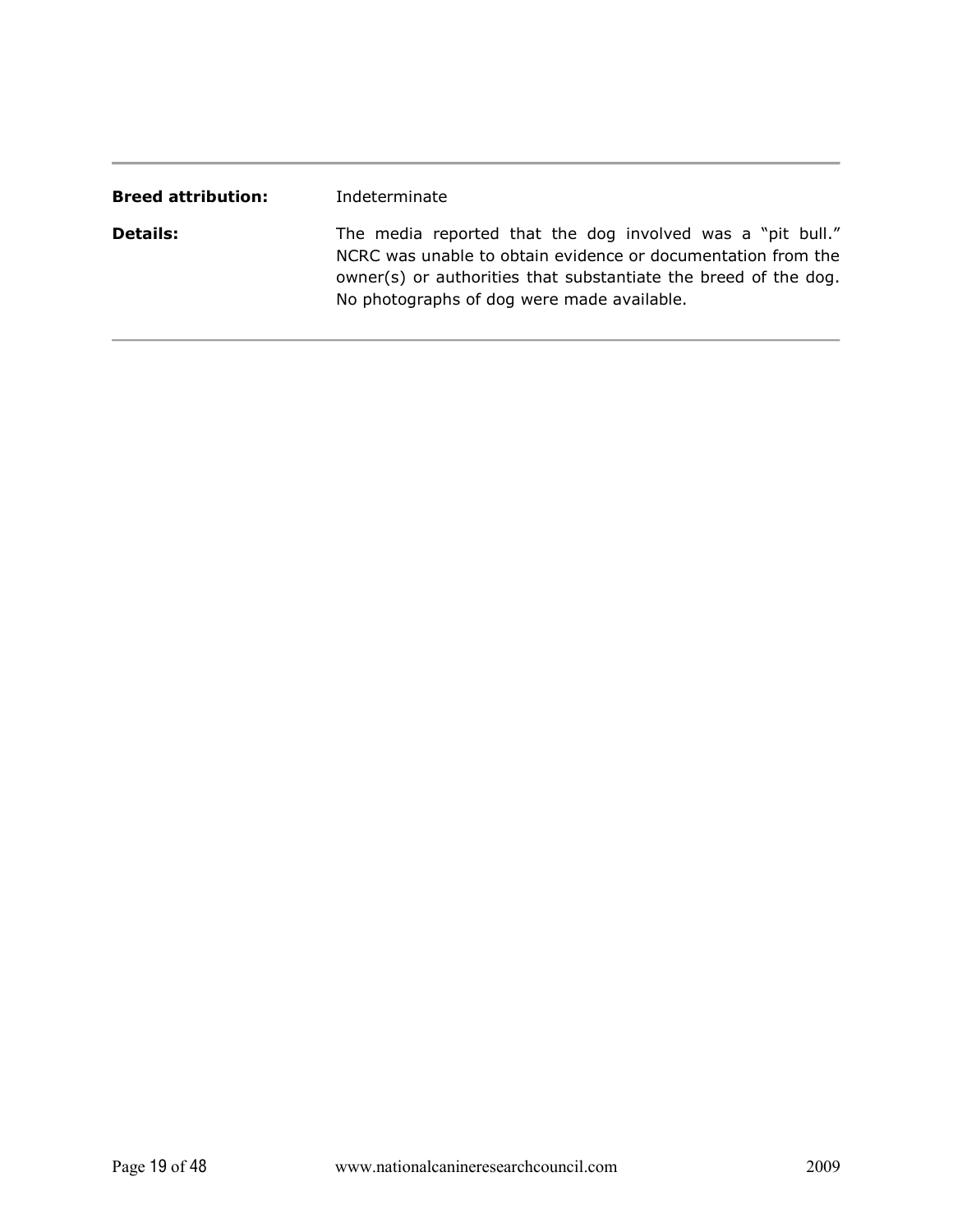| <b>Breed attribution:</b> | Indeterminate                                                                                                                                                                                                                               |
|---------------------------|---------------------------------------------------------------------------------------------------------------------------------------------------------------------------------------------------------------------------------------------|
| <b>Details:</b>           | The media reported that the dog involved was a "pit bull."<br>NCRC was unable to obtain evidence or documentation from the<br>owner(s) or authorities that substantiate the breed of the dog.<br>No photographs of dog were made available. |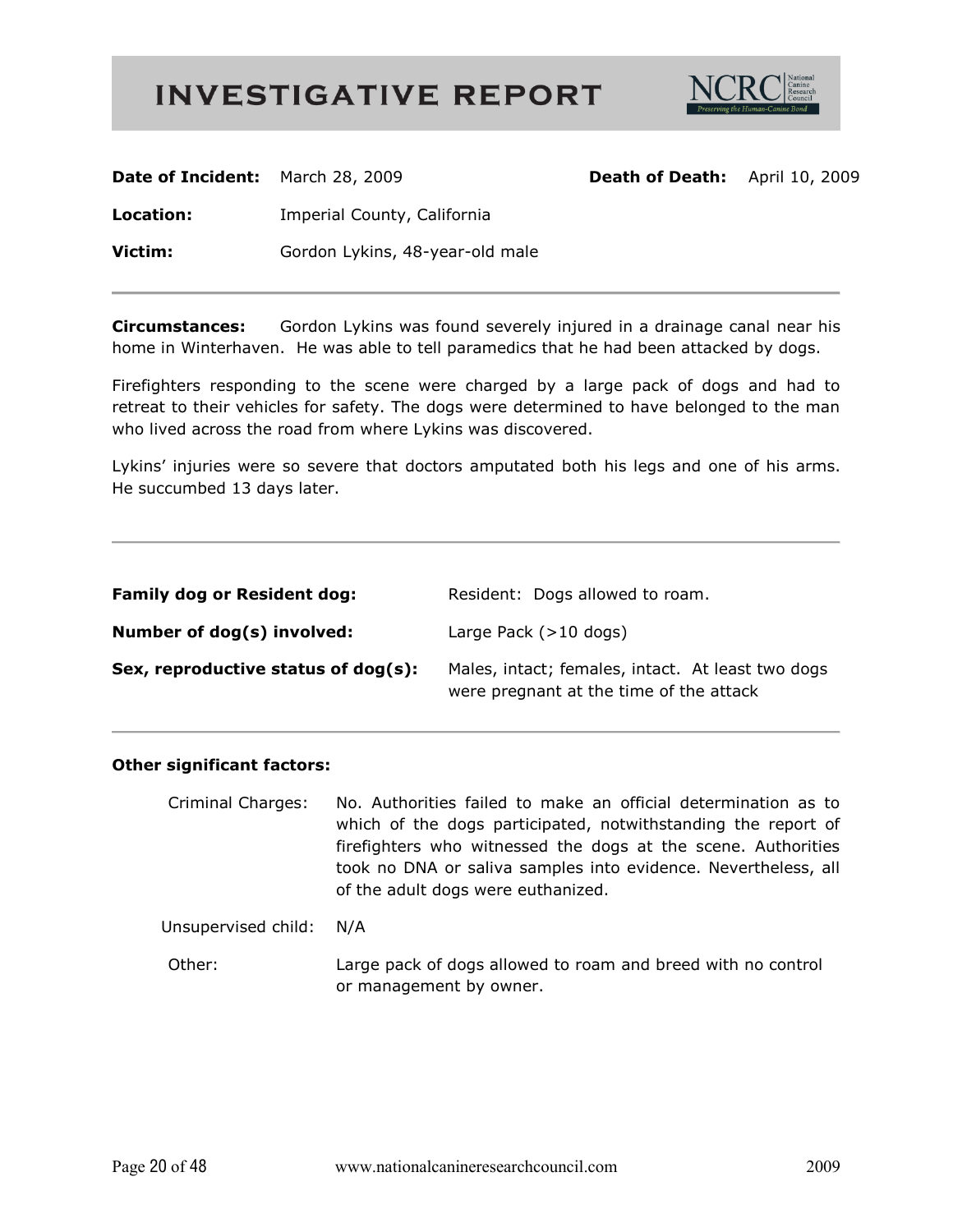

| Date of Incident: March 28, 2009 |                                 | <b>Death of Death:</b> | April 10, 2009 |
|----------------------------------|---------------------------------|------------------------|----------------|
| Location:                        | Imperial County, California     |                        |                |
| Victim:                          | Gordon Lykins, 48-year-old male |                        |                |
|                                  |                                 |                        |                |

**Circumstances:** Gordon Lykins was found severely injured in a drainage canal near his home in Winterhaven. He was able to tell paramedics that he had been attacked by dogs.

Firefighters responding to the scene were charged by a large pack of dogs and had to retreat to their vehicles for safety. The dogs were determined to have belonged to the man who lived across the road from where Lykins was discovered.

Lykins' injuries were so severe that doctors amputated both his legs and one of his arms. He succumbed 13 days later.

| <b>Family dog or Resident dog:</b>  | Resident: Dogs allowed to roam.                                                              |
|-------------------------------------|----------------------------------------------------------------------------------------------|
| Number of dog(s) involved:          | Large Pack $(>10$ dogs)                                                                      |
| Sex, reproductive status of dog(s): | Males, intact; females, intact. At least two dogs<br>were pregnant at the time of the attack |

| <b>Criminal Charges:</b> | No. Authorities failed to make an official determination as to<br>which of the dogs participated, notwithstanding the report of<br>firefighters who witnessed the dogs at the scene. Authorities<br>took no DNA or saliva samples into evidence. Nevertheless, all<br>of the adult dogs were euthanized. |
|--------------------------|----------------------------------------------------------------------------------------------------------------------------------------------------------------------------------------------------------------------------------------------------------------------------------------------------------|
| Unsupervised child: N/A  |                                                                                                                                                                                                                                                                                                          |
| Other:                   | Large pack of dogs allowed to roam and breed with no control<br>or management by owner.                                                                                                                                                                                                                  |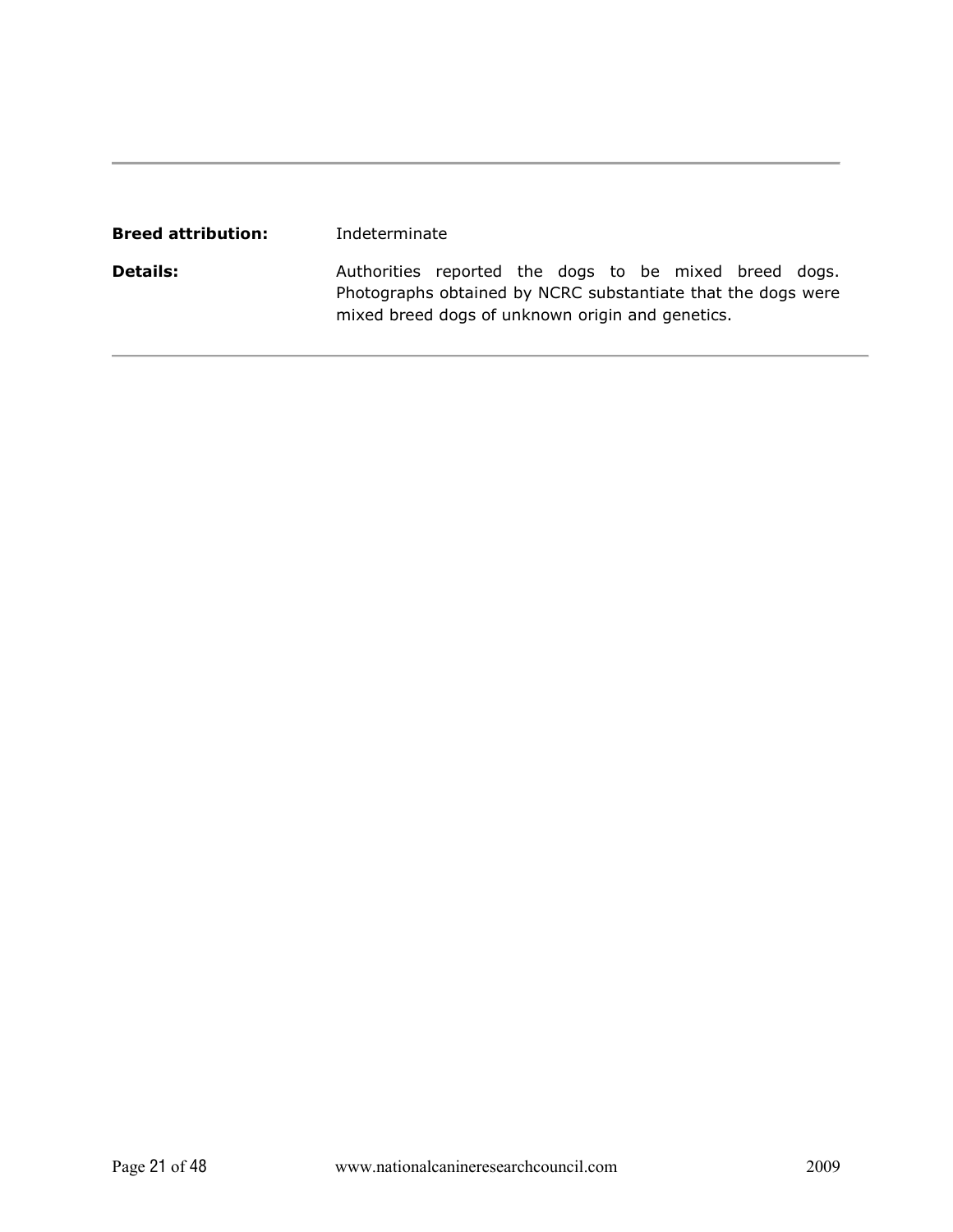| <b>Breed attribution:</b> | Indeterminate                                                                                                                                                             |  |  |  |  |
|---------------------------|---------------------------------------------------------------------------------------------------------------------------------------------------------------------------|--|--|--|--|
| <b>Details:</b>           | Authorities reported the dogs to be mixed breed dogs.<br>Photographs obtained by NCRC substantiate that the dogs were<br>mixed breed dogs of unknown origin and genetics. |  |  |  |  |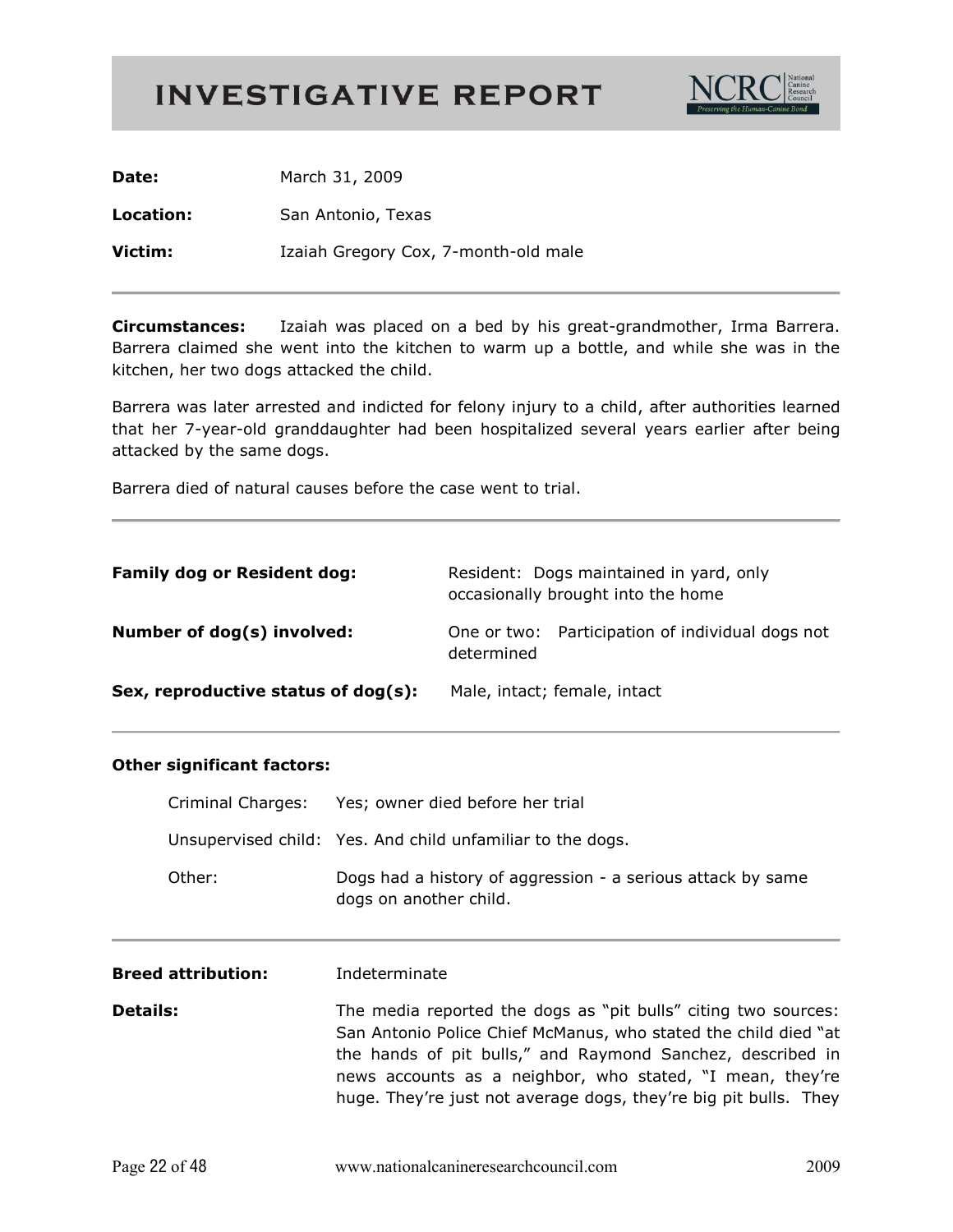

| Date:     | March 31, 2009                       |
|-----------|--------------------------------------|
| Location: | San Antonio, Texas                   |
| Victim:   | Izaiah Gregory Cox, 7-month-old male |

Izaiah was placed on a bed by his great-grandmother, Irma Barrera. **Circumstances:** Barrera claimed she went into the kitchen to warm up a bottle, and while she was in the kitchen, her two dogs attacked the child.

Barrera was later arrested and indicted for felony injury to a child, after authorities learned that her 7-year-old granddaughter had been hospitalized several years earlier after being attacked by the same dogs.

Barrera died of natural causes before the case went to trial.

| <b>Family dog or Resident dog:</b>  | Resident: Dogs maintained in yard, only<br>occasionally brought into the home |  |  |
|-------------------------------------|-------------------------------------------------------------------------------|--|--|
| Number of dog(s) involved:          | One or two: Participation of individual dogs not<br>determined                |  |  |
| Sex, reproductive status of dog(s): | Male, intact; female, intact                                                  |  |  |

| Criminal Charges:         | Yes; owner died before her trial                                                                                                                                                                                                                                                                                                 |
|---------------------------|----------------------------------------------------------------------------------------------------------------------------------------------------------------------------------------------------------------------------------------------------------------------------------------------------------------------------------|
|                           | Unsupervised child: Yes. And child unfamiliar to the dogs.                                                                                                                                                                                                                                                                       |
| Other:                    | Dogs had a history of aggression - a serious attack by same<br>dogs on another child.                                                                                                                                                                                                                                            |
| <b>Breed attribution:</b> | Indeterminate                                                                                                                                                                                                                                                                                                                    |
| <b>Details:</b>           | The media reported the dogs as "pit bulls" citing two sources:<br>San Antonio Police Chief McManus, who stated the child died "at<br>the hands of pit bulls," and Raymond Sanchez, described in<br>news accounts as a neighbor, who stated, "I mean, they're<br>huge. They're just not average dogs, they're big pit bulls. They |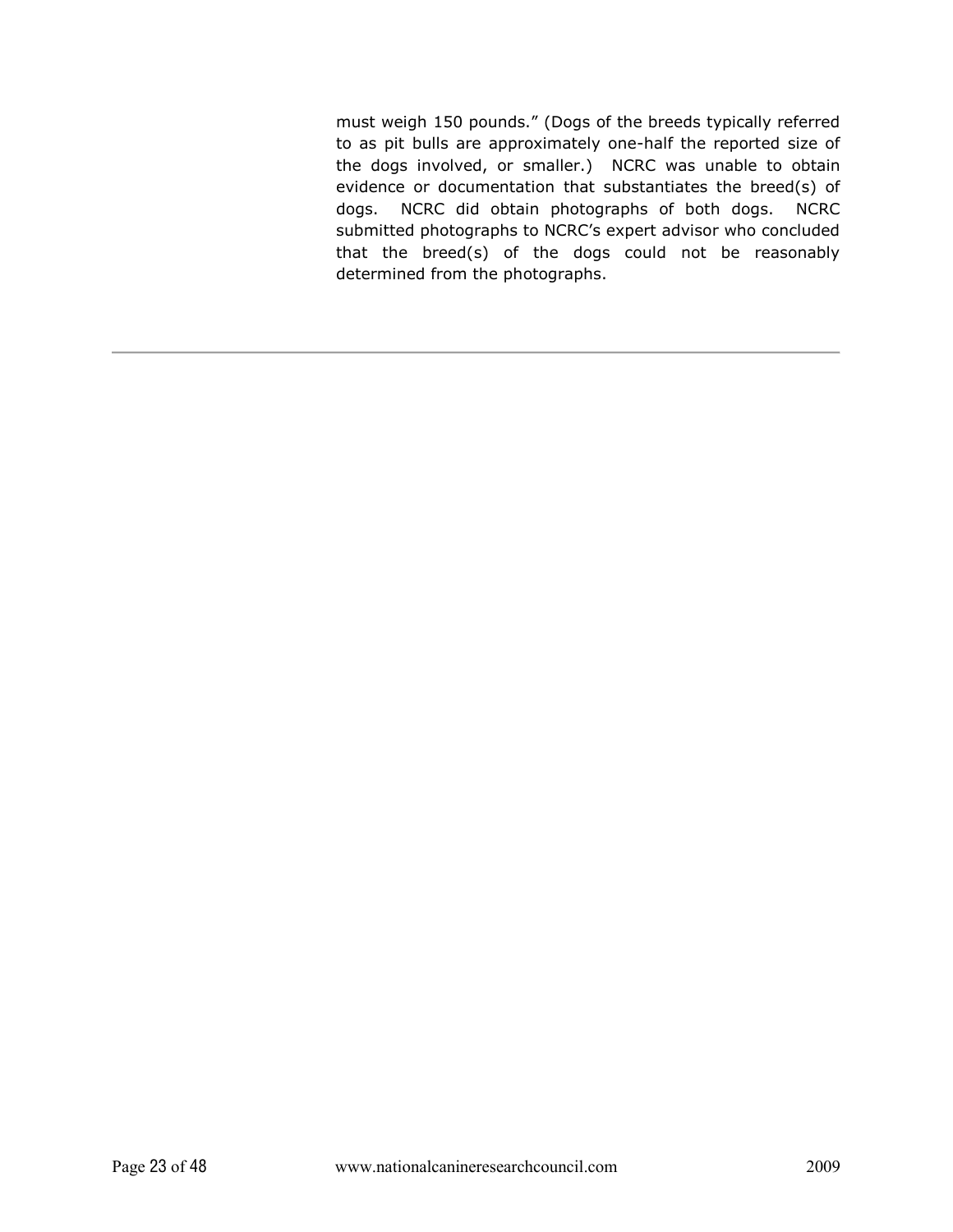must weigh 150 pounds." (Dogs of the breeds typically referred to as pit bulls are approximately one-half the reported size of the dogs involved, or smaller.) NCRC was unable to obtain evidence or documentation that substantiates the breed(s) of dogs. NCRC did obtain photographs of both dogs. NCRC submitted photographs to NCRC's expert advisor who concluded that the breed(s) of the dogs could not be reasonably determined from the photographs.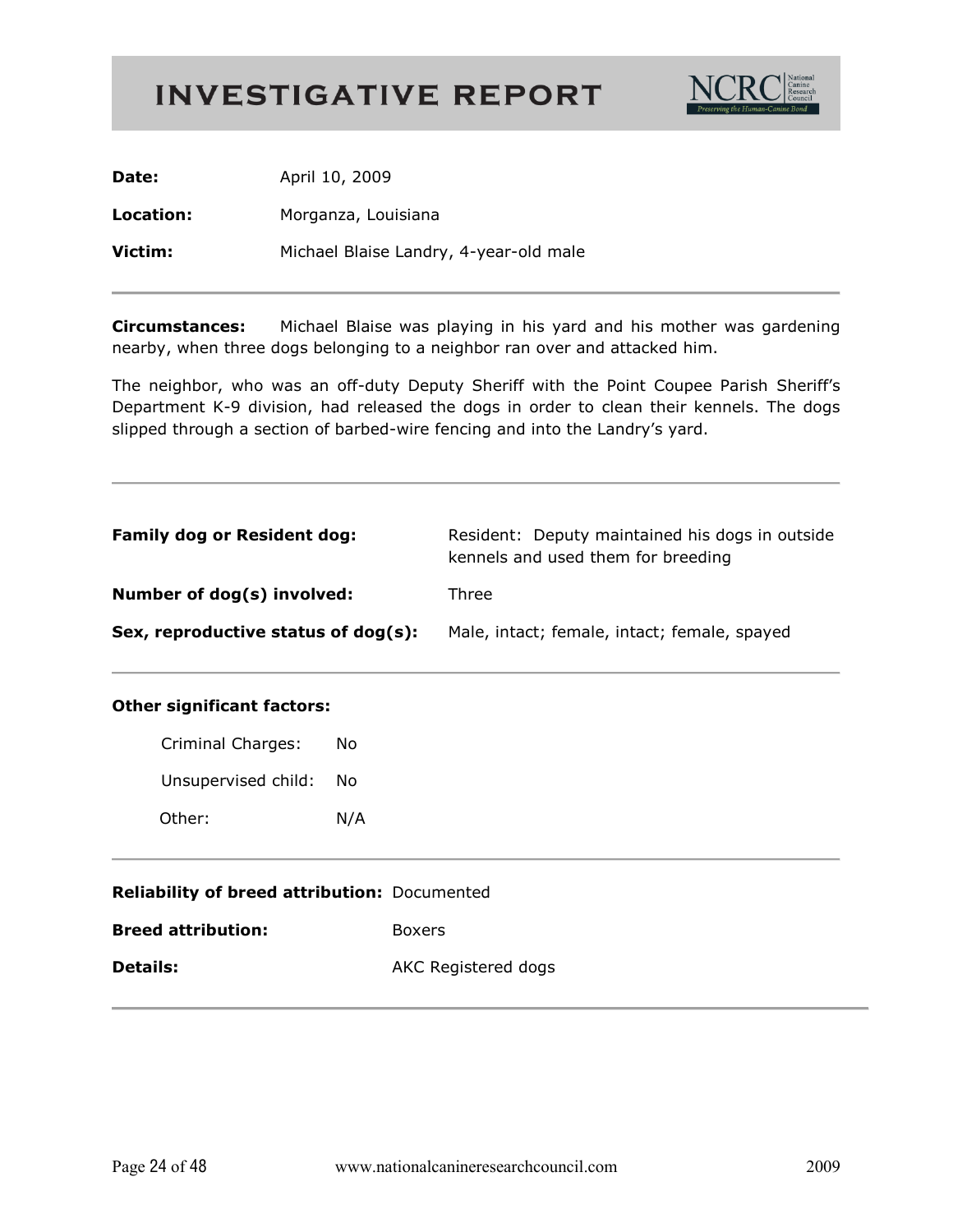

Date: April 10, 2009

Location: Morganza, Louisiana

Victim: Michael Blaise Landry, 4-year-old male

**Circumstances:** Michael Blaise was playing in his yard and his mother was gardening nearby, when three dogs belonging to a neighbor ran over and attacked him.

The neighbor, who was an off-duty Deputy Sheriff with the Point Coupee Parish Sheriff's Department K-9 division, had released the dogs in order to clean their kennels. The dogs slipped through a section of barbed-wire fencing and into the Landry's yard.

| <b>Family dog or Resident dog:</b>  | Resident: Deputy maintained his dogs in outside<br>kennels and used them for breeding |
|-------------------------------------|---------------------------------------------------------------------------------------|
| Number of dog(s) involved:          | Three                                                                                 |
| Sex, reproductive status of dog(s): | Male, intact; female, intact; female, spayed                                          |

| <b>Criminal Charges:</b> | No  |
|--------------------------|-----|
| Unsupervised child:      | Nο  |
| Other:                   | N/A |

| <b>Reliability of breed attribution: Documented</b> |                     |
|-----------------------------------------------------|---------------------|
| Breed attribution:                                  | <b>Boxers</b>       |
| Details:                                            | AKC Registered dogs |
|                                                     |                     |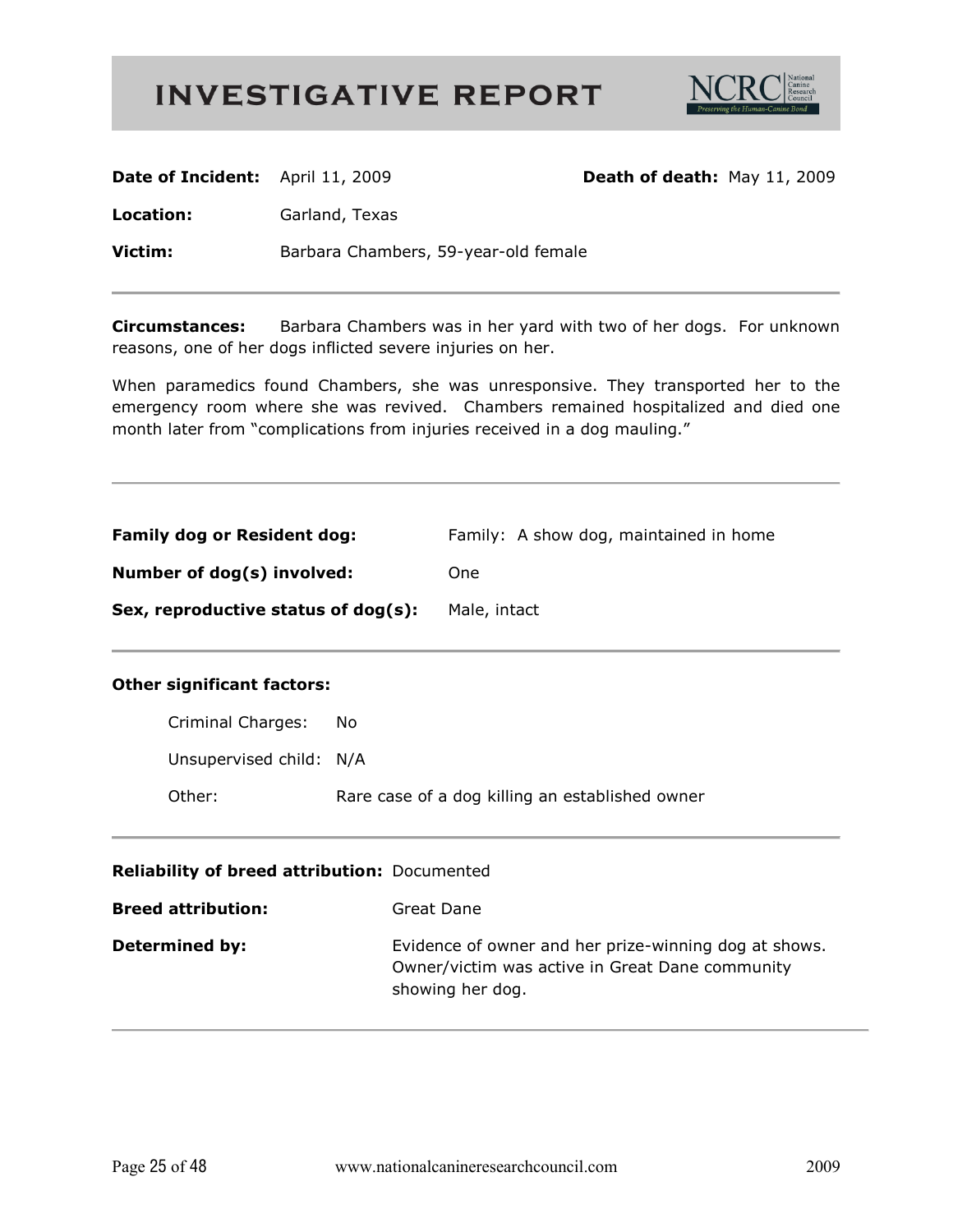

| Date of Incident: April 11, 2009 |                                      | Death of death: May 11, 2009 |  |
|----------------------------------|--------------------------------------|------------------------------|--|
| Location:                        | Garland, Texas                       |                              |  |
| Victim:                          | Barbara Chambers, 59-year-old female |                              |  |
|                                  |                                      |                              |  |

**Circumstances:** Barbara Chambers was in her yard with two of her dogs. For unknown reasons, one of her dogs inflicted severe injuries on her.

When paramedics found Chambers, she was unresponsive. They transported her to the emergency room where she was revived. Chambers remained hospitalized and died one month later from "complications from injuries received in a dog mauling."

| <b>Family dog or Resident dog:</b>  | Family: A show dog, maintained in home |
|-------------------------------------|----------------------------------------|
| Number of dog(s) involved:          | <b>One</b>                             |
| Sex, reproductive status of dog(s): | Male, intact                           |

#### **Other significant factors:**

| Other:                  | Rare case of a dog killing an established owner |
|-------------------------|-------------------------------------------------|
| Unsupervised child: N/A |                                                 |
| Criminal Charges:       | No.                                             |

#### Reliability of breed attribution: Documented

| <b>Breed attribution:</b> | Great Dane                                                                                                                   |
|---------------------------|------------------------------------------------------------------------------------------------------------------------------|
| <b>Determined by:</b>     | Evidence of owner and her prize-winning dog at shows.<br>Owner/victim was active in Great Dane community<br>showing her dog. |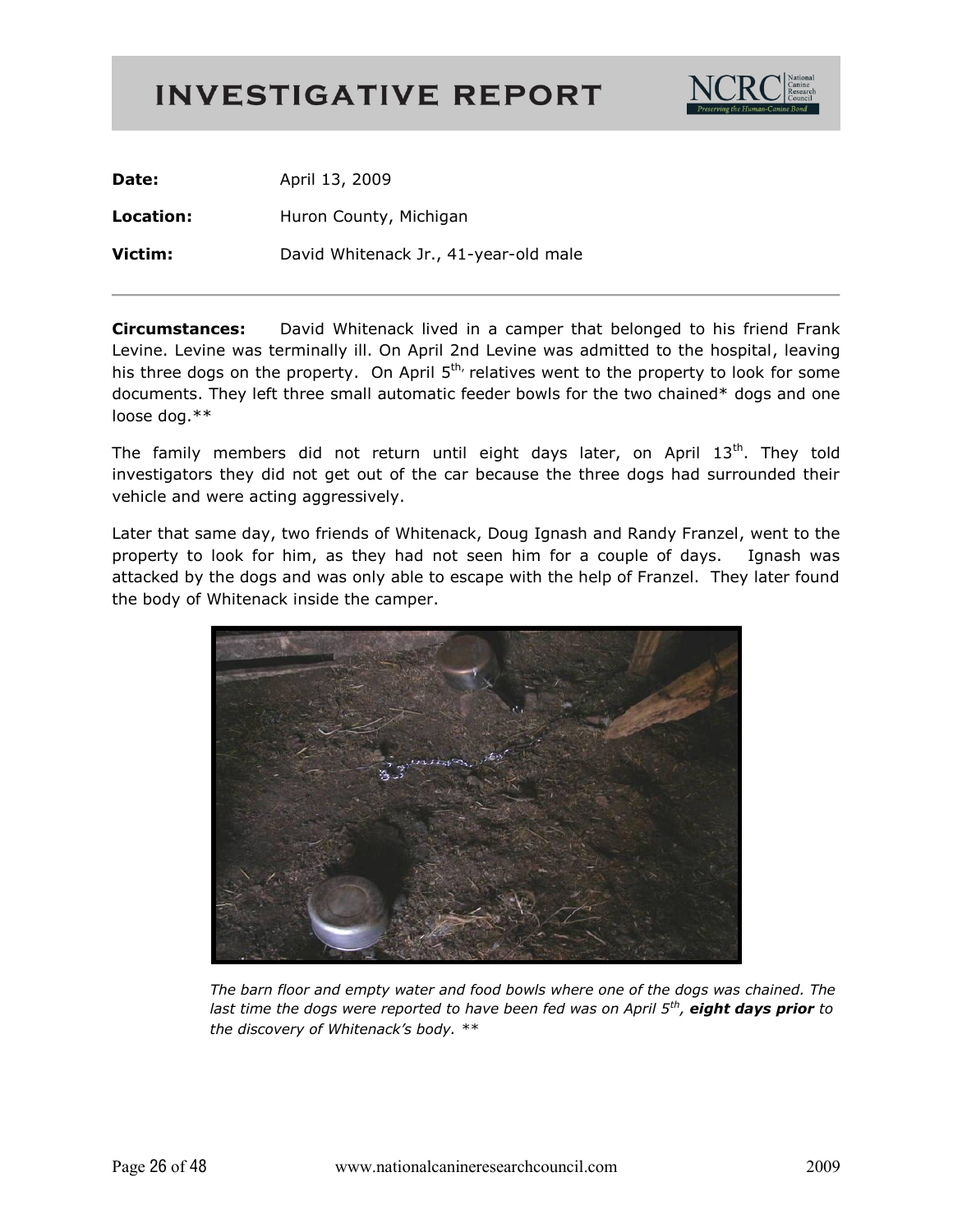

**Date:** April 13, 2009 **Location:** Huron County, Michigan **Victim:** David Whitenack Jr., 41-year-old male

**Circumstances:** David Whitenack lived in a camper that belonged to his friend Frank Levine. Levine was terminally ill. On April 2nd Levine was admitted to the hospital, leaving his three dogs on the property. On April  $5<sup>th</sup>$ , relatives went to the property to look for some documents. They left three small automatic feeder bowls for the two chained\* dogs and one loose dog.\*\*

The family members did not return until eight days later, on April  $13<sup>th</sup>$ . They told investigators they did not get out of the car because the three dogs had surrounded their vehicle and were acting aggressively.

Later that same day, two friends of Whitenack, Doug Ignash and Randy Franzel, went to the property to look for him, as they had not seen him for a couple of days. Ignash was attacked by the dogs and was only able to escape with the help of Franzel. They later found the body of Whitenack inside the camper.



The barn floor and empty water and food bowls where one of the dogs was chained. The *last time the dogs were reported to have been fed was on April 5<sup>th</sup>, eight days prior to* the discovery of Whitenack's body. \*\*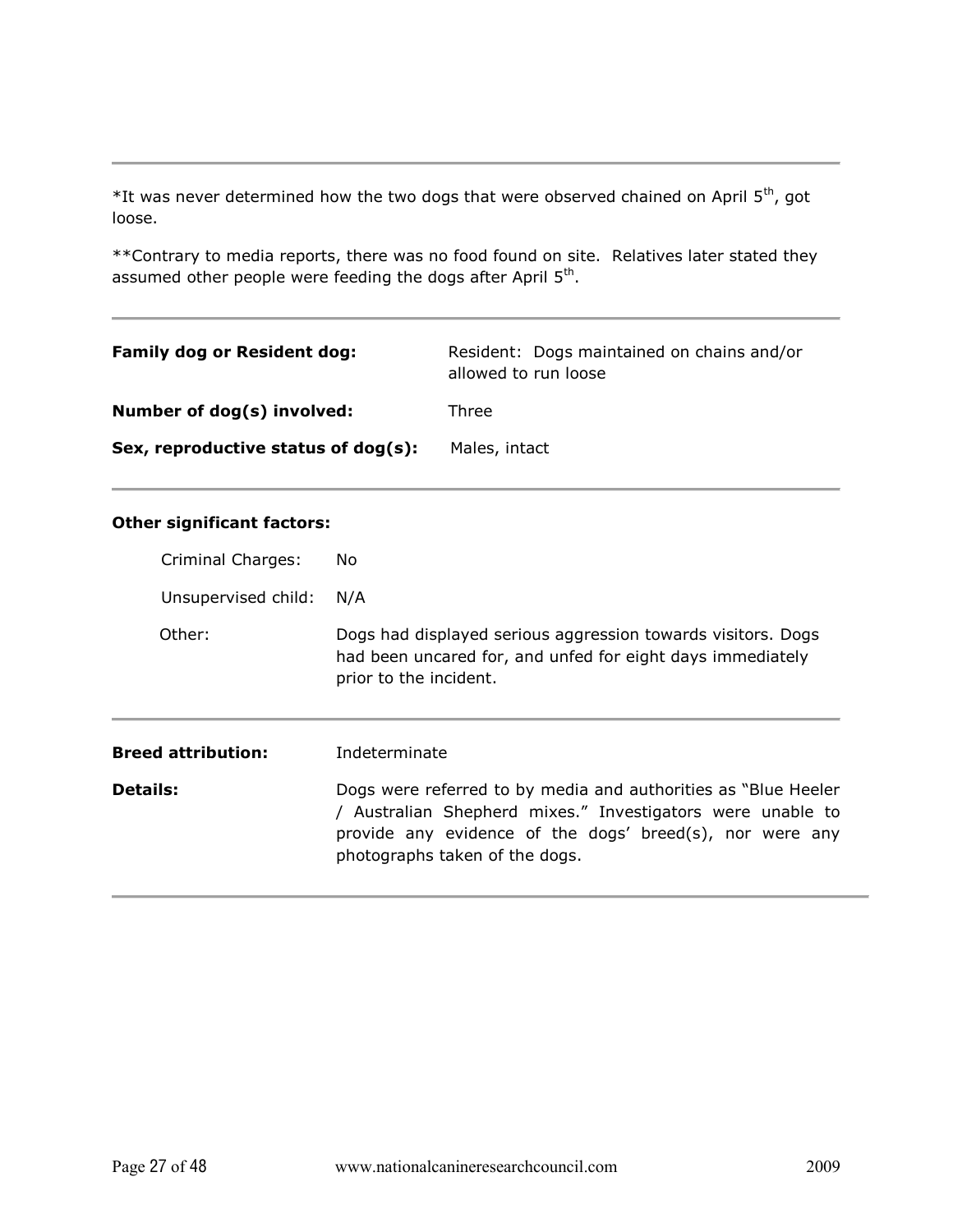$*$ It was never determined how the two dogs that were observed chained on April  $5^{th}$ , got loose.

\*\*Contrary to media reports, there was no food found on site. Relatives later stated they assumed other people were feeding the dogs after April  $5<sup>th</sup>$ .

| <b>Family dog or Resident dog:</b>  | Resident: Dogs maintained on chains and/or<br>allowed to run loose |
|-------------------------------------|--------------------------------------------------------------------|
| Number of dog(s) involved:          | Three                                                              |
| Sex, reproductive status of dog(s): | Males, intact                                                      |

| Criminal Charges:         | No.                                                                                                                                                                                                                        |
|---------------------------|----------------------------------------------------------------------------------------------------------------------------------------------------------------------------------------------------------------------------|
| Unsupervised child:       | N/A                                                                                                                                                                                                                        |
| Other:                    | Dogs had displayed serious aggression towards visitors. Dogs<br>had been uncared for, and unfed for eight days immediately<br>prior to the incident.                                                                       |
| <b>Breed attribution:</b> | Indeterminate                                                                                                                                                                                                              |
| <b>Details:</b>           | Dogs were referred to by media and authorities as "Blue Heeler<br>/ Australian Shepherd mixes." Investigators were unable to<br>provide any evidence of the dogs' breed(s), nor were any<br>photographs taken of the dogs. |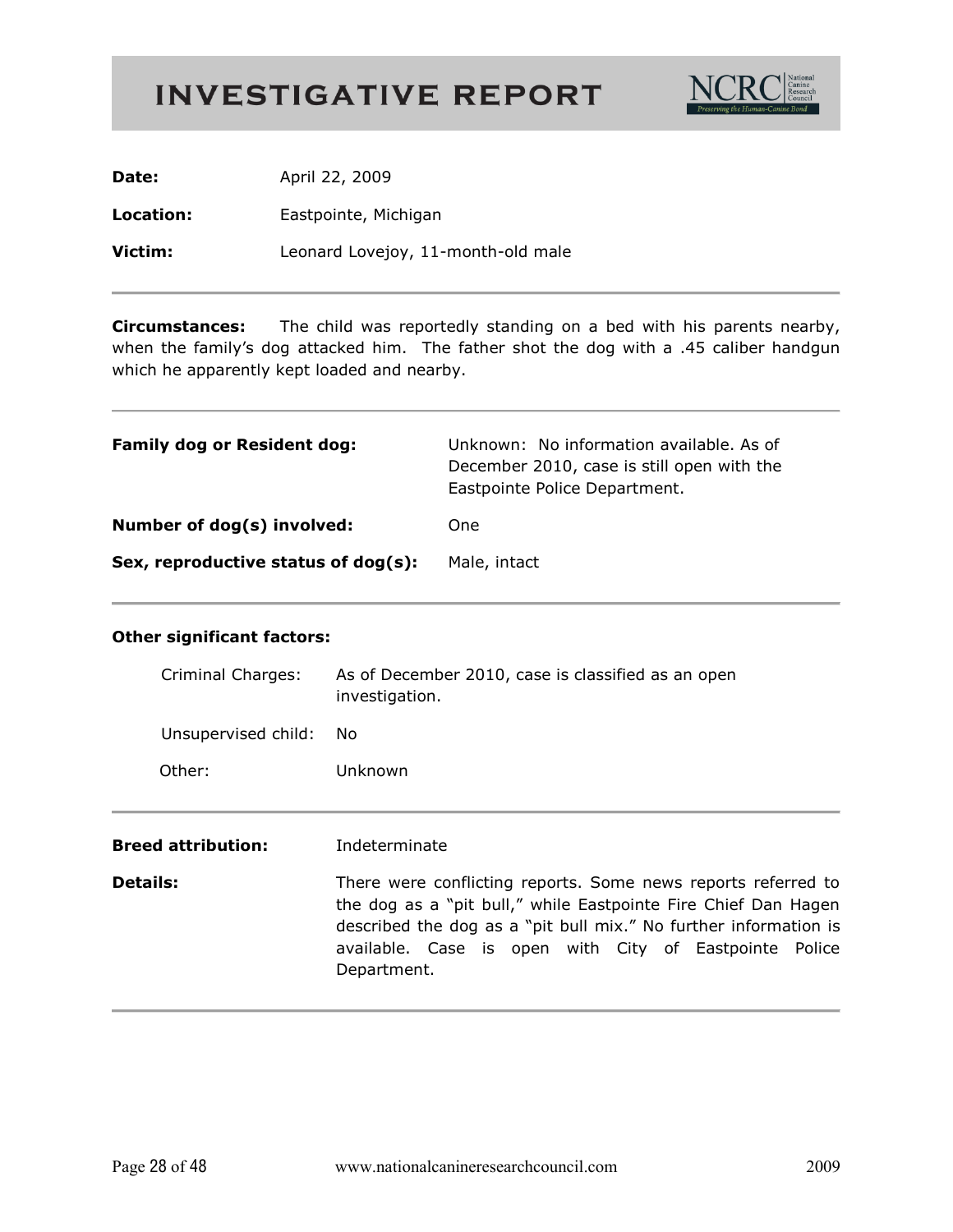

| Date:     | April 22, 2009                     |
|-----------|------------------------------------|
| Location: | Eastpointe, Michigan               |
| Victim:   | Leonard Lovejoy, 11-month-old male |

The child was reportedly standing on a bed with his parents nearby, **Circumstances:** when the family's dog attacked him. The father shot the dog with a .45 caliber handgun which he apparently kept loaded and nearby.

| <b>Family dog or Resident dog:</b>  | Unknown: No information available. As of<br>December 2010, case is still open with the<br>Eastpointe Police Department. |
|-------------------------------------|-------------------------------------------------------------------------------------------------------------------------|
| Number of dog(s) involved:          | One.                                                                                                                    |
| Sex, reproductive status of dog(s): | Male, intact                                                                                                            |

| Criminal Charges:                                                                                                                                                                                                                                                                               | As of December 2010, case is classified as an open<br>investigation. |
|-------------------------------------------------------------------------------------------------------------------------------------------------------------------------------------------------------------------------------------------------------------------------------------------------|----------------------------------------------------------------------|
| Unsupervised child:                                                                                                                                                                                                                                                                             | No.                                                                  |
| Other:                                                                                                                                                                                                                                                                                          | Unknown                                                              |
|                                                                                                                                                                                                                                                                                                 |                                                                      |
| <b>Breed attribution:</b>                                                                                                                                                                                                                                                                       | Indeterminate                                                        |
| <b>Details:</b><br>There were conflicting reports. Some news reports referred to<br>the dog as a "pit bull," while Eastpointe Fire Chief Dan Hagen<br>described the dog as a "pit bull mix." No further information is<br>available. Case is open with City of Eastpointe Police<br>Department. |                                                                      |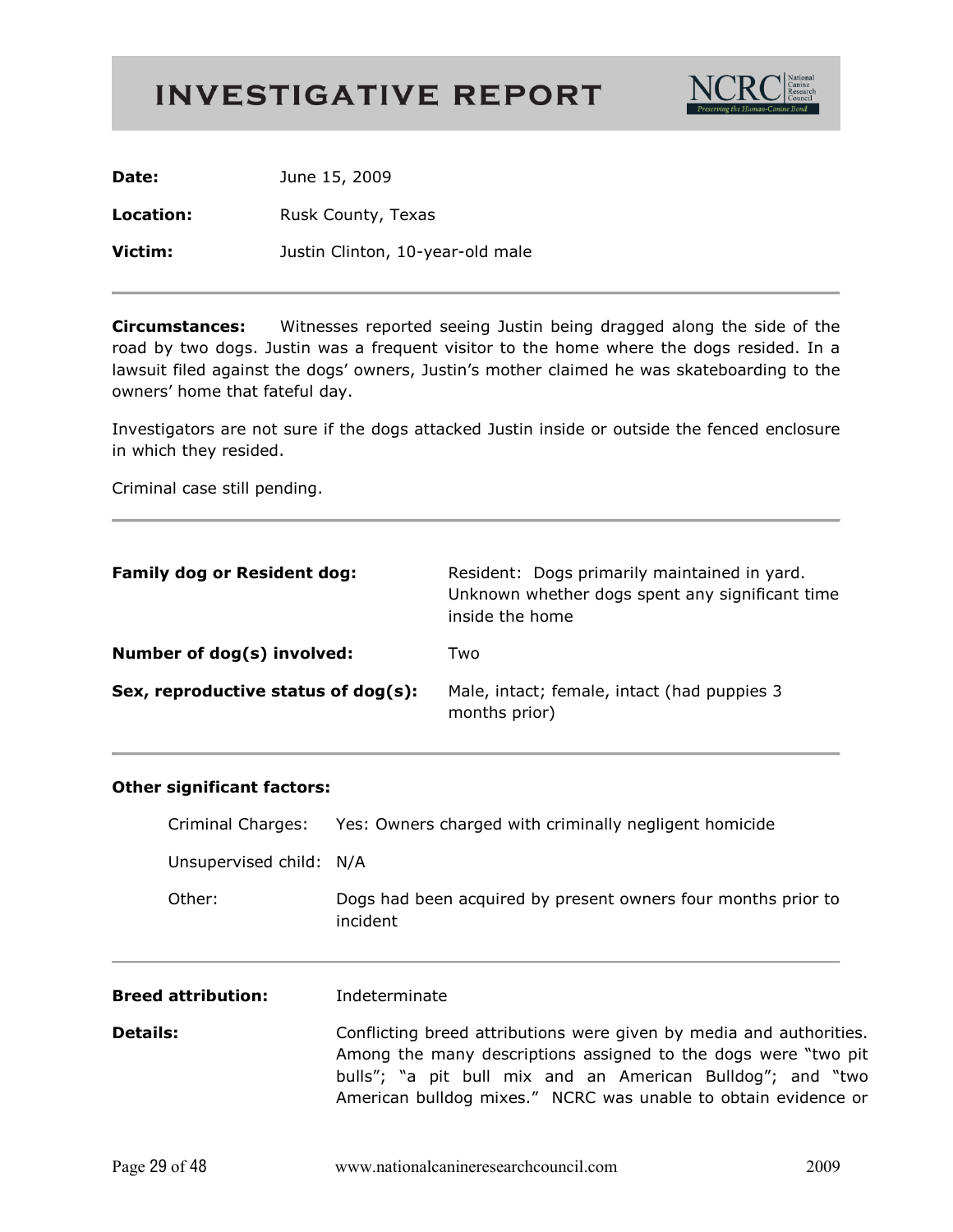

Date: June 15, 2009 Location: Rusk County, Texas Victim: Justin Clinton, 10-year-old male

**Circumstances:** Witnesses reported seeing Justin being dragged along the side of the road by two dogs. Justin was a frequent visitor to the home where the dogs resided. In a lawsuit filed against the dogs' owners, Justin's mother claimed he was skateboarding to the owners' home that fateful day.

Investigators are not sure if the dogs attacked Justin inside or outside the fenced enclosure in which they resided.

Criminal case still pending.

| <b>Family dog or Resident dog:</b>  | Resident: Dogs primarily maintained in yard.<br>Unknown whether dogs spent any significant time<br>inside the home |
|-------------------------------------|--------------------------------------------------------------------------------------------------------------------|
| Number of dog(s) involved:          | Two                                                                                                                |
| Sex, reproductive status of dog(s): | Male, intact; female, intact (had puppies 3)<br>months prior)                                                      |

#### **Other significant factors:**

| <b>Breed attribution:</b> | Indeterminate                                                             |
|---------------------------|---------------------------------------------------------------------------|
| Other:                    | Dogs had been acquired by present owners four months prior to<br>incident |
| Unsupervised child: N/A   |                                                                           |
| Criminal Charges:         | Yes: Owners charged with criminally negligent homicide                    |

**Details:** Conflicting breed attributions were given by media and authorities. Among the many descriptions assigned to the dogs were "two pit bulls"; "a pit bull mix and an American Bulldog"; and "two American bulldog mixes." NCRC was unable to obtain evidence or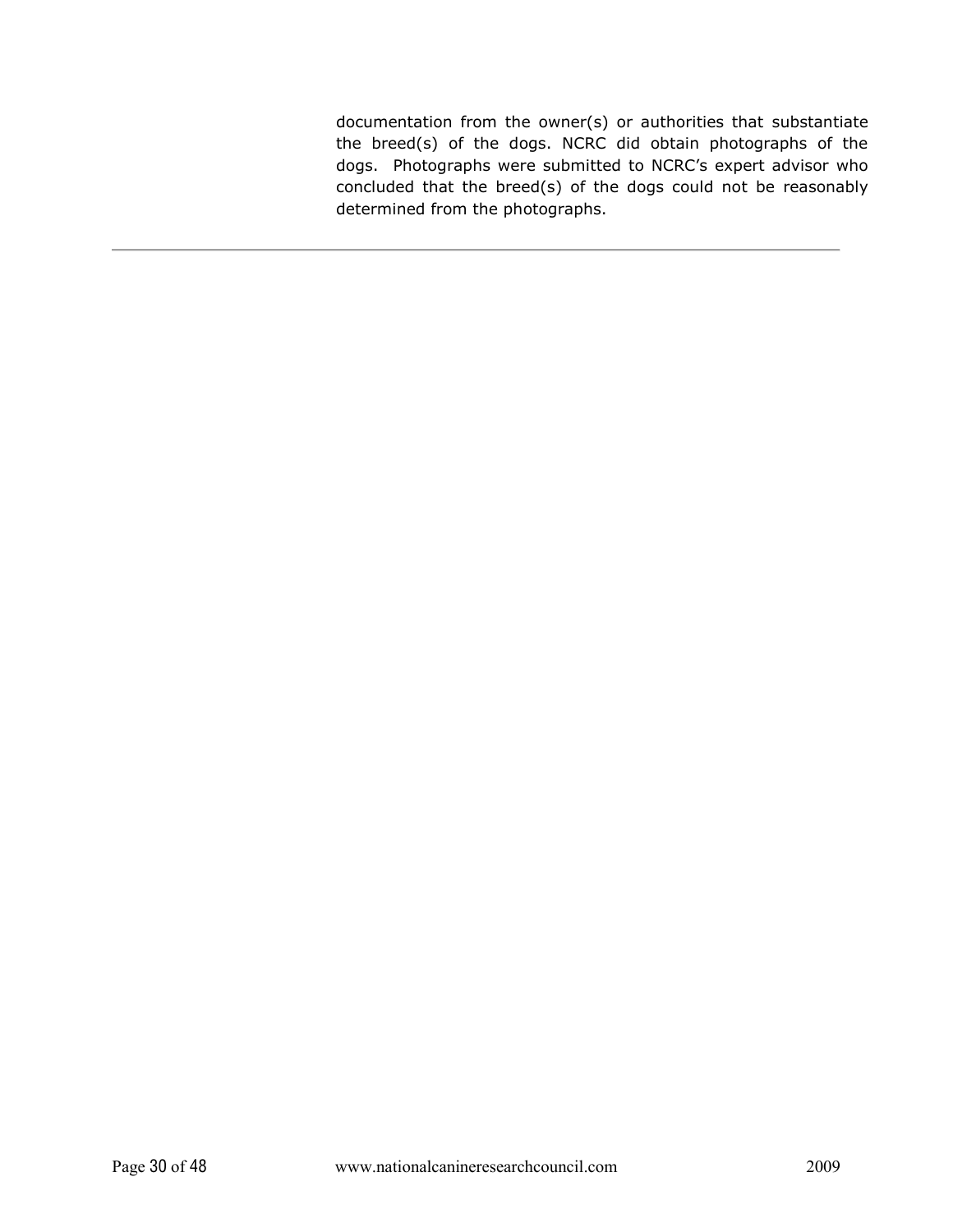documentation from the owner(s) or authorities that substantiate the breed(s) of the dogs. NCRC did obtain photographs of the dogs. Photographs were submitted to NCRC's expert advisor who concluded that the breed(s) of the dogs could not be reasonably determined from the photographs.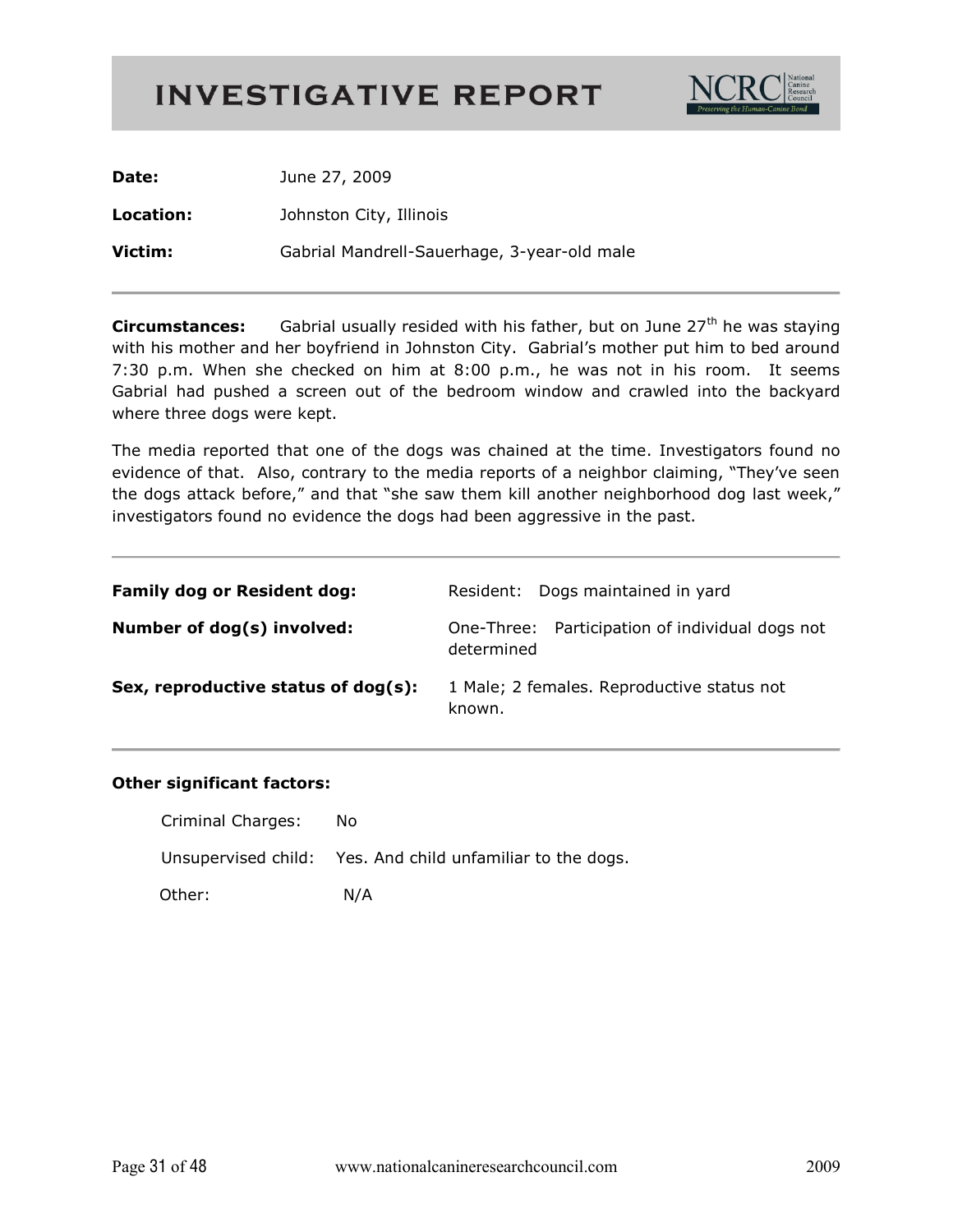

| Date:     | June 27, 2009                               |
|-----------|---------------------------------------------|
| Location: | Johnston City, Illinois                     |
| Victim:   | Gabrial Mandrell-Sauerhage, 3-year-old male |

Gabrial usually resided with his father, but on June 27<sup>th</sup> he was staying **Circumstances:** with his mother and her boyfriend in Johnston City. Gabrial's mother put him to bed around 7:30 p.m. When she checked on him at 8:00 p.m., he was not in his room. It seems Gabrial had pushed a screen out of the bedroom window and crawled into the backyard where three dogs were kept.

The media reported that one of the dogs was chained at the time. Investigators found no evidence of that. Also, contrary to the media reports of a neighbor claiming, "They've seen the dogs attack before," and that "she saw them kill another neighborhood dog last week," investigators found no evidence the dogs had been aggressive in the past.

| <b>Family dog or Resident dog:</b>  | Resident: Dogs maintained in yard                             |
|-------------------------------------|---------------------------------------------------------------|
| Number of dog(s) involved:          | One-Three: Participation of individual dogs not<br>determined |
| Sex, reproductive status of dog(s): | 1 Male; 2 females. Reproductive status not<br>known.          |

| Criminal Charges: | No.                                                        |
|-------------------|------------------------------------------------------------|
|                   | Unsupervised child: Yes. And child unfamiliar to the dogs. |
| Other:            | N/A                                                        |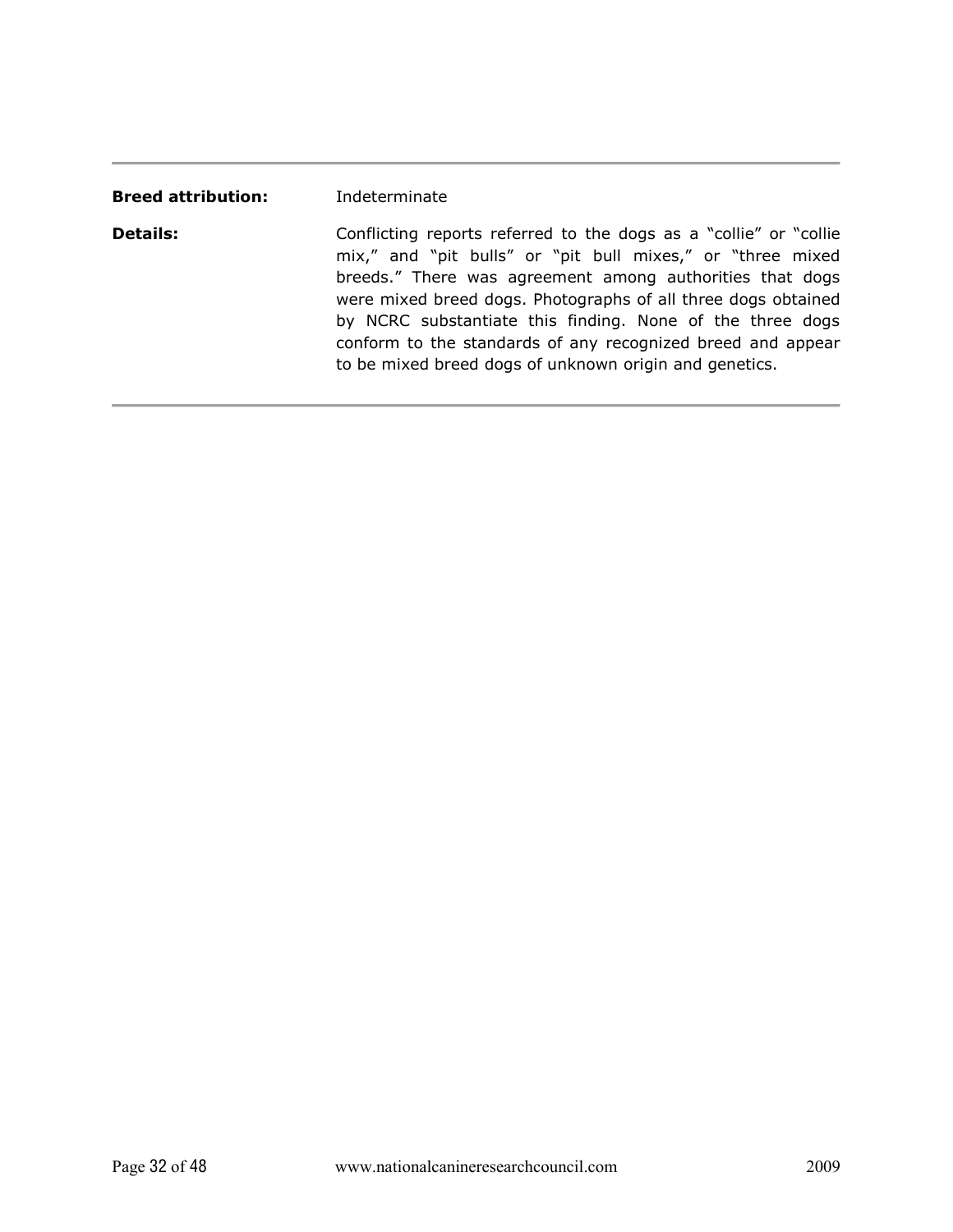| <b>Breed attribution:</b> | Indeterminate                                                                                                                                                                                                                                                                                                                                                                                                                                       |
|---------------------------|-----------------------------------------------------------------------------------------------------------------------------------------------------------------------------------------------------------------------------------------------------------------------------------------------------------------------------------------------------------------------------------------------------------------------------------------------------|
| <b>Details:</b>           | Conflicting reports referred to the dogs as a "collie" or "collie"<br>mix," and "pit bulls" or "pit bull mixes," or "three mixed<br>breeds." There was agreement among authorities that dogs<br>were mixed breed dogs. Photographs of all three dogs obtained<br>by NCRC substantiate this finding. None of the three dogs<br>conform to the standards of any recognized breed and appear<br>to be mixed breed dogs of unknown origin and genetics. |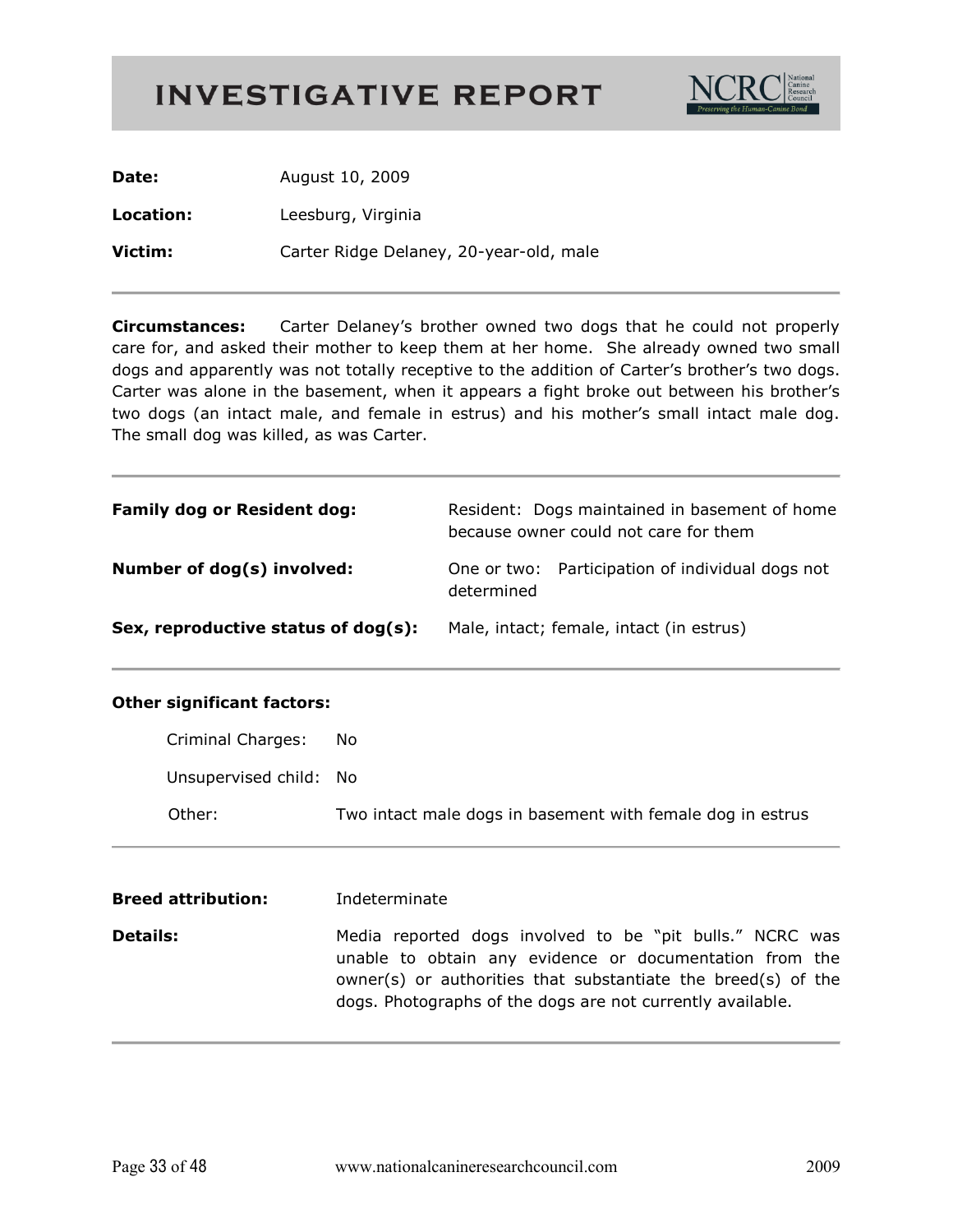

| Date:     | August 10, 2009                         |
|-----------|-----------------------------------------|
| Location: | Leesburg, Virginia                      |
| Victim:   | Carter Ridge Delaney, 20-year-old, male |

**Circumstances:** Carter Delaney's brother owned two dogs that he could not properly care for, and asked their mother to keep them at her home. She already owned two small dogs and apparently was not totally receptive to the addition of Carter's brother's two dogs. Carter was alone in the basement, when it appears a fight broke out between his brother's two dogs (an intact male, and female in estrus) and his mother's small intact male dog. The small dog was killed, as was Carter.

| <b>Family dog or Resident dog:</b>  | Resident: Dogs maintained in basement of home<br>because owner could not care for them |
|-------------------------------------|----------------------------------------------------------------------------------------|
| Number of dog(s) involved:          | One or two: Participation of individual dogs not<br>determined                         |
| Sex, reproductive status of dog(s): | Male, intact; female, intact (in estrus)                                               |

| Criminal Charges:      | No                                                         |
|------------------------|------------------------------------------------------------|
| Unsupervised child: No |                                                            |
| Other:                 | Two intact male dogs in basement with female dog in estrus |

| <b>Breed attribution:</b> | Indeterminate                                                                                                                                                                                                                                      |
|---------------------------|----------------------------------------------------------------------------------------------------------------------------------------------------------------------------------------------------------------------------------------------------|
| <b>Details:</b>           | Media reported dogs involved to be "pit bulls." NCRC was<br>unable to obtain any evidence or documentation from the<br>owner(s) or authorities that substantiate the breed(s) of the<br>dogs. Photographs of the dogs are not currently available. |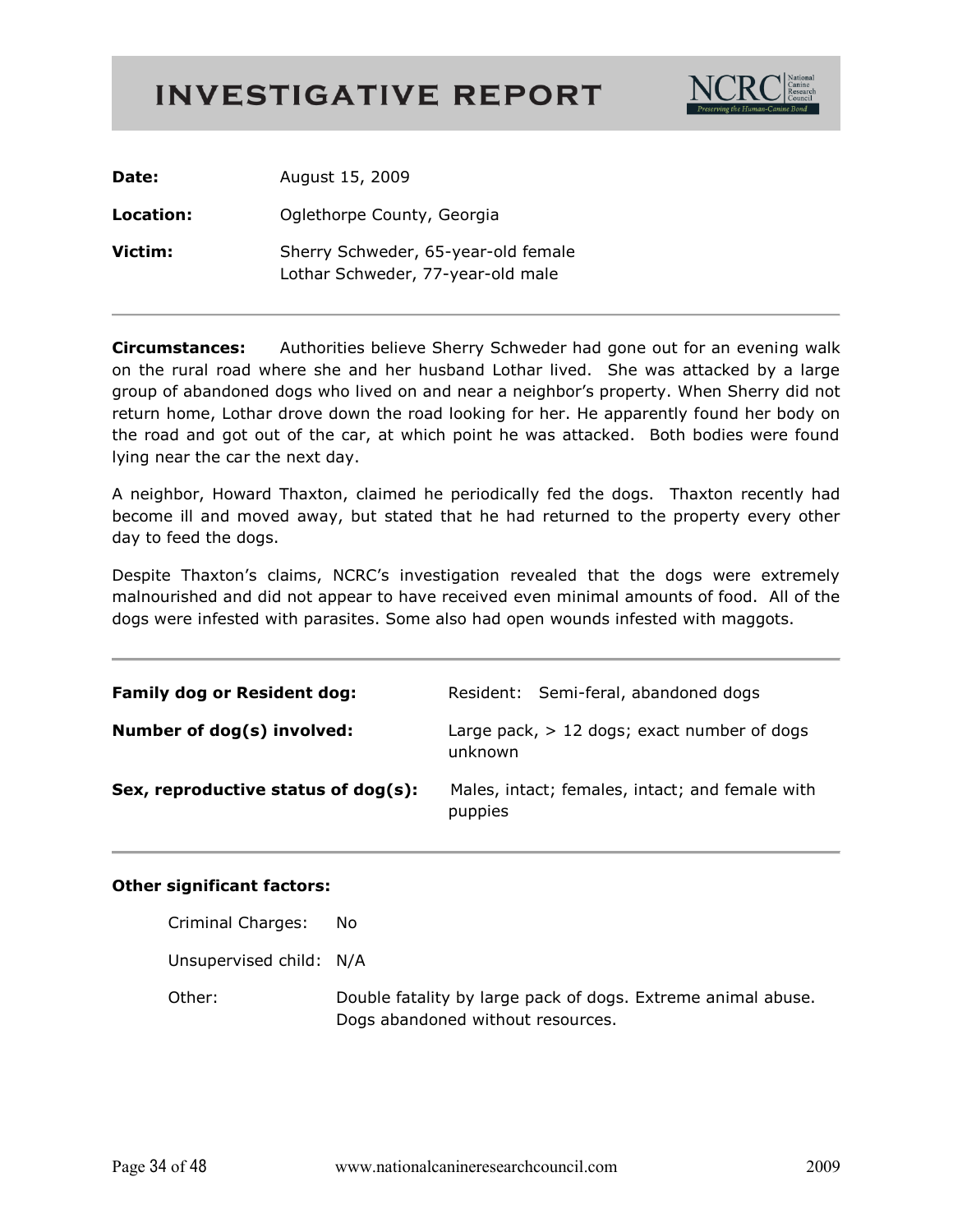

| Date:     | August 15, 2009                                                          |
|-----------|--------------------------------------------------------------------------|
| Location: | Oglethorpe County, Georgia                                               |
| Victim:   | Sherry Schweder, 65-year-old female<br>Lothar Schweder, 77-year-old male |

**Circumstances:** Authorities believe Sherry Schweder had gone out for an evening walk on the rural road where she and her husband Lothar lived. She was attacked by a large group of abandoned dogs who lived on and near a neighbor's property. When Sherry did not return home, Lothar drove down the road looking for her. He apparently found her body on the road and got out of the car, at which point he was attacked. Both bodies were found lying near the car the next day.

A neighbor, Howard Thaxton, claimed he periodically fed the dogs. Thaxton recently had become ill and moved away, but stated that he had returned to the property every other day to feed the dogs.

Despite Thaxton's claims, NCRC's investigation revealed that the dogs were extremely malnourished and did not appear to have received even minimal amounts of food. All of the dogs were infested with parasites. Some also had open wounds infested with maggots.

| <b>Family dog or Resident dog:</b>  | Resident: Semi-feral, abandoned dogs                       |
|-------------------------------------|------------------------------------------------------------|
| Number of dog(s) involved:          | Large pack, $> 12$ dogs; exact number of dogs<br>unknown   |
| Sex, reproductive status of dog(s): | Males, intact; females, intact; and female with<br>puppies |

| Criminal Charges:       | No.                                                                                               |
|-------------------------|---------------------------------------------------------------------------------------------------|
| Unsupervised child: N/A |                                                                                                   |
| Other:                  | Double fatality by large pack of dogs. Extreme animal abuse.<br>Dogs abandoned without resources. |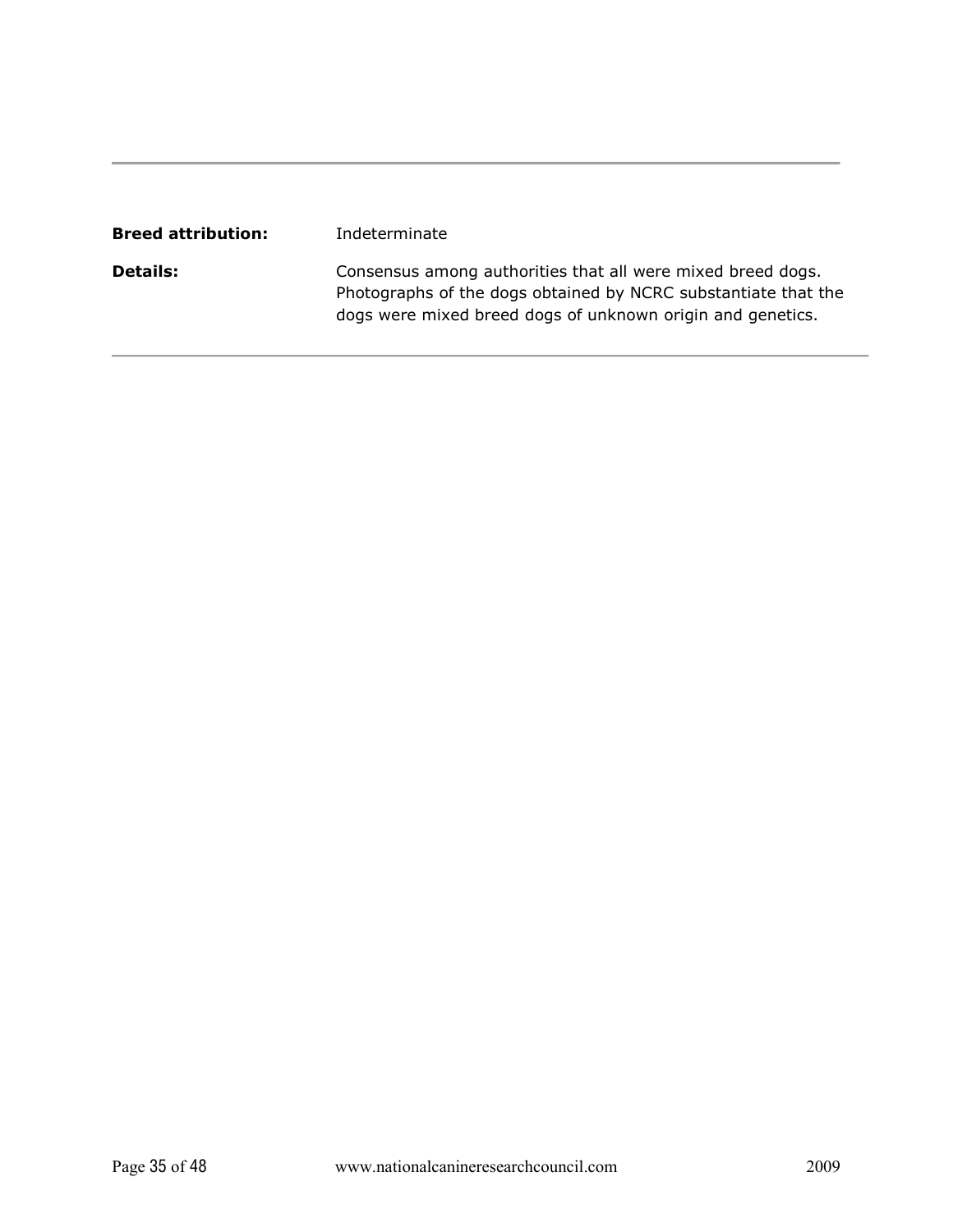| <b>Breed attribution:</b> | Indeterminate                                                                                                                                                                               |
|---------------------------|---------------------------------------------------------------------------------------------------------------------------------------------------------------------------------------------|
| <b>Details:</b>           | Consensus among authorities that all were mixed breed dogs.<br>Photographs of the dogs obtained by NCRC substantiate that the<br>dogs were mixed breed dogs of unknown origin and genetics. |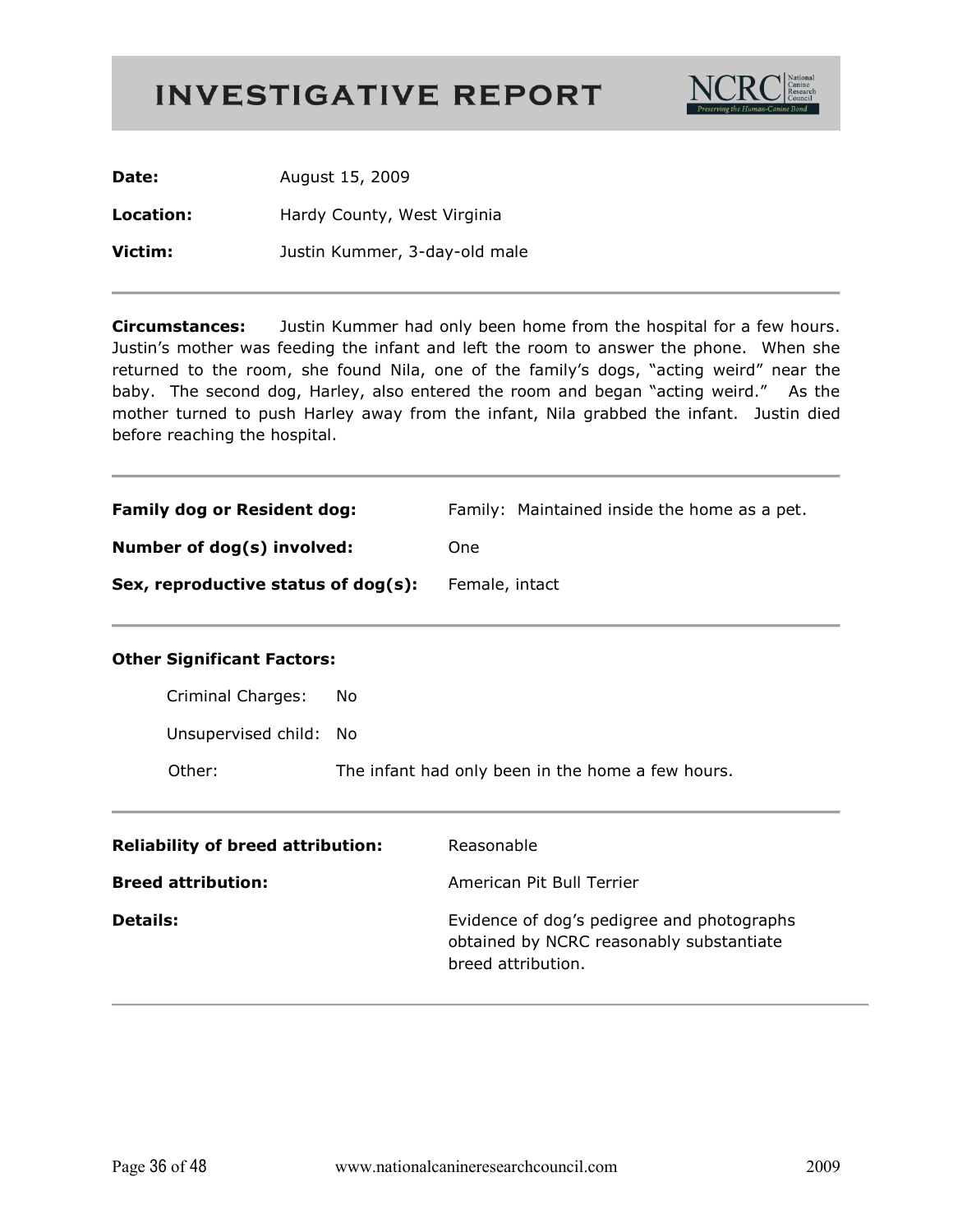

| Date:     | August 15, 2009               |
|-----------|-------------------------------|
| Location: | Hardy County, West Virginia   |
| Victim:   | Justin Kummer, 3-day-old male |

**Circumstances:** Justin Kummer had only been home from the hospital for a few hours. Justin's mother was feeding the infant and left the room to answer the phone. When she returned to the room, she found Nila, one of the family's dogs, "acting weird" near the baby. The second dog, Harley, also entered the room and began "acting weird." As the mother turned to push Harley away from the infant, Nila grabbed the infant. Justin died before reaching the hospital.

| <b>Family dog or Resident dog:</b>  | Family: Maintained inside the home as a pet. |
|-------------------------------------|----------------------------------------------|
| Number of dog(s) involved:          | One.                                         |
| Sex, reproductive status of dog(s): | Female, intact                               |

| Criminal Charges:      | No.                                               |
|------------------------|---------------------------------------------------|
| Unsupervised child: No |                                                   |
| Other:                 | The infant had only been in the home a few hours. |

| <b>Reliability of breed attribution:</b> | Reasonable                                                                                                   |
|------------------------------------------|--------------------------------------------------------------------------------------------------------------|
| <b>Breed attribution:</b>                | American Pit Bull Terrier                                                                                    |
| <b>Details:</b>                          | Evidence of dog's pedigree and photographs<br>obtained by NCRC reasonably substantiate<br>breed attribution. |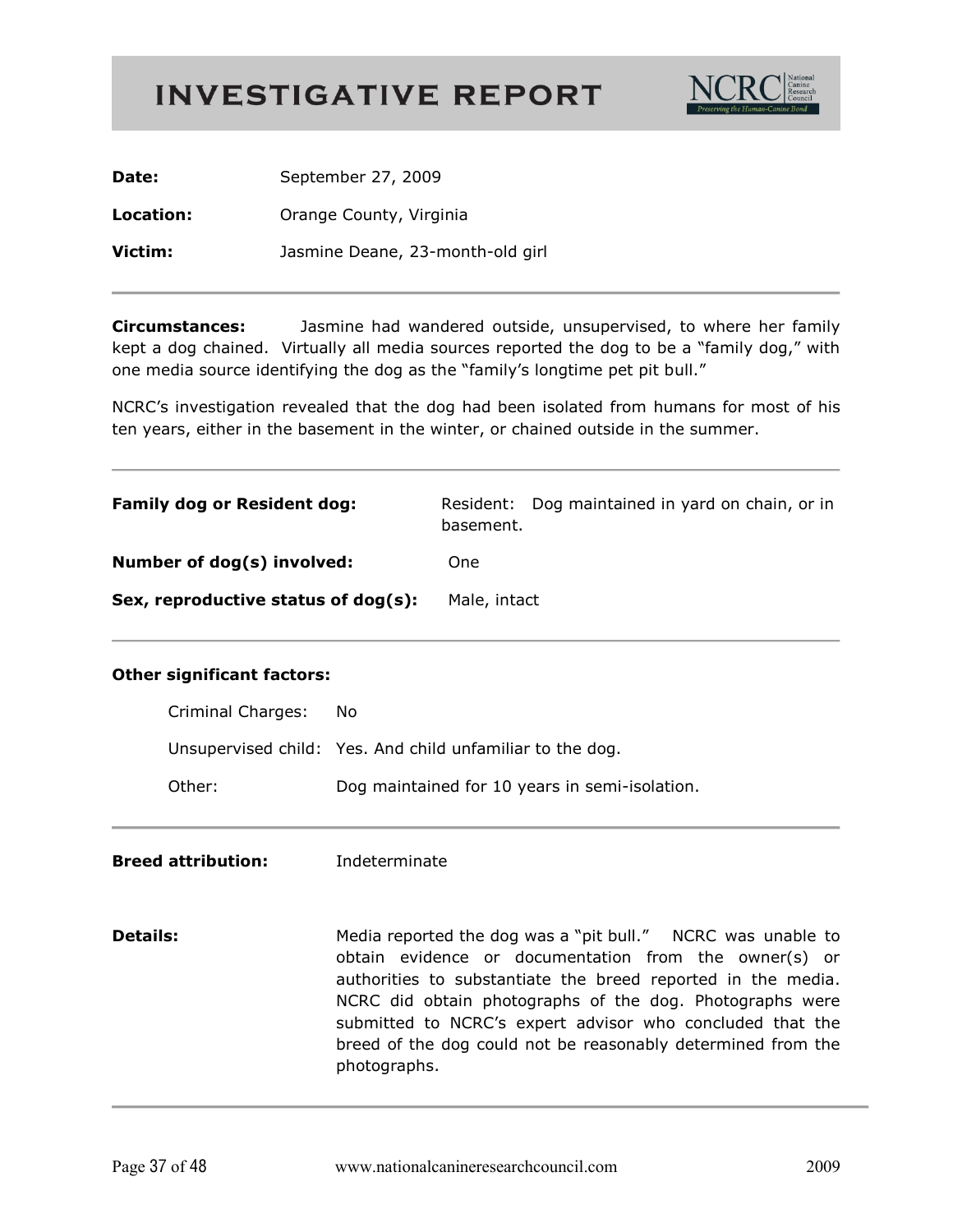

| Date:     | September 27, 2009               |
|-----------|----------------------------------|
| Location: | Orange County, Virginia          |
| Victim:   | Jasmine Deane, 23-month-old girl |

**Circumstances:** Jasmine had wandered outside, unsupervised, to where her family kept a dog chained. Virtually all media sources reported the dog to be a "family dog," with one media source identifying the dog as the "family's longtime pet pit bull."

NCRC's investigation revealed that the dog had been isolated from humans for most of his ten years, either in the basement in the winter, or chained outside in the summer.

| <b>Family dog or Resident dog:</b>  | Dog maintained in yard on chain, or in<br>Resident:<br>basement. |
|-------------------------------------|------------------------------------------------------------------|
| Number of dog(s) involved:          | One                                                              |
| Sex, reproductive status of dog(s): | Male, intact                                                     |

#### **Other significant factors:**

| Criminal Charges: | - No                                                      |
|-------------------|-----------------------------------------------------------|
|                   | Unsupervised child: Yes. And child unfamiliar to the dog. |
| Other:            | Dog maintained for 10 years in semi-isolation.            |

**Breed attribution:** Indeterminate

**Details:** Media reported the dog was a "pit bull." NCRC was unable to obtain evidence or documentation from the owner(s) or authorities to substantiate the breed reported in the media. NCRC did obtain photographs of the dog. Photographs were submitted to NCRC's expert advisor who concluded that the breed of the dog could not be reasonably determined from the photographs.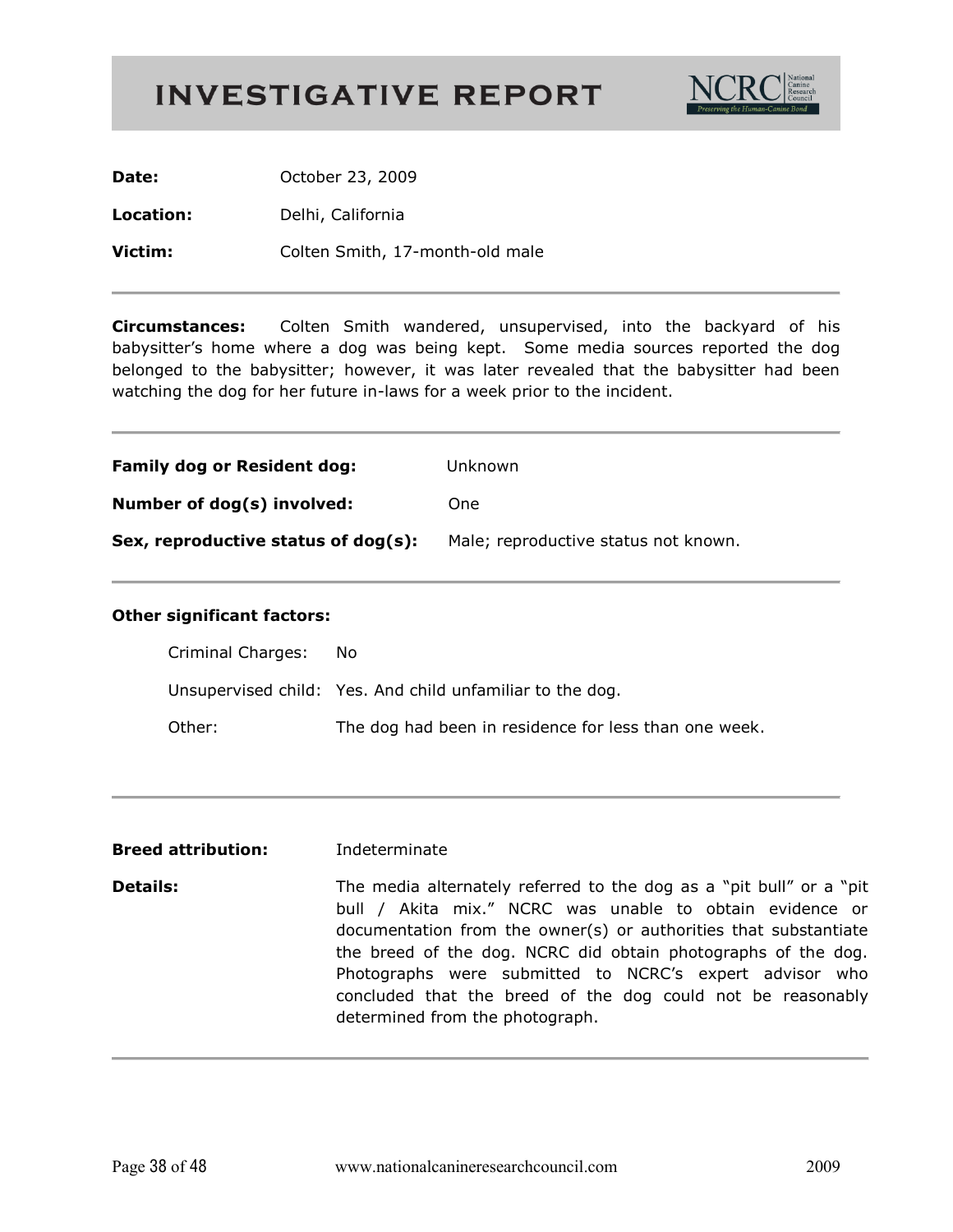

Date: October 23, 2009 Location: Delhi, California Victim: Colten Smith, 17-month-old male

**Circumstances:** Colten Smith wandered, unsupervised, into the backyard of his babysitter's home where a dog was being kept. Some media sources reported the dog belonged to the babysitter; however, it was later revealed that the babysitter had been watching the dog for her future in-laws for a week prior to the incident.

| <b>Family dog or Resident dog:</b>  | Unknown                              |
|-------------------------------------|--------------------------------------|
| Number of dog(s) involved:          | One                                  |
| Sex, reproductive status of dog(s): | Male; reproductive status not known. |

| Criminal Charges: | - No                                                      |
|-------------------|-----------------------------------------------------------|
|                   | Unsupervised child: Yes. And child unfamiliar to the dog. |
| Other:            | The dog had been in residence for less than one week.     |

- **Breed attribution:** Indeterminate
- **Details:** The media alternately referred to the dog as a "pit bull" or a "pit bull / Akita mix." NCRC was unable to obtain evidence or documentation from the owner(s) or authorities that substantiate the breed of the dog. NCRC did obtain photographs of the dog. Photographs were submitted to NCRC's expert advisor who concluded that the breed of the dog could not be reasonably determined from the photograph.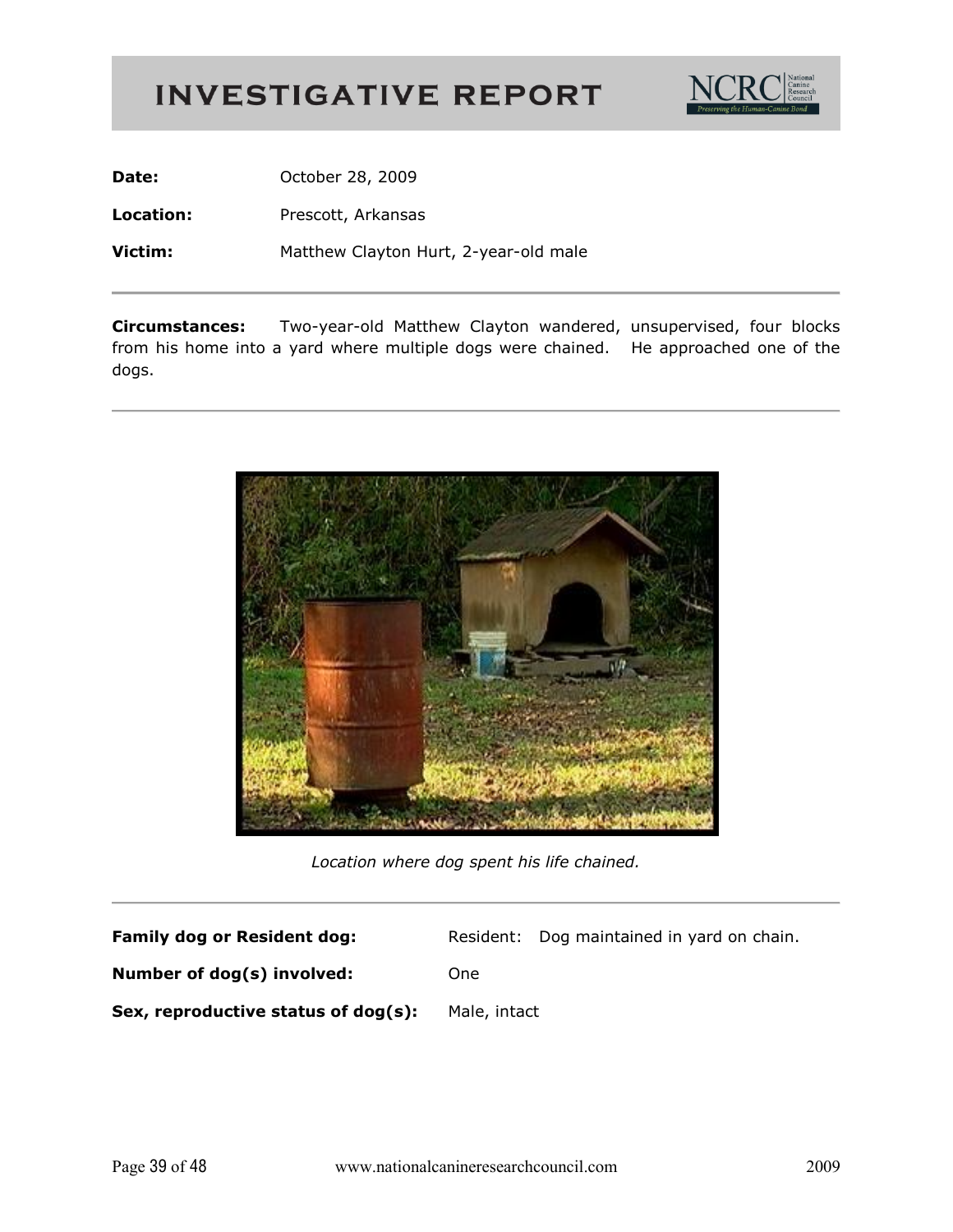

**Date:** October 28, 2009

**Location:** Prescott, Arkansas

**Victim:** Matthew Clayton Hurt, 2-year-old male

**Circumstances:** Two-year-old Matthew Clayton wandered, unsupervised, four blocks from his home into a yard where multiple dogs were chained. He approached one of the dogs.



Location where dog spent his life chained.

| <b>Family dog or Resident dog:</b>  |              | Resident: Dog maintained in yard on chain. |
|-------------------------------------|--------------|--------------------------------------------|
| Number of dog(s) involved:          | One          |                                            |
| Sex, reproductive status of dog(s): | Male, intact |                                            |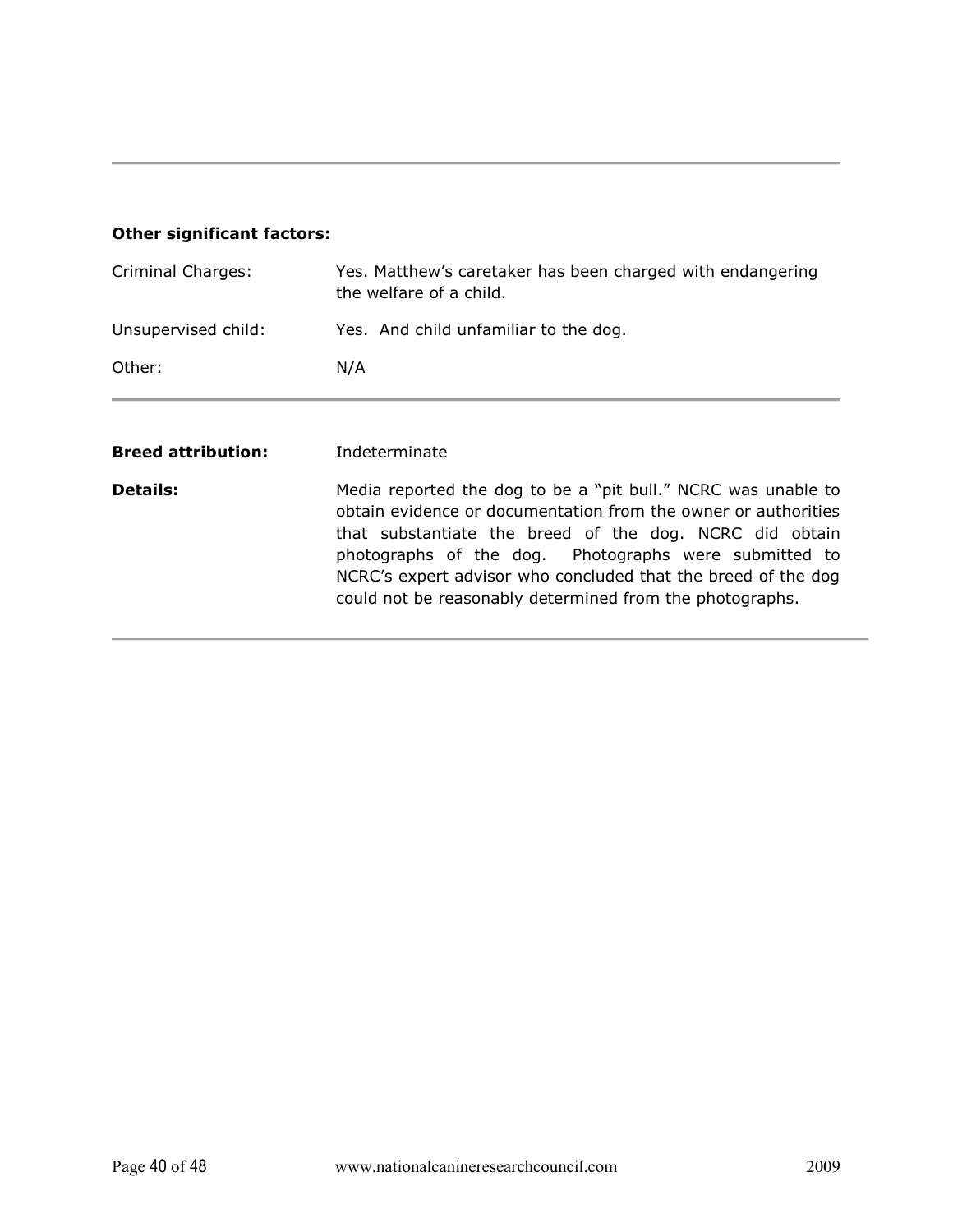### **Other significant factors:**

| Criminal Charges:         | Yes. Matthew's caretaker has been charged with endangering<br>the welfare of a child.                                                                                                                                                                                                                                |
|---------------------------|----------------------------------------------------------------------------------------------------------------------------------------------------------------------------------------------------------------------------------------------------------------------------------------------------------------------|
| Unsupervised child:       | Yes. And child unfamiliar to the dog.                                                                                                                                                                                                                                                                                |
| Other:                    | N/A                                                                                                                                                                                                                                                                                                                  |
| <b>Breed attribution:</b> | Indeterminate                                                                                                                                                                                                                                                                                                        |
| <b>Details:</b>           | Media reported the dog to be a "pit bull." NCRC was unable to<br>obtain evidence or documentation from the owner or authorities<br>that substantiate the breed of the dog. NCRC did obtain<br>photographs of the dog. Photographs were submitted to<br>NCRC's expert advisor who concluded that the breed of the dog |

could not be reasonably determined from the photographs.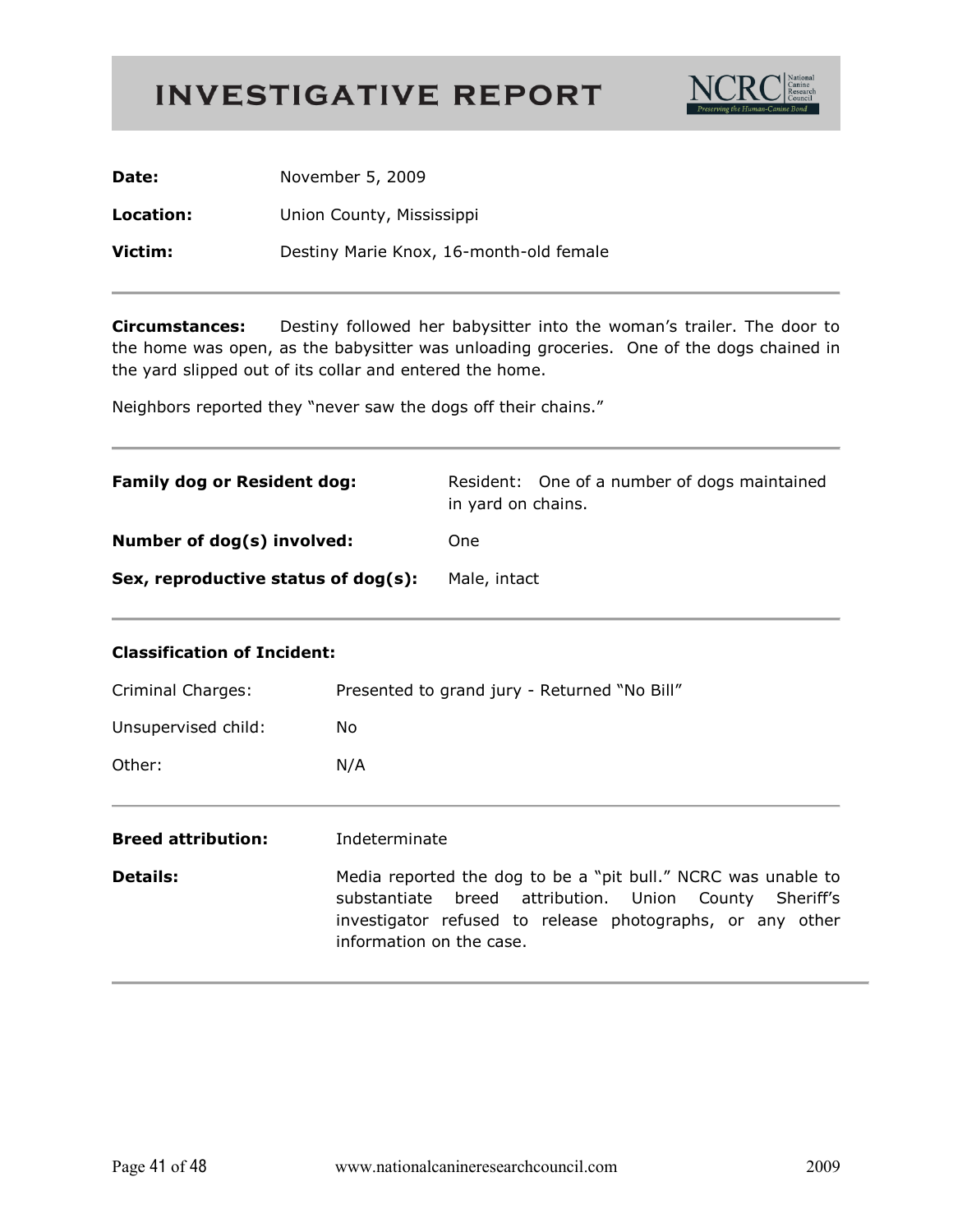

| Date:     | November 5, 2009                        |
|-----------|-----------------------------------------|
| Location: | Union County, Mississippi               |
| Victim:   | Destiny Marie Knox, 16-month-old female |

**Circumstances:** Destiny followed her babysitter into the woman's trailer. The door to the home was open, as the babysitter was unloading groceries. One of the dogs chained in the yard slipped out of its collar and entered the home.

Neighbors reported they "never saw the dogs off their chains."

| <b>Family dog or Resident dog:</b>  | Resident: One of a number of dogs maintained<br>in yard on chains. |
|-------------------------------------|--------------------------------------------------------------------|
| Number of dog(s) involved:          | One                                                                |
| Sex, reproductive status of dog(s): | Male, intact                                                       |

#### **Classification of Incident:**

| Criminal Charges:         | Presented to grand jury - Returned "No Bill"                                                                                                                                                                     |
|---------------------------|------------------------------------------------------------------------------------------------------------------------------------------------------------------------------------------------------------------|
| Unsupervised child:       | No.                                                                                                                                                                                                              |
| Other:                    | N/A                                                                                                                                                                                                              |
| <b>Breed attribution:</b> | Indeterminate                                                                                                                                                                                                    |
| <b>Details:</b>           | Media reported the dog to be a "pit bull." NCRC was unable to<br>substantiate breed attribution. Union County Sheriff's<br>investigator refused to release photographs, or any other<br>information on the case. |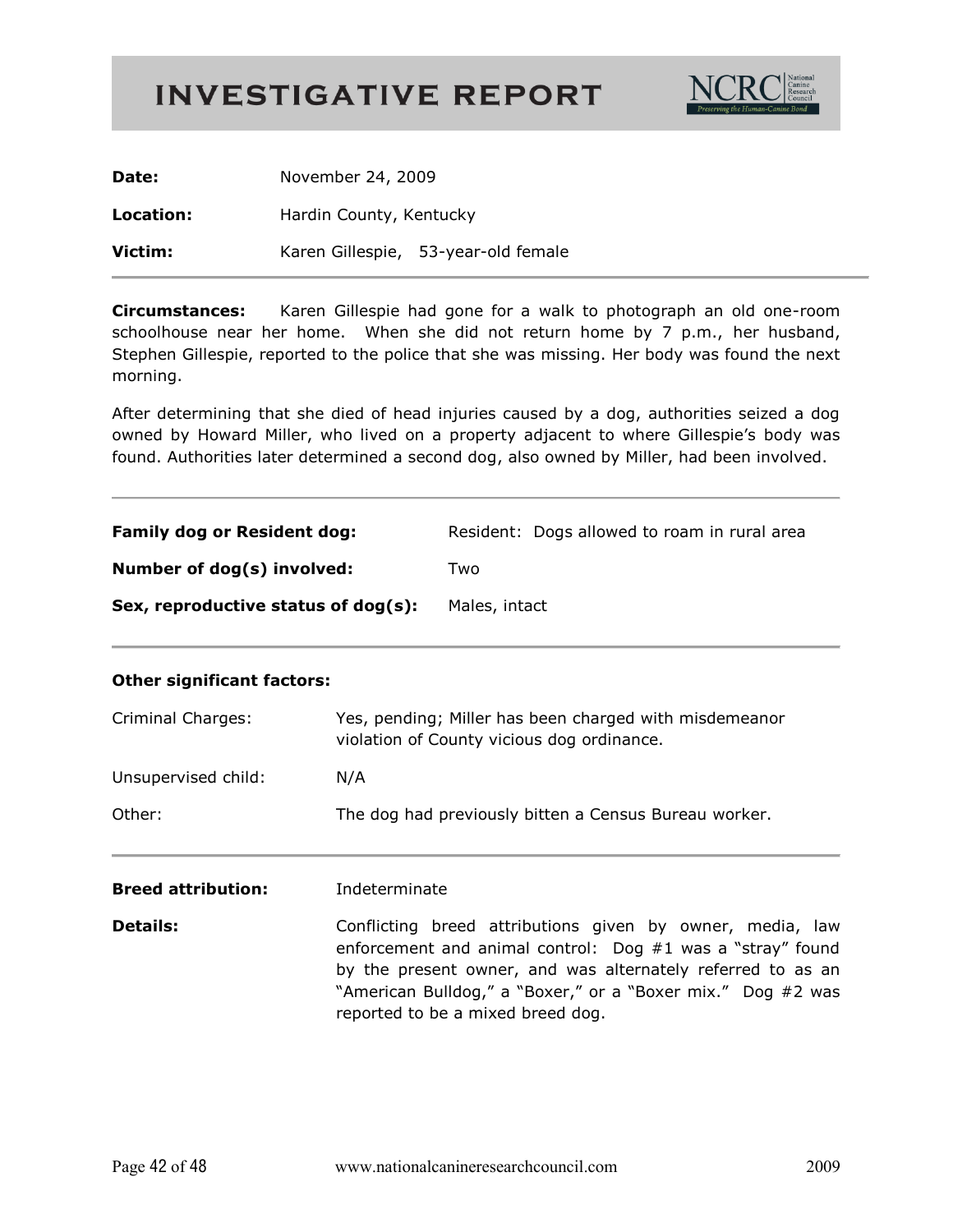

| Date:     | November 24, 2009       |                                     |
|-----------|-------------------------|-------------------------------------|
| Location: | Hardin County, Kentucky |                                     |
| Victim:   |                         | Karen Gillespie, 53-year-old female |

**Circumstances:** Karen Gillespie had gone for a walk to photograph an old one-room schoolhouse near her home. When she did not return home by 7 p.m., her husband, Stephen Gillespie, reported to the police that she was missing. Her body was found the next morning.

After determining that she died of head injuries caused by a dog, authorities seized a dog owned by Howard Miller, who lived on a property adjacent to where Gillespie's body was found. Authorities later determined a second dog, also owned by Miller, had been involved.

| <b>Family dog or Resident dog:</b>  | Resident: Dogs allowed to roam in rural area |
|-------------------------------------|----------------------------------------------|
| Number of dog(s) involved:          | Two                                          |
| Sex, reproductive status of dog(s): | Males, intact                                |

| <b>Criminal Charges:</b>  | Yes, pending; Miller has been charged with misdemeanor<br>violation of County vicious dog ordinance.                                                                                                                                                                                         |  |
|---------------------------|----------------------------------------------------------------------------------------------------------------------------------------------------------------------------------------------------------------------------------------------------------------------------------------------|--|
| Unsupervised child:       | N/A                                                                                                                                                                                                                                                                                          |  |
| Other:                    | The dog had previously bitten a Census Bureau worker.                                                                                                                                                                                                                                        |  |
| <b>Breed attribution:</b> | Indeterminate                                                                                                                                                                                                                                                                                |  |
| <b>Details:</b>           | Conflicting breed attributions given by owner, media, law<br>enforcement and animal control: Dog $#1$ was a "stray" found<br>by the present owner, and was alternately referred to as an<br>"American Bulldog," a "Boxer," or a "Boxer mix." Dog #2 was<br>reported to be a mixed breed dog. |  |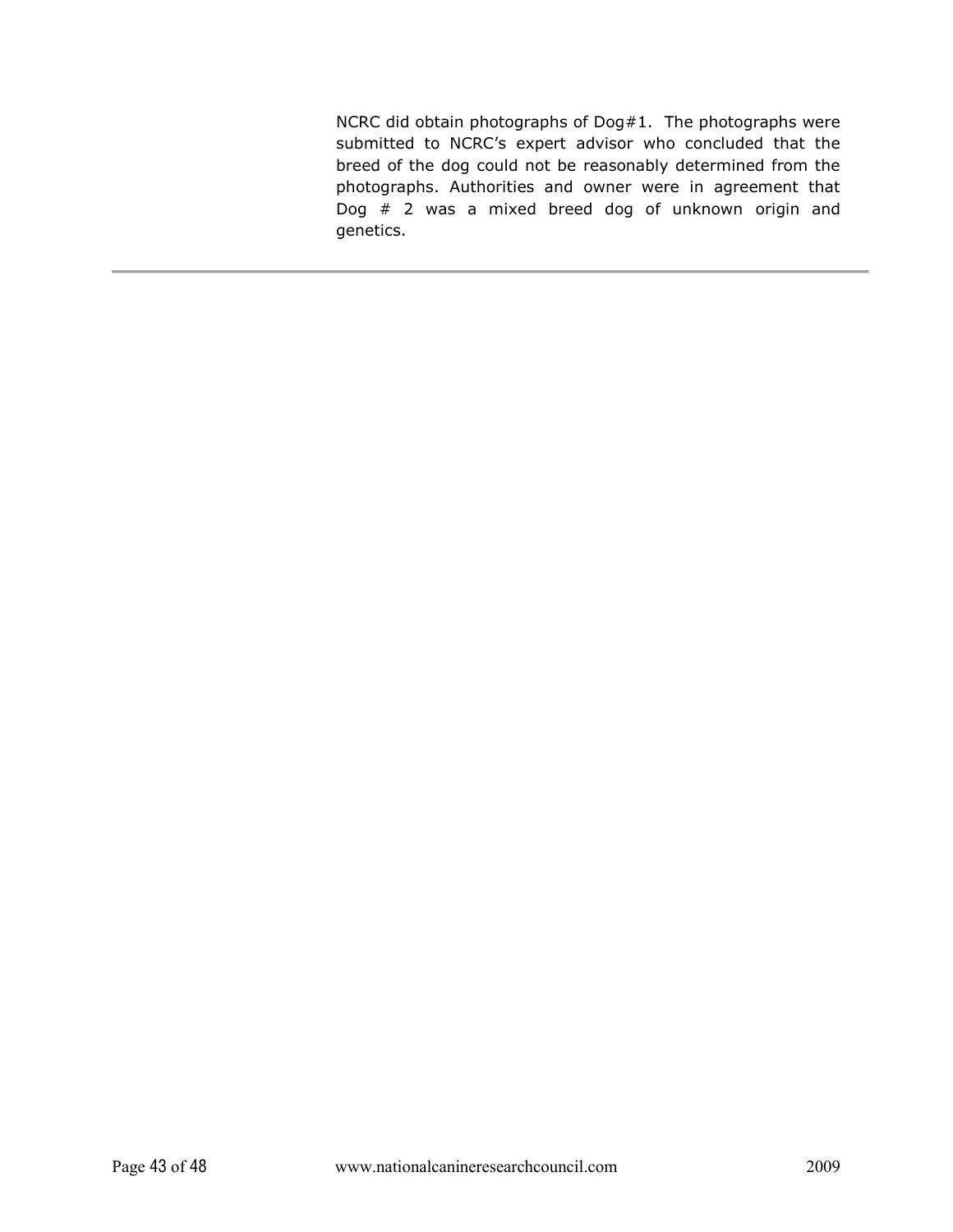NCRC did obtain photographs of Dog#1. The photographs were submitted to NCRC's expert advisor who concluded that the breed of the dog could not be reasonably determined from the photographs. Authorities and owner were in agreement that Dog  $#$  2 was a mixed breed dog of unknown origin and genetics.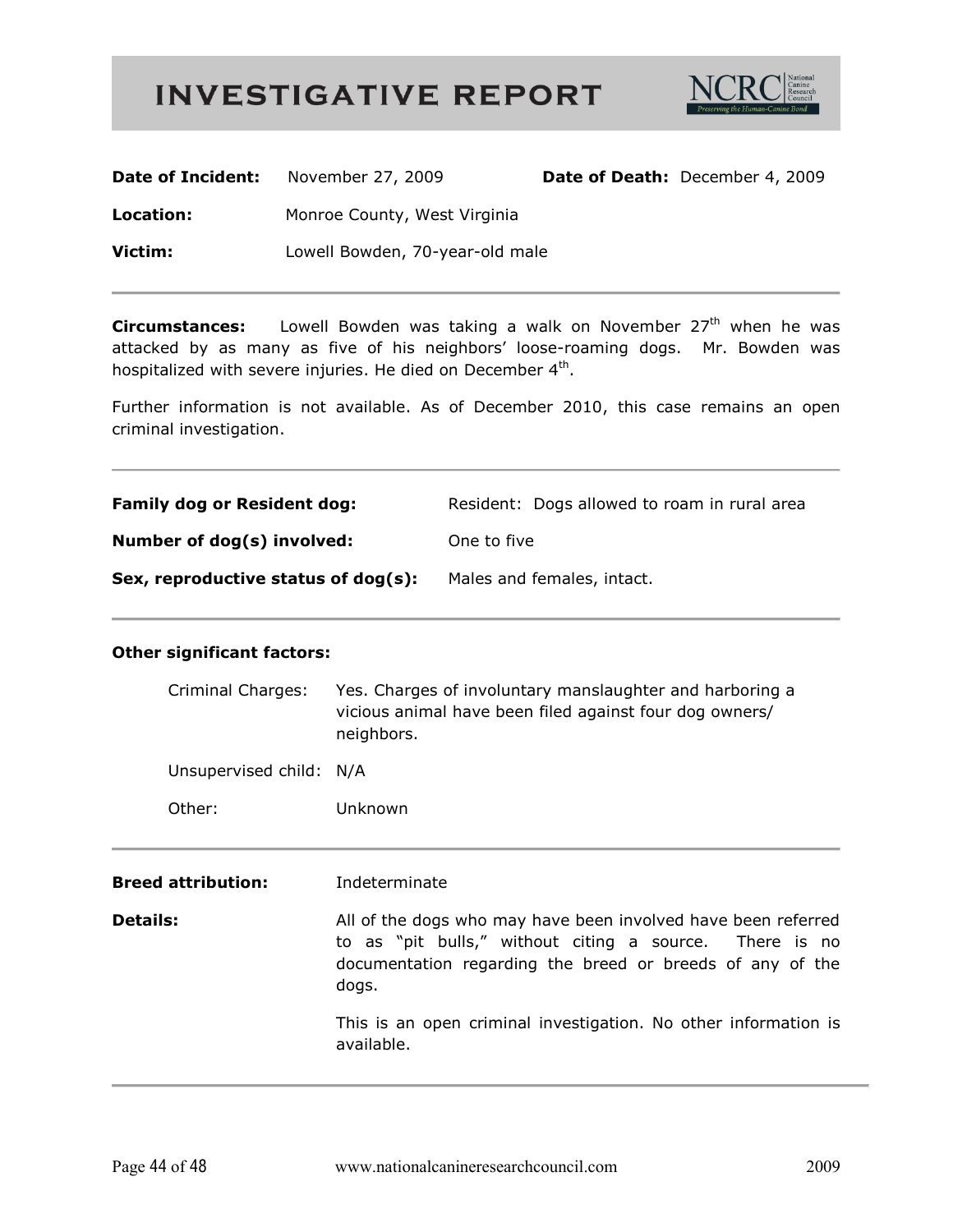

| Date of Incident: | November 27, 2009               | Date of Death: December 4, 2009 |
|-------------------|---------------------------------|---------------------------------|
| Location:         | Monroe County, West Virginia    |                                 |
| Victim:           | Lowell Bowden, 70-year-old male |                                 |

Circumstances: Lowell Bowden was taking a walk on November 27<sup>th</sup> when he was attacked by as many as five of his neighbors' loose-roaming dogs. Mr. Bowden was hospitalized with severe injuries. He died on December 4<sup>th</sup>.

Further information is not available. As of December 2010, this case remains an open criminal investigation.

| <b>Family dog or Resident dog:</b>  | Resident: Dogs allowed to roam in rural area |
|-------------------------------------|----------------------------------------------|
| Number of dog(s) involved:          | One to five                                  |
| Sex, reproductive status of dog(s): | Males and females, intact.                   |

| Criminal Charges:         | Yes. Charges of involuntary manslaughter and harboring a<br>vicious animal have been filed against four dog owners/<br>neighbors.                                                              |  |
|---------------------------|------------------------------------------------------------------------------------------------------------------------------------------------------------------------------------------------|--|
| Unsupervised child: N/A   |                                                                                                                                                                                                |  |
| Other:                    | Unknown                                                                                                                                                                                        |  |
| <b>Breed attribution:</b> | Indeterminate                                                                                                                                                                                  |  |
| <b>Details:</b>           | All of the dogs who may have been involved have been referred<br>to as "pit bulls," without citing a source. There is no<br>documentation regarding the breed or breeds of any of the<br>dogs. |  |
|                           | This is an open criminal investigation. No other information is<br>available.                                                                                                                  |  |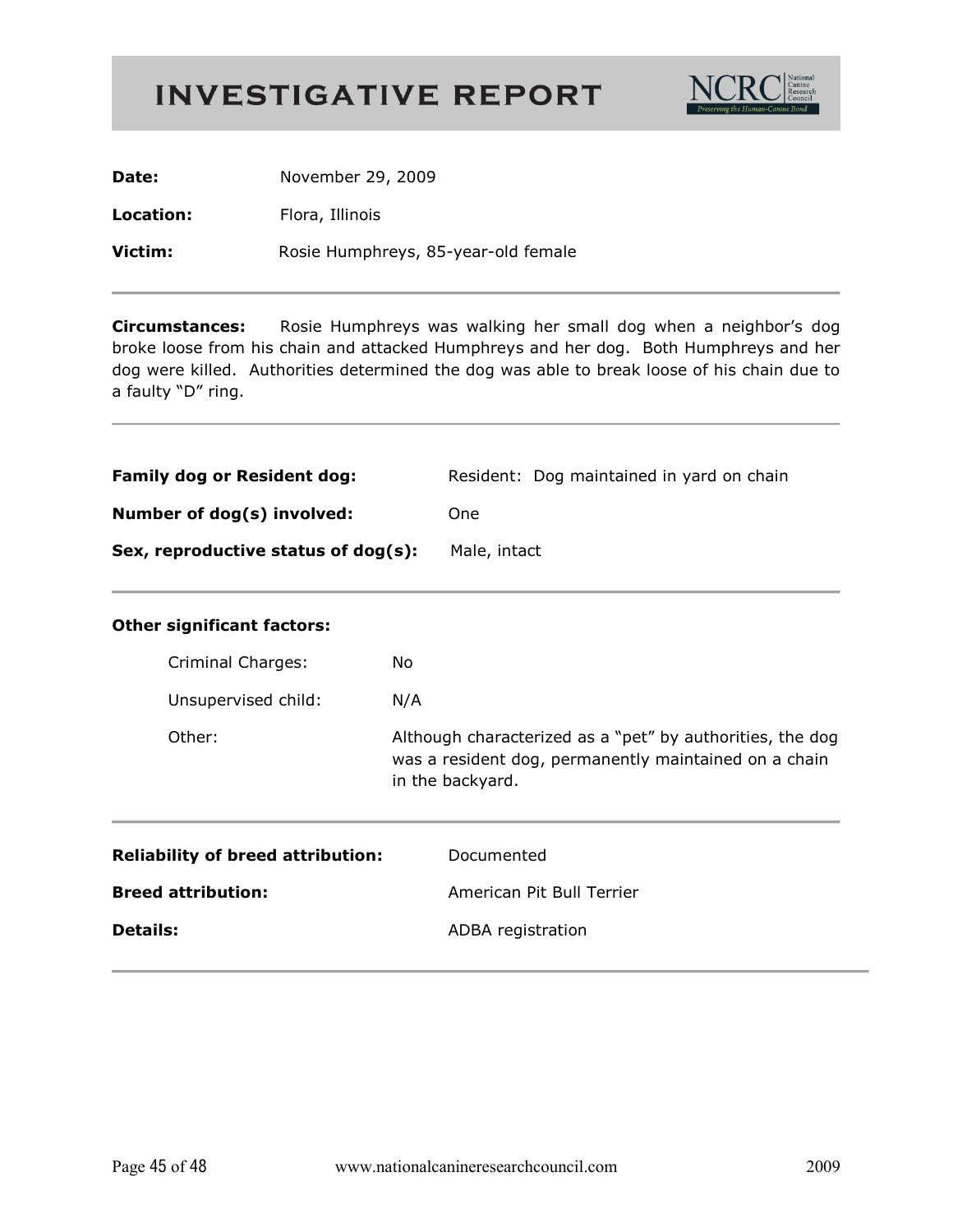

| Date:     | November 29, 2009                   |
|-----------|-------------------------------------|
| Location: | Flora, Illinois                     |
| Victim:   | Rosie Humphreys, 85-year-old female |

Rosie Humphreys was walking her small dog when a neighbor's dog **Circumstances:** broke loose from his chain and attacked Humphreys and her dog. Both Humphreys and her dog were killed. Authorities determined the dog was able to break loose of his chain due to a faulty "D" ring.

| <b>Family dog or Resident dog:</b>  | Resident: Dog maintained in yard on chain |
|-------------------------------------|-------------------------------------------|
| Number of dog(s) involved:          | One                                       |
| Sex, reproductive status of dog(s): | Male, intact                              |

|  |  |  | <b>Other significant factors:</b> |
|--|--|--|-----------------------------------|
|--|--|--|-----------------------------------|

| Criminal Charges:   | No.                                                                                                                                    |
|---------------------|----------------------------------------------------------------------------------------------------------------------------------------|
| Unsupervised child: | N/A                                                                                                                                    |
| Other:              | Although characterized as a "pet" by authorities, the dog<br>was a resident dog, permanently maintained on a chain<br>in the backyard. |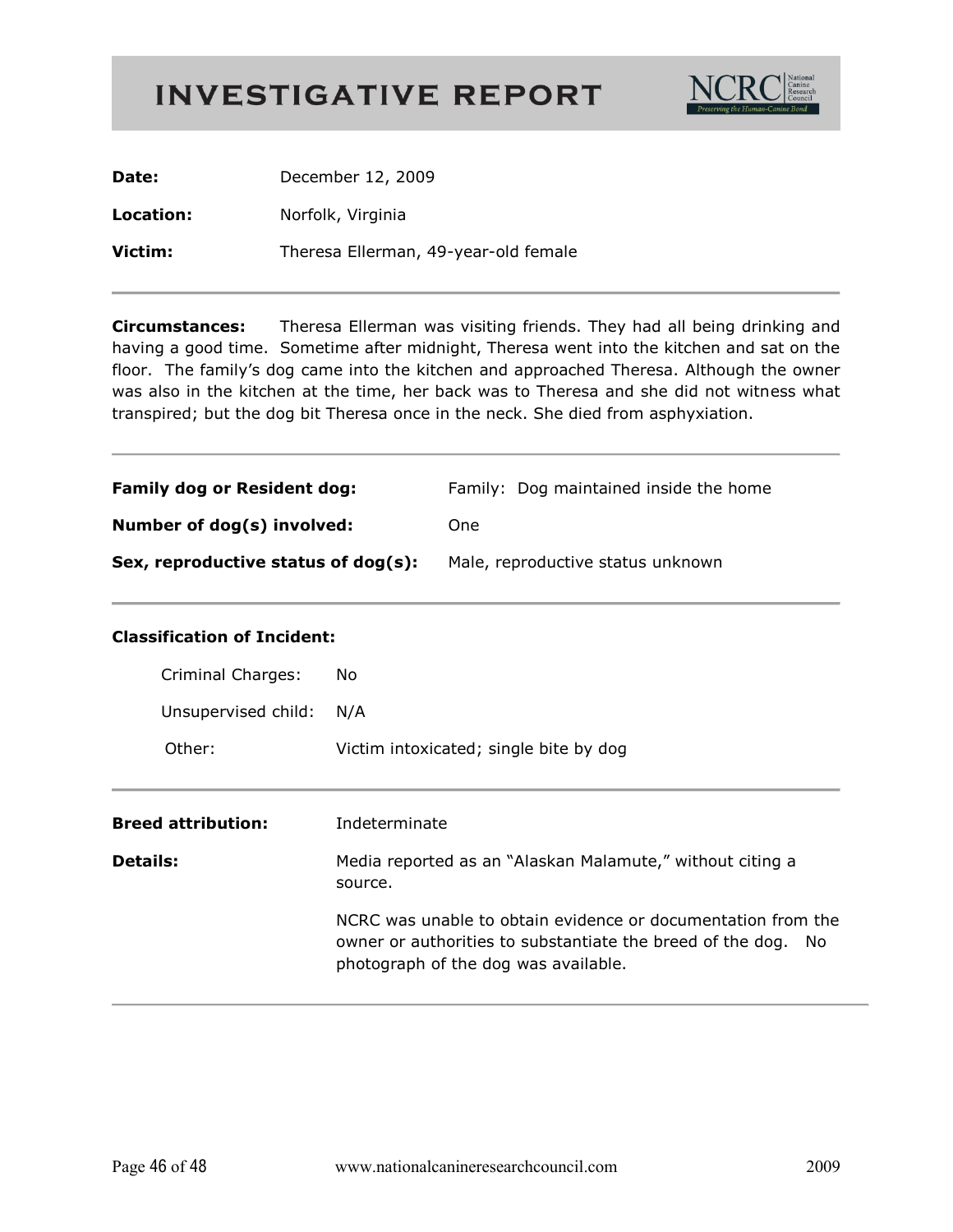

| Date:     | December 12, 2009                    |
|-----------|--------------------------------------|
| Location: | Norfolk, Virginia                    |
| Victim:   | Theresa Ellerman, 49-year-old female |

**Circumstances:** Theresa Ellerman was visiting friends. They had all being drinking and having a good time. Sometime after midnight, Theresa went into the kitchen and sat on the floor. The family's dog came into the kitchen and approached Theresa. Although the owner was also in the kitchen at the time, her back was to Theresa and she did not witness what transpired; but the dog bit Theresa once in the neck. She died from asphyxiation.

| <b>Family dog or Resident dog:</b>  | Family: Dog maintained inside the home |
|-------------------------------------|----------------------------------------|
| Number of dog(s) involved:          | One                                    |
| Sex, reproductive status of dog(s): | Male, reproductive status unknown      |

#### **Classification of Incident:**

| Criminal Charges:         | No.                                                                                                                                                                   |
|---------------------------|-----------------------------------------------------------------------------------------------------------------------------------------------------------------------|
| Unsupervised child:       | N/A                                                                                                                                                                   |
| Other:                    | Victim intoxicated; single bite by dog                                                                                                                                |
| <b>Breed attribution:</b> | Indeterminate                                                                                                                                                         |
| <b>Details:</b>           | Media reported as an "Alaskan Malamute," without citing a<br>source.                                                                                                  |
|                           | NCRC was unable to obtain evidence or documentation from the<br>owner or authorities to substantiate the breed of the dog. No<br>photograph of the dog was available. |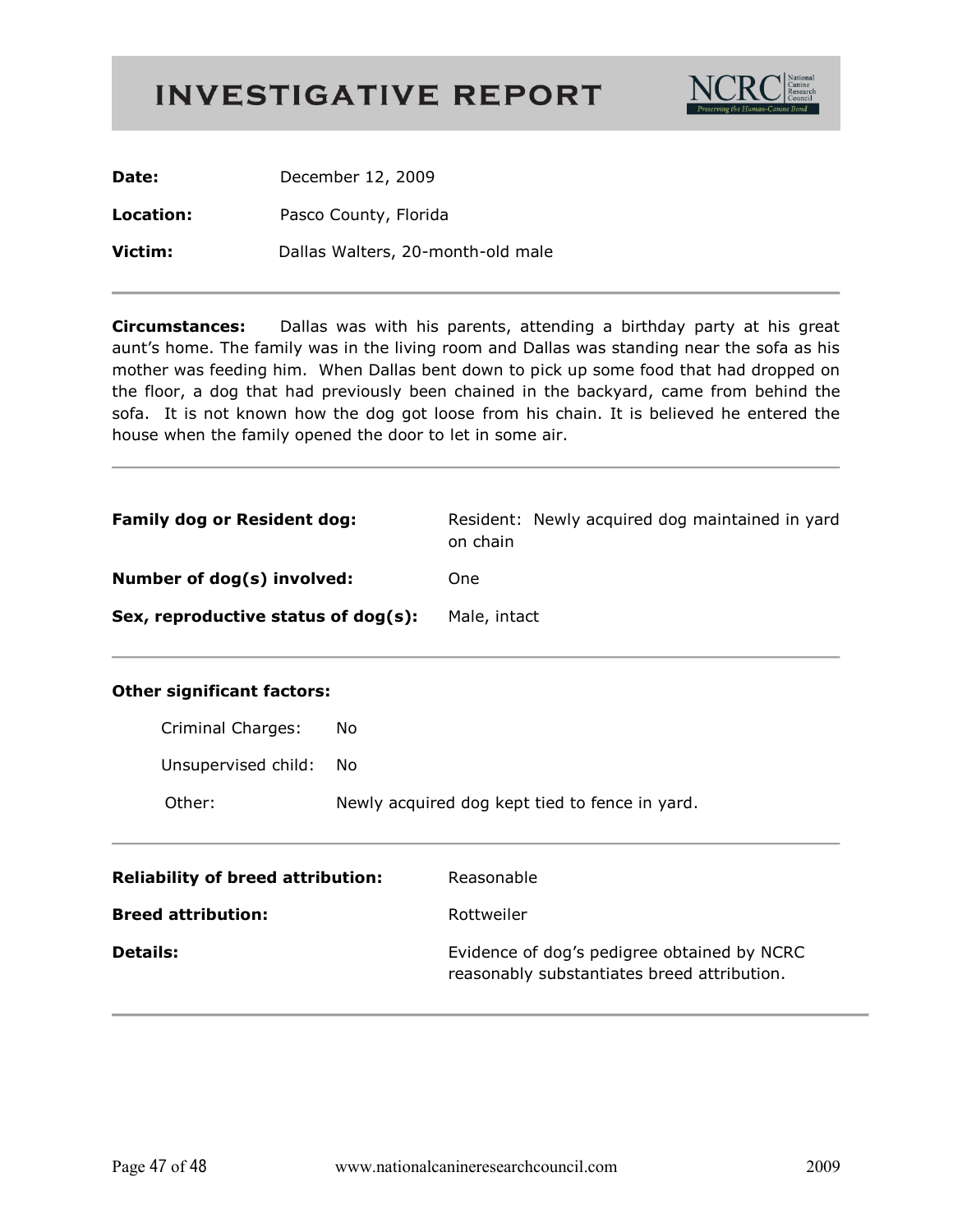

Date: December 12, 2009 Location: Pasco County, Florida Victim: Dallas Walters, 20-month-old male

**Circumstances:** Dallas was with his parents, attending a birthday party at his great aunt's home. The family was in the living room and Dallas was standing near the sofa as his mother was feeding him. When Dallas bent down to pick up some food that had dropped on the floor, a dog that had previously been chained in the backyard, came from behind the sofa. It is not known how the dog got loose from his chain. It is believed he entered the house when the family opened the door to let in some air.

| <b>Family dog or Resident dog:</b>  | Resident: Newly acquired dog maintained in yard<br>on chain |
|-------------------------------------|-------------------------------------------------------------|
| Number of dog(s) involved:          | One                                                         |
| Sex, reproductive status of dog(s): | Male, intact                                                |

| Criminal Charges:      | No                                             |
|------------------------|------------------------------------------------|
| Unsupervised child: No |                                                |
| Other:                 | Newly acquired dog kept tied to fence in yard. |

| <b>Reliability of breed attribution:</b> | Reasonable                                                                                 |
|------------------------------------------|--------------------------------------------------------------------------------------------|
| <b>Breed attribution:</b>                | Rottweiler                                                                                 |
| <b>Details:</b>                          | Evidence of dog's pedigree obtained by NCRC<br>reasonably substantiates breed attribution. |